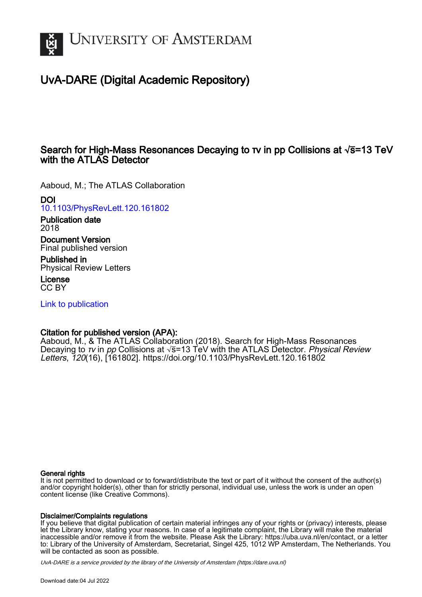

# UvA-DARE (Digital Academic Repository)

### Search for High-Mass Resonances Decaying to τν in pp Collisions at  $\sqrt{s}$ =13 TeV with the **ATLAS** Detector

Aaboud, M.; The ATLAS Collaboration

DOI

[10.1103/PhysRevLett.120.161802](https://doi.org/10.1103/PhysRevLett.120.161802)

Publication date 2018

Document Version Final published version

Published in Physical Review Letters

License CC BY

[Link to publication](https://dare.uva.nl/personal/pure/en/publications/search-for-highmass-resonances-decaying-to--in-pp-collisions-at-s13-tev-with-the-atlas-detector(a16b9520-ab9e-4083-aa82-ce7af119239c).html)

### Citation for published version (APA):

Aaboud, M., & The ATLAS Collaboration (2018). Search for High-Mass Resonances Decaying to  $\tau v$  in pp Collisions at  $\sqrt{s}$ =13 TeV with the ATLAS Detector. Physical Review Letters, 120(16), [161802]. <https://doi.org/10.1103/PhysRevLett.120.161802>

#### General rights

It is not permitted to download or to forward/distribute the text or part of it without the consent of the author(s) and/or copyright holder(s), other than for strictly personal, individual use, unless the work is under an open content license (like Creative Commons).

#### Disclaimer/Complaints regulations

If you believe that digital publication of certain material infringes any of your rights or (privacy) interests, please let the Library know, stating your reasons. In case of a legitimate complaint, the Library will make the material inaccessible and/or remove it from the website. Please Ask the Library: https://uba.uva.nl/en/contact, or a letter to: Library of the University of Amsterdam, Secretariat, Singel 425, 1012 WP Amsterdam, The Netherlands. You will be contacted as soon as possible.

UvA-DARE is a service provided by the library of the University of Amsterdam (http*s*://dare.uva.nl)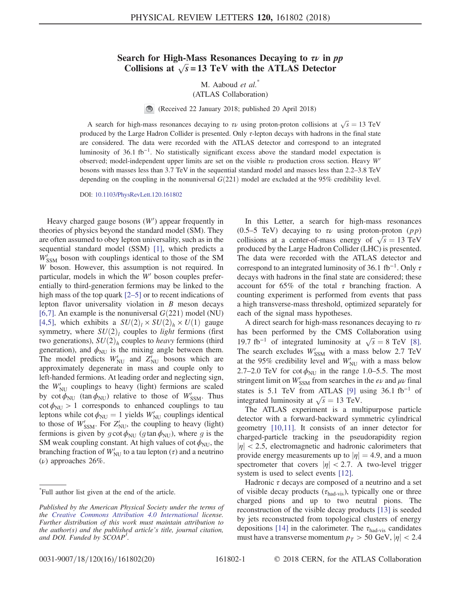## Search for High-Mass Resonances Decaying to  $\tau \nu$  in pp earch for High-Mass Resonances Decaying to  $\tau \nu$  in  $\mu$ <br>Collisions at  $\sqrt{s}$  = 13 TeV with the ATLAS Detector

M. Aaboud et al.<sup>\*</sup>

(ATLAS Collaboration)

(Received 22 January 2018; published 20 April 2018)

A search for high-mass resonances decaying to  $\tau \nu$  using proton-proton collisions at  $\sqrt{s} = 13$  TeV polyced by the Large Hadron Collider is presented. Only  $\tau$  lepton decays with hadrons in the final state produced by the Large Hadron Collider is presented. Only τ-lepton decays with hadrons in the final state are considered. The data were recorded with the ATLAS detector and correspond to an integrated luminosity of 36.1 fb<sup>−</sup><sup>1</sup>. No statistically significant excess above the standard model expectation is observed; model-independent upper limits are set on the visible  $\tau \nu$  production cross section. Heavy W' bosons with masses less than 3.7 TeV in the sequential standard model and masses less than 2.2–3.8 TeV depending on the coupling in the nonuniversal  $G(221)$  model are excluded at the 95% credibility level.

DOI: [10.1103/PhysRevLett.120.161802](https://doi.org/10.1103/PhysRevLett.120.161802)

Heavy charged gauge bosons  $(W')$  appear frequently in notice the vertex of physics beyond the standard model  $(SM)$ . They theories of physics beyond the standard model (SM). They are often assumed to obey lepton universality, such as in the sequential standard model (SSM) [\[1\],](#page-6-0) which predicts a  $W'_{SSM}$  boson with couplings identical to those of the SM  $W$  boson. However, this assumption is not required. In W boson. However, this assumption is not required. In particular, models in which the  $W'$  boson couples preferentially to third-generation fermions may be linked to the high mass of the top quark  $[2-5]$  $[2-5]$  or to recent indications of lepton flavor universality violation in B meson decays [\[6,7\].](#page-6-2) An example is the nonuniversal  $G(221)$  model (NU) [\[4,5\],](#page-6-3) which exhibits a  $SU(2)_l \times SU(2)_h \times U(1)$  gauge symmetry, where  $SU(2)_l$  couples to *light* fermions (first two generations),  $SU(2)_h$  couples to *heavy* fermions (third generation), and  $\phi_{\text{NU}}$  is the mixing angle between them. The model predicts  $W'_{NU}$  and  $Z'_{NU}$  bosons which are<br>approximately degenerate in mass and couple only to approximately degenerate in mass and couple only to left-handed fermions. At leading order and neglecting sign, the  $W'_{\text{NU}}$  couplings to heavy (light) fermions are scaled<br>by  $\cot \phi_{\text{env}}$  (tan  $\phi_{\text{env}}$ ) relative to those of  $W'$ . Thus by cot  $\phi_{NU}$  (tan  $\phi_{NU}$ ) relative to those of  $W'_{SSM}$ . Thus  $\cot \phi_{\text{NU}} > 1$  corresponds to enhanced couplings to tau leptons while  $\cot \phi_{\text{NU}} = 1$  yields  $W'_{\text{NU}}$  couplings identical<br>to those of  $W'$  . For  $Z'$  the coupling to beavy (light) to those of  $W'_{SSM}$ . For  $Z'_{NU}$ , the coupling to heavy (light)<br>fermions is given by  $acot \phi_{NN}$  (atap  $\phi_{NN}$ ), where a is the fermions is given by  $g \cot \phi_{\text{NU}}$  (g tan  $\phi_{\text{NU}}$ ), where g is the SM weak coupling constant. At high values of cot  $\phi_{\text{NU}}$ , the branching fraction of  $W'_{\text{NU}}$  to a tau lepton  $(\tau)$  and a neutrino  $(\tau)$  approaches 26% ( $ν$ ) approaches 26%.

In this Letter, a search for high-mass resonances (0.5–5 TeV) decaying to  $\tau \nu$  using proton-proton (pp) (0.5–5 TeV) decaying to  $\tau \nu$  using proton-proton (*pp*)<br>collisions at a center-of-mass energy of  $\sqrt{s} = 13$  TeV<br>produced by the Large Hadron Collider (LHC) is presented produced by the Large Hadron Collider (LHC) is presented. The data were recorded with the ATLAS detector and correspond to an integrated luminosity of 36.1 fb<sup>-1</sup>. Only  $\tau$ decays with hadrons in the final state are considered; these account for 65% of the total  $\tau$  branching fraction. A counting experiment is performed from events that pass a high transverse-mass threshold, optimized separately for each of the signal mass hypotheses.

A direct search for high-mass resonances decaying to  $\tau \nu$ has been performed by the CMS Collaboration using nas been performed by the CMS Collaboration using<br>19.7 fb<sup>-1</sup> of integrated luminosity at  $\sqrt{s} = 8$  TeV [\[8\]](#page-6-4).<br>The search excludes W' with a mass below 2.7 TeV The search excludes  $W'_{SSM}$  with a mass below 2.7 TeV<br>at the 95% credibility level and  $W'$  with a mass below at the 95% credibility level and  $W'_{\text{NU}}$  with a mass below<br>2.7.2.0 TeV for cot  $\phi$  in the range 1.0.5.5. The most 2.7–2.0 TeV for cot  $\phi_{\text{NU}}$  in the range 1.0–5.5. The most stringent limit on  $W'_{SSM}$  from searches in the ev and  $\mu \nu$  final<br>states is 5.1 To V from ATLAS [0] using 26.1 fb<sup>-1</sup> of states is 5.1 TeV from ATLAS [\[9\]](#page-6-5) using  $36.1$  fb<sup>-1</sup> of states is 5.1 TeV from ATLAS [9] Unitegrated luminosity at  $\sqrt{s} = 13$  TeV.<br>The ATLAS experiment is a mu

The ATLAS experiment is a multipurpose particle detector with a forward-backward symmetric cylindrical geometry [\[10,11\].](#page-6-6) It consists of an inner detector for charged-particle tracking in the pseudorapidity region  $|\eta|$  < 2.5, electromagnetic and hadronic calorimeters that provide energy measurements up to  $|\eta| = 4.9$ , and a muon spectrometer that covers  $|\eta| < 2.7$ . A two-level trigger system is used to select events [\[12\].](#page-6-7)

Hadronic  $\tau$  decays are composed of a neutrino and a set of visible decay products ( $\tau_{\text{had-vis}}$ ), typically one or three charged pions and up to two neutral pions. The reconstruction of the visible decay products [\[13\]](#page-6-8) is seeded by jets reconstructed from topological clusters of energy depositions [\[14\]](#page-6-9) in the calorimeter. The  $\tau_{\text{had-vis}}$  candidates must have a transverse momentum  $p_T > 50$  GeV,  $|\eta| < 2.4$ 

<sup>\*</sup> Full author list given at the end of the article.

Published by the American Physical Society under the terms of the [Creative Commons Attribution 4.0 International](https://creativecommons.org/licenses/by/4.0/) license. Further distribution of this work must maintain attribution to the author(s) and the published article's title, journal citation, and DOI. Funded by SCOAP<sup>3</sup>.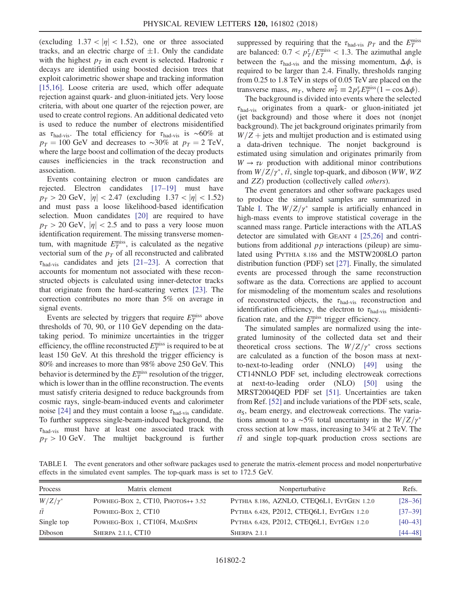(excluding  $1.37 < |\eta| < 1.52$ ), one or three associated tracks, and an electric charge of  $\pm 1$ . Only the candidate with the highest  $p<sub>T</sub>$  in each event is selected. Hadronic  $\tau$ decays are identified using boosted decision trees that exploit calorimetric shower shape and tracking information [\[15,16\]](#page-6-10). Loose criteria are used, which offer adequate rejection against quark- and gluon-initiated jets. Very loose criteria, with about one quarter of the rejection power, are used to create control regions. An additional dedicated veto is used to reduce the number of electrons misidentified as  $\tau_{\text{had-vis}}$ . The total efficiency for  $\tau_{\text{had-vis}}$  is ~60% at  $p_T = 100$  GeV and decreases to ~30% at  $p_T = 2$  TeV, where the large boost and collimation of the decay products causes inefficiencies in the track reconstruction and association.

Events containing electron or muon candidates are rejected. Electron candidates [\[17](#page-6-11)–19] must have  $p_T > 20$  GeV,  $|\eta| < 2.47$  (excluding  $1.37 < |\eta| < 1.52$ ) and must pass a loose likelihood-based identification selection. Muon candidates [\[20\]](#page-6-12) are required to have  $p_T > 20$  GeV,  $|\eta| < 2.5$  and to pass a very loose muon identification requirement. The missing transverse momentum, with magnitude  $E_T^{\text{miss}}$ , is calculated as the negative<br>vectorial sum of the  $n_{\text{B}}$  of all reconstructed and calibrated vectorial sum of the  $p<sub>T</sub>$  of all reconstructed and calibrated  $\tau_{\text{had-vis}}$  candidates and jets [\[21](#page-6-13)–23]. A correction that accounts for momentum not associated with these reconstructed objects is calculated using inner-detector tracks that originate from the hard-scattering vertex [\[23\]](#page-6-14). The correction contributes no more than 5% on average in signal events.

Events are selected by triggers that require  $E_T^{\text{miss}}$  above<br>resholds of 70, 90, or 110 GeV depending on the datathresholds of 70, 90, or 110 GeV depending on the datataking period. To minimize uncertainties in the trigger efficiency, the offline reconstructed  $E_T^{\text{miss}}$  is required to be at least 150 GeV. At this threshold the trigger efficiency is least 150 GeV. At this threshold the trigger efficiency is 80% and increases to more than 98% above 250 GeV. This behavior is determined by the  $E_T^{\text{miss}}$  resolution of the trigger,<br>which is lower than in the offline reconstruction. The events which is lower than in the offline reconstruction. The events must satisfy criteria designed to reduce backgrounds from cosmic rays, single-beam-induced events and calorimeter noise [\[24\]](#page-6-15) and they must contain a loose  $\tau_{\text{had-vis}}$  candidate. To further suppress single-beam-induced background, the  $\tau_{\text{had-vis}}$  must have at least one associated track with  $p_T > 10$  GeV. The multijet background is further suppressed by requiring that the  $\tau_{\text{had-vis}}$   $p_T$  and the  $E_T^{\text{miss}}$ are balanced:  $0.7 < p_T^{\tau}/E_T^{\text{miss}} < 1.3$ . The azimuthal angle<br>between the  $\tau_{\text{SUS}}$  and the missing momentum  $\Delta \phi$  is between the  $\tau_{\text{had-vis}}$  and the missing momentum,  $\Delta \phi$ , is required to be larger than 2.4. Finally, thresholds ranging from 0.25 to 1.8 TeV in steps of 0.05 TeV are placed on the transverse mass,  $m_T$ , where  $m_T^2 \equiv 2p_T^r E_T^{\text{miss}}(1 - \cos \Delta \phi)$ .<br>The background is divided into events where the selected

The background is divided into events where the selected  $\tau_{\text{had-vis}}$  originates from a quark- or gluon-initiated jet (jet background) and those where it does not (nonjet background). The jet background originates primarily from  $W/Z$  + jets and multijet production and is estimated using a data-driven technique. The nonjet background is estimated using simulation and originates primarily from  $W \rightarrow \tau \nu$  production with additional minor contributions from  $W/Z/\gamma^*$ ,  $t\bar{t}$ , single top-quark, and diboson (WW, WZ) and ZZ) production (collectively called others).

The event generators and other software packages used to produce the simulated samples are summarized in Table [I.](#page-2-0) The  $W/Z/\gamma^*$  sample is artificially enhanced in high-mass events to improve statistical coverage in the scanned mass range. Particle interactions with the ATLAS detector are simulated with GEANT 4 [\[25,26\]](#page-6-16) and contributions from additional  $pp$  interactions (pileup) are simulated using PYTHIA 8.186 and the MSTW2008LO parton distribution function (PDF) set [\[27\]](#page-6-17). Finally, the simulated events are processed through the same reconstruction software as the data. Corrections are applied to account for mismodeling of the momentum scales and resolutions of reconstructed objects, the  $\tau_{\text{had-vis}}$  reconstruction and identification efficiency, the electron to  $\tau_{\text{had-vis}}$  misidentification rate, and the  $E_T^{\text{miss}}$  trigger efficiency.<br>The simulated samples are normalized us

The simulated samples are normalized using the integrated luminosity of the collected data set and their theoretical cross sections. The  $W/Z/\gamma^*$  cross sections are calculated as a function of the boson mass at nextto-next-to-leading order (NNLO) [\[49\]](#page-7-0) using the CT14NNLO PDF set, including electroweak corrections at next-to-leading order (NLO) [\[50\]](#page-7-1) using the MRST2004QED PDF set [\[51\]](#page-7-2). Uncertainties are taken from Ref. [\[52\]](#page-7-3) and include variations of the PDF sets, scale,  $\alpha_{\rm S}$ , beam energy, and electroweak corrections. The variations amount to a ~5% total uncertainty in the  $W/Z/\gamma^*$ cross section at low mass, increasing to 34% at 2 TeV. The  $t\bar{t}$  and single top-quark production cross sections are

<span id="page-2-0"></span>TABLE I. The event generators and other software packages used to generate the matrix-element process and model nonperturbative effects in the simulated event samples. The top-quark mass is set to 172.5 GeV.

| Process         | Matrix element                    | Nonperturbative                            | Refs.       |
|-----------------|-----------------------------------|--------------------------------------------|-------------|
| $W/Z/\gamma^*$  | POWHEG-BOX 2, CT10, PHOTOS++ 3.52 | PYTHIA 8.186, AZNLO, CTEQ6L1, EVTGEN 1.2.0 | $[28 - 36]$ |
| $t\overline{t}$ | POWHEG-BOX 2, CT10                | PYTHIA 6.428, P2012, CTEO6L1, EVTGEN 1.2.0 | $[37 - 39]$ |
| Single top      | POWHEG-BOX 1, CT10f4, MADSPIN     | PYTHIA 6.428, P2012, CTEQ6L1, EVTGEN 1.2.0 | $[40 - 43]$ |
| Diboson         | SHERPA 2.1.1, CT10                | SHERPA 2.1.1                               | [44–48]     |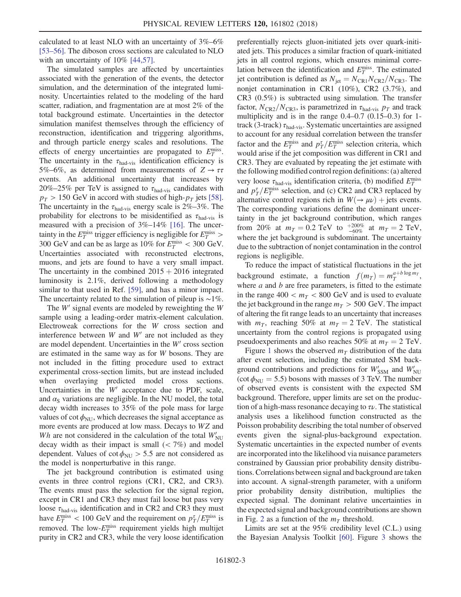calculated to at least NLO with an uncertainty of 3%–6% [\[53](#page-7-7)–56]. The diboson cross sections are calculated to NLO with an uncertainty of  $10\%$  [\[44,57\]](#page-7-6).

The simulated samples are affected by uncertainties associated with the generation of the events, the detector simulation, and the determination of the integrated luminosity. Uncertainties related to the modeling of the hard scatter, radiation, and fragmentation are at most 2% of the total background estimate. Uncertainties in the detector simulation manifest themselves through the efficiency of reconstruction, identification and triggering algorithms, and through particle energy scales and resolutions. The effects of energy uncertainties are propagated to  $E_T^{\text{miss}}$ .<br>The uncertainty in the  $\tau_{\text{S}}$ , is identification efficiency is The uncertainty in the  $\tau_{\text{had-vis}}$  identification efficiency is 5%–6%, as determined from measurements of  $Z \rightarrow \tau \tau$ events. An additional uncertainty that increases by 20%–25% per TeV is assigned to  $\tau_{\text{had-vis}}$  candidates with  $p_T > 150$  GeV in accord with studies of high- $p_T$  jets [\[58\]](#page-7-8). The uncertainty in the  $\tau_{\text{had-vis}}$  energy scale is 2%–3%. The probability for electrons to be misidentified as  $\tau_{\text{had-vis}}$  is measured with a precision of 3%–14% [\[16\]](#page-6-19). The uncertainty in the  $E_T^{\text{miss}}$  trigger efficiency is negligible for  $E_T^{\text{miss}}$ <br>300 GeV and can be as large as 10% for  $F_{\text{miss}}$  = 300 Ge  $\frac{1}{2}$  300 GeV and can be as large as 10% for  $E_T^{\text{miss}} < 300$  GeV.<br>
Hncertainties associated with reconstructed electrons Uncertainties associated with reconstructed electrons, muons, and jets are found to have a very small impact. The uncertainty in the combined  $2015 + 2016$  integrated luminosity is 2.1%, derived following a methodology similar to that used in Ref. [\[59\],](#page-7-9) and has a minor impact. The uncertainty related to the simulation of pileup is ∼1%.

The  $W'$  signal events are modeled by reweighting the  $W$ sample using a leading-order matrix-element calculation. Electroweak corrections for the W cross section and interference between  $W$  and  $W'$  are not included as they are model dependent. Uncertainties in the  $W'$  cross section are estimated in the same way as for W bosons. They are not included in the fitting procedure used to extract experimental cross-section limits, but are instead included when overlaying predicted model cross sections. Uncertainties in the  $W'$  acceptance due to PDF, scale, and  $\alpha_{\rm S}$  variations are negligible. In the NU model, the total decay width increases to 35% of the pole mass for large values of cot  $\phi_{\text{NU}}$ , which decreases the signal acceptance as more events are produced at low mass. Decays to WZ and Wh are not considered in the calculation of the total  $W'_{\text{NU}}$ <br>decay width as their impact is small ( $\lt 7\%$ ) and model decay width as their impact is small  $(< 7\%)$  and model dependent. Values of cot  $\phi_{\text{NU}} > 5.5$  are not considered as the model is nonperturbative in this range.

The jet background contribution is estimated using events in three control regions (CR1, CR2, and CR3). The events must pass the selection for the signal region, except in CR1 and CR3 they must fail loose but pass very loose  $\tau_{\text{had-vis}}$  identification and in CR2 and CR3 they must have  $E_T^{\text{miss}} < 100 \text{ GeV}$  and the requirement on  $p_T^{\tau}/E_T^{\text{miss}}$  is<br>removed. The low- $E^{\text{miss}}$  requirement vields high multijet removed. The low- $E_T^{\text{miss}}$  requirement yields high multijet<br>purity in CR2 and CR3, while the very loose identification purity in CR2 and CR3, while the very loose identification preferentially rejects gluon-initiated jets over quark-initiated jets. This produces a similar fraction of quark-initiated jets in all control regions, which ensures minimal correlation between the identification and  $E_T^{\text{miss}}$ . The estimated<br>iet contribution is defined as  $N_L = N_{\text{max}}/N_{\text{max}}/N_{\text{max}}$ . The jet contribution is defined as  $N_{jet} = N_{CR1}N_{CR2}/N_{CR3}$ . The nonjet contamination in CR1 (10%), CR2 (3.7%), and CR3 (0.5%) is subtracted using simulation. The transfer factor,  $N_{CR2}/N_{CR3}$ , is parametrized in  $\tau_{\text{had-vis}}$  p<sub>T</sub> and track multiplicity and is in the range 0.4–0.7 (0.15–0.3) for 1 track (3-track)  $\tau_{\text{had-vis}}$ . Systematic uncertainties are assigned to account for any residual correlation between the transfer factor and the  $E_T^{\text{miss}}$  and  $p_T^{\tau}/E_T^{\text{miss}}$  selection criteria, which<br>would arise if the jet composition was different in CR1 and would arise if the jet composition was different in CR1 and CR3. They are evaluated by repeating the jet estimate with the following modified control region definitions: (a) altered very loose  $\tau_{\text{had-vis}}$  identification criteria, (b) modified  $E_T^{\text{miss}}$ and  $p_T^{\tau}/E_T^{\text{miss}}$  selection, and (c) CR2 and CR3 replaced by alternative control regions rich in  $W(\rightarrow \mu \nu)$  + jets events alternative control regions rich in  $W(\rightarrow \mu \nu)$  + jets events. The corresponding variations define the dominant uncertainty in the jet background contribution, which ranges from 20% at  $m_T = 0.2$  TeV to  $^{+200\%}_{-60\%}$  at  $m_T = 2$  TeV,<br>where the jet background is subdominant. The uncertainty where the jet background is subdominant. The uncertainty due to the subtraction of nonjet contamination in the control regions is negligible.

To reduce the impact of statistical fluctuations in the jet background estimate, a function  $f(m_T) = m_T^{a+b \log m_T}$ ,<br>where a and b are free parameters is fitted to the estimate where  $a$  and  $b$  are free parameters, is fitted to the estimate in the range  $400 < m_T < 800$  GeV and is used to evaluate the jet background in the range  $m<sub>T</sub> > 500$  GeV. The impact of altering the fit range leads to an uncertainty that increases with  $m<sub>T</sub>$ , reaching 50% at  $m<sub>T</sub> = 2$  TeV. The statistical uncertainty from the control regions is propagated using pseudoexperiments and also reaches 50% at  $m<sub>T</sub> = 2$  TeV.

Figure [1](#page-4-0) shows the observed  $m<sub>T</sub>$  distribution of the data after event selection, including the estimated SM background contributions and predictions for  $W'_{SSM}$  and  $W'_{NU}$ <br>(cot  $\phi_{\text{max}} = 5.5$ ) bosons with masses of 3 TeV. The number  $(\cot \phi_{\text{NU}} = 5.5)$  bosons with masses of 3 TeV. The number of observed events is consistent with the expected SM background. Therefore, upper limits are set on the production of a high-mass resonance decaying to  $\tau \nu$ . The statistical analysis uses a likelihood function constructed as the Poisson probability describing the total number of observed events given the signal-plus-background expectation. Systematic uncertainties in the expected number of events are incorporated into the likelihood via nuisance parameters constrained by Gaussian prior probability density distributions. Correlations between signal and background are taken into account. A signal-strength parameter, with a uniform prior probability density distribution, multiplies the expected signal. The dominant relative uncertainties in the expected signal and background contributions are shown in Fig. [2](#page-4-1) as a function of the  $m<sub>T</sub>$  threshold.

Limits are set at the 95% credibility level (C.L.) using the Bayesian Analysis Toolkit [\[60\].](#page-7-10) Figure [3](#page-4-2) shows the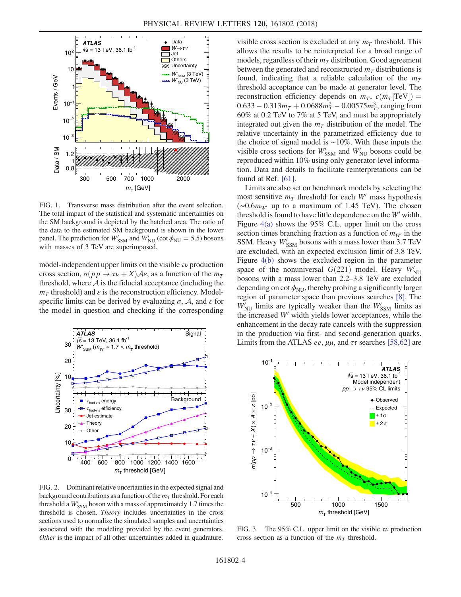<span id="page-4-0"></span>

FIG. 1. Transverse mass distribution after the event selection. The total impact of the statistical and systematic uncertainties on the SM background is depicted by the hatched area. The ratio of the data to the estimated SM background is shown in the lower panel. The prediction for  $W'_{SSM}$  and  $W'_{NU}$  (cot  $\phi_{NU} = 5.5$ ) bosons with masses of 3 TeV are superimposed with masses of 3 TeV are superimposed.

model-independent upper limits on the visible  $\tau \nu$  production cross section,  $\sigma(p \, p \rightarrow \tau \nu + X) \mathcal{A} \varepsilon$ , as a function of the  $m_T$ threshold, where  $A$  is the fiducial acceptance (including the  $m<sub>T</sub>$  threshold) and  $\varepsilon$  is the reconstruction efficiency. Modelspecific limits can be derived by evaluating  $\sigma$ , A, and  $\varepsilon$  for the model in question and checking if the corresponding

<span id="page-4-1"></span>

FIG. 2. Dominant relative uncertainties in the expected signal and background contributions as a function of the  $m<sub>T</sub>$  threshold. For each threshold a  $W'_{SSM}$  boson with a mass of approximately 1.7 times the threshold is chosen. Theory includes uncertainties in the cross threshold is chosen. Theory includes uncertainties in the cross sections used to normalize the simulated samples and uncertainties associated with the modeling provided by the event generators. Other is the impact of all other uncertainties added in quadrature.

visible cross section is excluded at any  $m<sub>T</sub>$  threshold. This allows the results to be reinterpreted for a broad range of models, regardless of their  $m<sub>T</sub>$  distribution. Good agreement between the generated and reconstructed  $m<sub>T</sub>$  distributions is found, indicating that a reliable calculation of the  $m<sub>T</sub>$ threshold acceptance can be made at generator level. The reconstruction efficiency depends on  $m<sub>T</sub>$ ,  $\varepsilon$ ( $m<sub>T</sub>$ [TeV]) =  $0.633 - 0.313m<sub>T</sub> + 0.0688m<sub>T</sub><sup>2</sup> - 0.00575m<sub>T</sub><sup>3</sup>$ , ranging from<br>60% at 0.2 TeV to 7% at 5 TeV and must be appropriately 60% at 0.2 TeV to 7% at 5 TeV, and must be appropriately integrated out given the  $m<sub>T</sub>$  distribution of the model. The relative uncertainty in the parametrized efficiency due to the choice of signal model is ∼10%. With these inputs the visible cross sections for  $W'_{SSM}$  and  $W'_{NU}$  bosons could be reproduced within 10% using only generator-level informareproduced within 10% using only generator-level information. Data and details to facilitate reinterpretations can be found at Ref. [\[61\]](#page-7-11).

Limits are also set on benchmark models by selecting the most sensitive  $m<sub>T</sub>$  threshold for each W' mass hypothesis (∼0.6 $m_{W}$  up to a maximum of 1.45 TeV). The chosen threshold is found to have little dependence on the  $W'$  width. Figure [4\(a\)](#page-5-0) shows the 95% C.L. upper limit on the cross section times branching fraction as a function of  $m_{W}$  in the SSM. Heavy  $W'_{SSM}$  bosons with a mass lower than 3.7 TeV<br>are excluded, with an expected exclusion limit of 3.8 TeV are excluded, with an expected exclusion limit of 3.8 TeV. Figure [4\(b\)](#page-5-0) shows the excluded region in the parameter space of the nonuniversal  $G(221)$  model. Heavy  $W_{NU}$ <br>hosons with a mass lower than 2.2–3.8 TeV are excluded bosons with a mass lower than 2.2–3.8 TeV are excluded depending on cot  $\phi_{\text{NU}}$ , thereby probing a significantly larger region of parameter space than previous searches [\[8\].](#page-6-4) The  $W'_{\text{NU}}$  limits are typically weaker than the  $W'_{\text{SSM}}$  limits as<br>the increased  $W'$  width vields lower acceptances while the the increased  $W'$  width yields lower acceptances, while the enhancement in the decay rate cancels with the suppression in the production via first- and second-generation quarks. Limits from the ATLAS *ee*,  $\mu\mu$ , and  $\tau\tau$  searches [\[58,62\]](#page-7-8) are

<span id="page-4-2"></span>

FIG. 3. The 95% C.L. upper limit on the visible  $\tau \nu$  production cross section as a function of the  $m<sub>T</sub>$  threshold.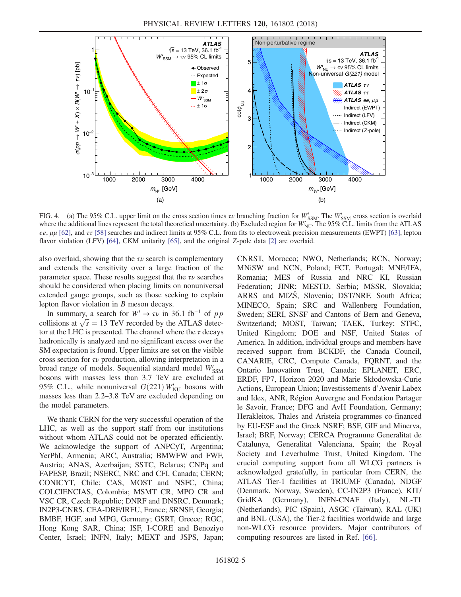<span id="page-5-0"></span>

FIG. 4. (a) The 95% C.L. upper limit on the cross section times  $\tau \nu$  branching fraction for  $W'_{SSM}$ . The  $W'_{SSM}$  cross section is overlaid where the additional lines represent the total theoretical uncertainty (b) Exc where the additional lines represent the total theoretical uncertainty. (b) Excluded region for  $W'_{NU}$ . The 95% C.L. limits from the ATLAS<br>eq. uu [62], and  $\tau\tau$  [58], searches and indirect limits at 95% C.L. from fits ee,  $\mu\mu$  [\[62\]](#page-7-13), and  $\tau\tau$  [\[58\]](#page-7-8) searches and indirect limits at 95% C.L. from fits to electroweak precision measurements (EWPT) [\[63\],](#page-7-14) lepton flavor violation (LFV) [\[64\]](#page-7-15), CKM unitarity [\[65\],](#page-7-16) and the original Z-pole data [\[2\]](#page-6-1) are overlaid.

also overlaid, showing that the  $\tau \nu$  search is complementary and extends the sensitivity over a large fraction of the parameter space. These results suggest that the  $\tau \nu$  searches should be considered when placing limits on nonuniversal extended gauge groups, such as those seeking to explain lepton flavor violation in B meson decays.

In summary, a search for  $W' \rightarrow \tau \nu$  in 36.1 fb<sup>-1</sup> of pp In summary, a search for  $W' \rightarrow \tau \nu$  in 36.1 fb<sup>-1</sup> of pp<br>collisions at  $\sqrt{s} = 13$  TeV recorded by the ATLAS detec-<br>tor at the I HC is presented. The channel where the z decays tor at the LHC is presented. The channel where the  $\tau$  decays hadronically is analyzed and no significant excess over the SM expectation is found. Upper limits are set on the visible cross section for  $\tau \nu$  production, allowing interpretation in a broad range of models. Sequential standard model  $W'_{SSM}$ <br>bosons with masses less than 3.7 TeV are excluded at bosons with masses less than 3.7 TeV are excluded at 95% C.L., while nonuniversal  $G(221) W'_{\text{NU}}$  bosons with masses less than 2.2–3.8 TeV are excluded depending on masses less than 2.2–3.8 TeV are excluded depending on the model parameters.

We thank CERN for the very successful operation of the LHC, as well as the support staff from our institutions without whom ATLAS could not be operated efficiently. We acknowledge the support of ANPCyT, Argentina; YerPhI, Armenia; ARC, Australia; BMWFW and FWF, Austria; ANAS, Azerbaijan; SSTC, Belarus; CNPq and FAPESP, Brazil; NSERC, NRC and CFI, Canada; CERN; CONICYT, Chile; CAS, MOST and NSFC, China; COLCIENCIAS, Colombia; MSMT CR, MPO CR and VSC CR, Czech Republic; DNRF and DNSRC, Denmark; IN2P3-CNRS, CEA-DRF/IRFU, France; SRNSF, Georgia; BMBF, HGF, and MPG, Germany; GSRT, Greece; RGC, Hong Kong SAR, China; ISF, I-CORE and Benoziyo Center, Israel; INFN, Italy; MEXT and JSPS, Japan; CNRST, Morocco; NWO, Netherlands; RCN, Norway; MNiSW and NCN, Poland; FCT, Portugal; MNE/IFA, Romania; MES of Russia and NRC KI, Russian Federation; JINR; MESTD, Serbia; MSSR, Slovakia; ARRS and MIZŠ, Slovenia; DST/NRF, South Africa; MINECO, Spain; SRC and Wallenberg Foundation, Sweden; SERI, SNSF and Cantons of Bern and Geneva, Switzerland; MOST, Taiwan; TAEK, Turkey; STFC, United Kingdom; DOE and NSF, United States of America. In addition, individual groups and members have received support from BCKDF, the Canada Council, CANARIE, CRC, Compute Canada, FQRNT, and the Ontario Innovation Trust, Canada; EPLANET, ERC, ERDF, FP7, Horizon 2020 and Marie Skłodowska-Curie Actions, European Union; Investissements d'Avenir Labex and Idex, ANR, Région Auvergne and Fondation Partager le Savoir, France; DFG and AvH Foundation, Germany; Herakleitos, Thales and Aristeia programmes co-financed by EU-ESF and the Greek NSRF; BSF, GIF and Minerva, Israel; BRF, Norway; CERCA Programme Generalitat de Catalunya, Generalitat Valenciana, Spain; the Royal Society and Leverhulme Trust, United Kingdom. The crucial computing support from all WLCG partners is acknowledged gratefully, in particular from CERN, the ATLAS Tier-1 facilities at TRIUMF (Canada), NDGF (Denmark, Norway, Sweden), CC-IN2P3 (France), KIT/ GridKA (Germany), INFN-CNAF (Italy), NL-T1 (Netherlands), PIC (Spain), ASGC (Taiwan), RAL (UK) and BNL (USA), the Tier-2 facilities worldwide and large non-WLCG resource providers. Major contributors of computing resources are listed in Ref. [\[66\].](#page-7-12)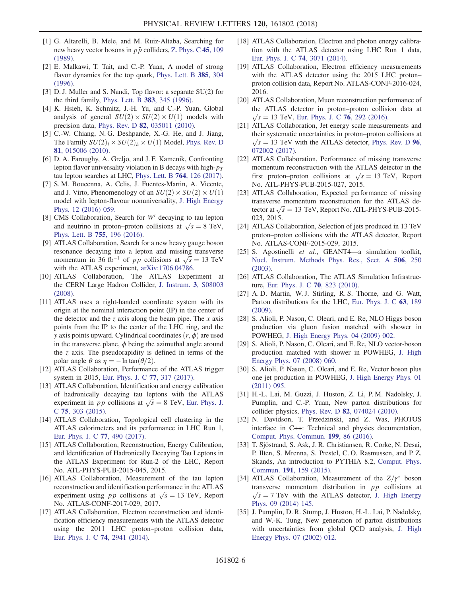- <span id="page-6-0"></span>[1] G. Altarelli, B. Mele, and M. Ruiz-Altaba, Searching for new heavy vector bosons in  $p\bar{p}$  colliders, [Z. Phys. C](https://doi.org/10.1007/BF01556677) 45, 109 [\(1989\).](https://doi.org/10.1007/BF01556677)
- <span id="page-6-1"></span>[2] E. Malkawi, T. Tait, and C.-P. Yuan, A model of strong flavor dynamics for the top quark, [Phys. Lett. B](https://doi.org/10.1016/0370-2693(96)00859-3) 385, 304 [\(1996\).](https://doi.org/10.1016/0370-2693(96)00859-3)
- [3] D. J. Muller and S. Nandi, Top flavor: a separate SU(2) for the third family, [Phys. Lett. B](https://doi.org/10.1016/0370-2693(96)00745-9) 383, 345 (1996).
- <span id="page-6-3"></span>[4] K. Hsieh, K. Schmitz, J.-H. Yu, and C.-P. Yuan, Global analysis of general  $SU(2) \times SU(2) \times U(1)$  models with precision data, Phys. Rev. D 82[, 035011 \(2010\).](https://doi.org/10.1103/PhysRevD.82.035011)
- [5] C.-W. Chiang, N. G. Deshpande, X.-G. He, and J. Jiang, The Family  $SU(2)_l \times SU(2)_h \times U(1)$  Model, [Phys. Rev. D](https://doi.org/10.1103/PhysRevD.81.015006) 81[, 015006 \(2010\).](https://doi.org/10.1103/PhysRevD.81.015006)
- <span id="page-6-2"></span>[6] D. A. Faroughy, A. Greljo, and J. F. Kamenik, Confronting lepton flavor universality violation in B decays with high- $p_T$ tau lepton searches at LHC, [Phys. Lett. B](https://doi.org/10.1016/j.physletb.2016.11.011) 764, 126 (2017).
- [7] S. M. Boucenna, A. Celis, J. Fuentes-Martin, A. Vicente, and J. Virto, Phenomenology of an  $SU(2) \times SU(2) \times U(1)$ model with lepton-flavour nonuniversality, [J. High Energy](https://doi.org/10.1007/JHEP12(2016)059) [Phys. 12 \(2016\) 059.](https://doi.org/10.1007/JHEP12(2016)059)
- <span id="page-6-4"></span>[8] CMS Collaboration, Search for  $W'$  decaying to tau lepton CMS Collaboration, Search for W' decaying to tau lepton<br>and neutrino in proton–proton collisions at  $\sqrt{s} = 8$  TeV,<br>Phys. Lett. B 755, 196 (2016) [Phys. Lett. B](https://doi.org/10.1016/j.physletb.2016.02.002) 755, 196 (2016).
- <span id="page-6-5"></span>[9] ATLAS Collaboration, Search for a new heavy gauge boson resonance decaying into a lepton and missing transverse resonance decaying into a lepton and missing transverse<br>momentum in 36 fb<sup>-1</sup> of *pp* collisions at  $\sqrt{s} = 13$  TeV<br>with the ATI AS experiment arXiv:1706 04786 with the ATLAS experiment, [arXiv:1706.04786.](http://arXiv.org/abs/1706.04786)
- <span id="page-6-6"></span>[10] ATLAS Collaboration, The ATLAS Experiment at the CERN Large Hadron Collider, [J. Instrum.](https://doi.org/10.1088/1748-0221/3/08/S08003) 3, S08003 [\(2008\).](https://doi.org/10.1088/1748-0221/3/08/S08003)
- [11] ATLAS uses a right-handed coordinate system with its origin at the nominal interaction point (IP) in the center of the detector and the z axis along the beam pipe. The  $x$  axis points from the IP to the center of the LHC ring, and the y axis points upward. Cylindrical coordinates  $(r, \phi)$  are used in the transverse plane,  $\phi$  being the azimuthal angle around the  $z$  axis. The pseudorapidity is defined in terms of the polar angle  $\theta$  as  $\eta = -\ln \tan(\theta/2)$ .
- <span id="page-6-7"></span>[12] ATLAS Collaboration, Performance of the ATLAS trigger system in 2015, [Eur. Phys. J. C](https://doi.org/10.1140/epjc/s10052-017-4852-3) 77, 317 (2017).
- <span id="page-6-8"></span>[13] ATLAS Collaboration, Identification and energy calibration of hadronically decaying tau leptons with the ATLAS of hadronically decaying tau leptons with the ATLAS<br>experiment in *pp* collisions at  $\sqrt{s} = 8$  TeV, [Eur. Phys. J.](https://doi.org/10.1140/epjc/s10052-015-3500-z)<br>C 75 303 (2015) <sup>C</sup> 75[, 303 \(2015\)](https://doi.org/10.1140/epjc/s10052-015-3500-z).
- <span id="page-6-9"></span>[14] ATLAS Collaboration, Topological cell clustering in the ATLAS calorimeters and its performance in LHC Run 1, [Eur. Phys. J. C](https://doi.org/10.1140/epjc/s10052-017-5004-5) 77, 490 (2017).
- <span id="page-6-10"></span>[15] ATLAS Collaboration, Reconstruction, Energy Calibration, and Identification of Hadronically Decaying Tau Leptons in the ATLAS Experiment for Run-2 of the LHC, Report No. ATL-PHYS-PUB-2015-045, 2015.
- <span id="page-6-19"></span>[16] ATLAS Collaboration, Measurement of the tau lepton reconstruction and identification performance in the ATLAS reconstruction and identification performance in the ATLAS<br>experiment using *pp* collisions at  $\sqrt{s} = 13$  TeV, Report<br>No. ATLAS-CONE-2017-029 2017 No. ATLAS-CONF-2017-029, 2017.
- <span id="page-6-11"></span>[17] ATLAS Collaboration, Electron reconstruction and identification efficiency measurements with the ATLAS detector using the 2011 LHC proton–proton collision data, [Eur. Phys. J. C](https://doi.org/10.1140/epjc/s10052-014-2941-0) <sup>74</sup>, 2941 (2014).
- [18] ATLAS Collaboration, Electron and photon energy calibration with the ATLAS detector using LHC Run 1 data, [Eur. Phys. J. C](https://doi.org/10.1140/epjc/s10052-014-3071-4) 74, 3071 (2014).
- [19] ATLAS Collaboration, Electron efficiency measurements with the ATLAS detector using the 2015 LHC proton– proton collision data, Report No. ATLAS-CONF-2016-024, 2016.
- <span id="page-6-12"></span>[20] ATLAS Collaboration, Muon reconstruction performance of the ATLAS detector in proton–proton collision data at  $\sqrt{s}$  = 13 TeV, [Eur. Phys. J. C](https://doi.org/10.1140/epjc/s10052-016-4120-y) 76, 292 (2016).
- <span id="page-6-13"></span>[21] ATLAS Collaboration, Jet energy scale measurements and their systematic uncertainties in proton–proton collisions at  $\sqrt{s}$  = 13 TeV with the ATLAS detector, [Phys. Rev. D](https://doi.org/10.1103/PhysRevD.96.072002) 96, [072002 \(2017\).](https://doi.org/10.1103/PhysRevD.96.072002)
- [22] ATLAS Collaboration, Performance of missing transverse momentum reconstruction with the ATLAS detector in the momentum reconstruction with the ATLAS detector in the<br>first proton–proton collisions at  $\sqrt{s} = 13$  TeV, Report<br>No. ATL-PHYS-PUR-2015-027 2015 No. ATL-PHYS-PUB-2015-027, 2015.
- <span id="page-6-14"></span>[23] ATLAS Collaboration, Expected performance of missing transverse momentum reconstruction for the ATLAS detransverse momentum reconstruction for the ATLAS detector at  $\sqrt{s} = 13$  TeV, Report No. ATL-PHYS-PUB-2015-023 2015 023, 2015.
- <span id="page-6-15"></span>[24] ATLAS Collaboration, Selection of jets produced in 13 TeV proton–proton collisions with the ATLAS detector, Report No. ATLAS-CONF-2015-029, 2015.
- <span id="page-6-16"></span>[25] S. Agostinelli et al., GEANT4-a simulation toolkit, [Nucl. Instrum. Methods Phys. Res., Sect. A](https://doi.org/10.1016/S0168-9002(03)01368-8) 506, 250 [\(2003\).](https://doi.org/10.1016/S0168-9002(03)01368-8)
- [26] ATLAS Collaboration, The ATLAS Simulation Infrastructure, [Eur. Phys. J. C](https://doi.org/10.1140/epjc/s10052-010-1429-9) 70, 823 (2010).
- <span id="page-6-17"></span>[27] A. D. Martin, W. J. Stirling, R. S. Thorne, and G. Watt, Parton distributions for the LHC, [Eur. Phys. J. C](https://doi.org/10.1140/epjc/s10052-009-1072-5) 63, 189 [\(2009\).](https://doi.org/10.1140/epjc/s10052-009-1072-5)
- <span id="page-6-18"></span>[28] S. Alioli, P. Nason, C. Oleari, and E. Re, NLO Higgs boson production via gluon fusion matched with shower in POWHEG, [J. High Energy Phys. 04 \(2009\) 002.](https://doi.org/10.1088/1126-6708/2009/04/002)
- [29] S. Alioli, P. Nason, C. Oleari, and E. Re, NLO vector-boson production matched with shower in POWHEG, [J. High](https://doi.org/10.1088/1126-6708/2008/07/060) [Energy Phys. 07 \(2008\) 060.](https://doi.org/10.1088/1126-6708/2008/07/060)
- [30] S. Alioli, P. Nason, C. Oleari, and E. Re, Vector boson plus one jet production in POWHEG, [J. High Energy Phys. 01](https://doi.org/10.1007/JHEP01(2011)095) [\(2011\) 095.](https://doi.org/10.1007/JHEP01(2011)095)
- [31] H.-L. Lai, M. Guzzi, J. Huston, Z. Li, P. M. Nadolsky, J. Pumplin, and C.-P. Yuan, New parton distributions for collider physics, Phys. Rev. D 82[, 074024 \(2010\)](https://doi.org/10.1103/PhysRevD.82.074024).
- [32] N. Davidson, T. Przedzinski, and Z. Was, PHOTOS interface in C++: Technical and physics documentation, [Comput. Phys. Commun.](https://doi.org/10.1016/j.cpc.2015.09.013) 199, 86 (2016).
- [33] T. Sjöstrand, S. Ask, J. R. Christiansen, R. Corke, N. Desai, P. Ilten, S. Mrenna, S. Prestel, C. O. Rasmussen, and P. Z. Skands, An introduction to PYTHIA 8.2, [Comput. Phys.](https://doi.org/10.1016/j.cpc.2015.01.024) Commun. 191[, 159 \(2015\)](https://doi.org/10.1016/j.cpc.2015.01.024).
- [34] ATLAS Collaboration, Measurement of the  $Z/\gamma^*$  boson transverse momentum distribution in  $pp$  collisions at  $\sqrt{s}$  = 7 TeV with the ATLAS detector, [J. High Energy](https://doi.org/10.1007/JHEP09(2014)145) [Phys. 09 \(2014\) 145.](https://doi.org/10.1007/JHEP09(2014)145)
- [35] J. Pumplin, D. R. Stump, J. Huston, H.-L. Lai, P. Nadolsky, and W.-K. Tung, New generation of parton distributions with uncertainties from global QCD analysis, [J. High](https://doi.org/10.1088/1126-6708/2002/07/012) [Energy Phys. 07 \(2002\) 012.](https://doi.org/10.1088/1126-6708/2002/07/012)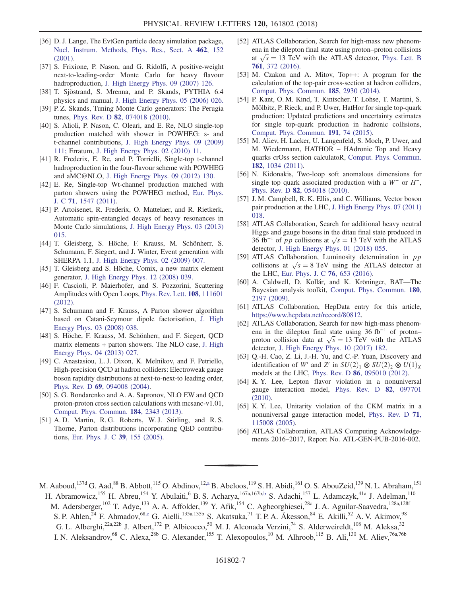- [36] D. J. Lange, The EvtGen particle decay simulation package, [Nucl. Instrum. Methods, Phys. Res., Sect. A](https://doi.org/10.1016/S0168-9002(01)00089-4) 462, 152 [\(2001\).](https://doi.org/10.1016/S0168-9002(01)00089-4)
- <span id="page-7-4"></span>[37] S. Frixione, P. Nason, and G. Ridolfi, A positive-weight next-to-leading-order Monte Carlo for heavy flavour hadroproduction, [J. High Energy Phys. 09 \(2007\) 126.](https://doi.org/10.1088/1126-6708/2007/09/126)
- [38] T. Sjöstrand, S. Mrenna, and P. Skands, PYTHIA 6.4 physics and manual, [J. High Energy Phys. 05 \(2006\) 026.](https://doi.org/10.1088/1126-6708/2006/05/026)
- [39] P. Z. Skands, Tuning Monte Carlo generators: The Perugia tunes, Phys. Rev. D 82[, 074018 \(2010\)](https://doi.org/10.1103/PhysRevD.82.074018).
- <span id="page-7-5"></span>[40] S. Alioli, P. Nason, C. Oleari, and E. Re, NLO single-top production matched with shower in POWHEG: s- and t-channel contributions, [J. High Energy Phys. 09 \(2009\)](https://doi.org/10.1088/1126-6708/2009/09/111) [111;](https://doi.org/10.1088/1126-6708/2009/09/111) Erratum, [J. High Energy Phys. 02 \(2010\) 11.](https://doi.org/10.1007/JHEP02(2010)011)
- [41] R. Frederix, E. Re, and P. Torrielli, Single-top t-channel hadroproduction in the four-flavour scheme with POWHEG and aMC@NLO, [J. High Energy Phys. 09 \(2012\) 130.](https://doi.org/10.1007/JHEP09(2012)130)
- [42] E. Re, Single-top Wt-channel production matched with parton showers using the POWHEG method, [Eur. Phys.](https://doi.org/10.1140/epjc/s10052-011-1547-z) J. C 71[, 1547 \(2011\)](https://doi.org/10.1140/epjc/s10052-011-1547-z).
- [43] P. Artoisenet, R. Frederix, O. Mattelaer, and R. Rietkerk, Automatic spin-entangled decays of heavy resonances in Monte Carlo simulations, [J. High Energy Phys. 03 \(2013\)](https://doi.org/10.1007/JHEP03(2013)015) [015.](https://doi.org/10.1007/JHEP03(2013)015)
- <span id="page-7-6"></span>[44] T. Gleisberg, S. Höche, F. Krauss, M. Schönherr, S. Schumann, F. Siegert, and J. Winter, Event generation with SHERPA 1.1, [J. High Energy Phys. 02 \(2009\) 007.](https://doi.org/10.1088/1126-6708/2009/02/007)
- [45] T. Gleisberg and S. Höche, Comix, a new matrix element generator, [J. High Energy Phys. 12 \(2008\) 039.](https://doi.org/10.1088/1126-6708/2008/12/039)
- [46] F. Cascioli, P. Maierhofer, and S. Pozzorini, Scattering Amplitudes with Open Loops, [Phys. Rev. Lett.](https://doi.org/10.1103/PhysRevLett.108.111601) 108, 111601 [\(2012\).](https://doi.org/10.1103/PhysRevLett.108.111601)
- [47] S. Schumann and F. Krauss, A Parton shower algorithm based on Catani-Seymour dipole factorisation, [J. High](https://doi.org/10.1088/1126-6708/2008/03/038) [Energy Phys. 03 \(2008\) 038.](https://doi.org/10.1088/1126-6708/2008/03/038)
- [48] S. Höche, F. Krauss, M. Schönherr, and F. Siegert, QCD matrix elements + parton showers. The NLO case, [J. High](https://doi.org/10.1007/JHEP04(2013)027) [Energy Phys. 04 \(2013\) 027.](https://doi.org/10.1007/JHEP04(2013)027)
- <span id="page-7-0"></span>[49] C. Anastasiou, L. J. Dixon, K. Melnikov, and F. Petriello, High-precision QCD at hadron colliders: Electroweak gauge boson rapidity distributions at next-to-next-to leading order, Phys. Rev. D 69[, 094008 \(2004\)](https://doi.org/10.1103/PhysRevD.69.094008).
- <span id="page-7-1"></span>[50] S. G. Bondarenko and A. A. Sapronov, NLO EW and QCD proton-proton cross section calculations with mcsanc-v1.01, [Comput. Phys. Commun.](https://doi.org/10.1016/j.cpc.2013.05.010) 184, 2343 (2013).
- <span id="page-7-2"></span>[51] A. D. Martin, R. G. Roberts, W. J. Stirling, and R. S. Thorne, Parton distributions incorporating QED contributions, [Eur. Phys. J. C](https://doi.org/10.1140/epjc/s2004-02088-7) 39, 155 (2005).
- <span id="page-7-3"></span>[52] ATLAS Collaboration, Search for high-mass new phenomena in the dilepton final state using proton–proton collisions ena in the dilepton final state using proton–proton collisions<br>at  $\sqrt{s} = 13$  TeV with the ATLAS detector, [Phys. Lett. B](https://doi.org/10.1016/j.physletb.2016.08.055)<br>**761** 372 (2016) 761[, 372 \(2016\)](https://doi.org/10.1016/j.physletb.2016.08.055).
- <span id="page-7-7"></span>[53] M. Czakon and A. Mitov, Top++: A program for the calculation of the top-pair cross-section at hadron colliders, [Comput. Phys. Commun.](https://doi.org/10.1016/j.cpc.2014.06.021) 185, 2930 (2014).
- [54] P. Kant, O. M. Kind, T. Kintscher, T. Lohse, T. Martini, S. Mölbitz, P. Rieck, and P. Uwer, HatHor for single top-quark production: Updated predictions and uncertainty estimates for single top-quark production in hadronic collisions, [Comput. Phys. Commun.](https://doi.org/10.1016/j.cpc.2015.02.001) 191, 74 (2015).
- [55] M. Aliev, H. Lacker, U. Langenfeld, S. Moch, P. Uwer, and M. Wiedermann, HATHOR – HAdronic Top and Heavy quarks crOss section calculatoR, [Comput. Phys. Commun.](https://doi.org/10.1016/j.cpc.2010.12.040) 182[, 1034 \(2011\)](https://doi.org/10.1016/j.cpc.2010.12.040).
- [56] N. Kidonakis, Two-loop soft anomalous dimensions for single top quark associated production with a  $W^-$  or  $H^-$ , Phys. Rev. D 82[, 054018 \(2010\)](https://doi.org/10.1103/PhysRevD.82.054018).
- [57] J. M. Campbell, R. K. Ellis, and C. Williams, Vector boson pair production at the LHC, [J. High Energy Phys. 07 \(2011\)](https://doi.org/10.1007/JHEP07(2011)018) [018.](https://doi.org/10.1007/JHEP07(2011)018)
- <span id="page-7-8"></span>[58] ATLAS Collaboration, Search for additional heavy neutral Higgs and gauge bosons in the ditau final state produced in Higgs and gauge bosons in the ditau final state produced in<br>36 fb<sup>-1</sup> of *pp* collisions at  $\sqrt{s}$  = 13 TeV with the ATLAS<br>detector I High Energy Phys 01 (2018) 055 detector, [J. High Energy Phys. 01 \(2018\) 055.](https://doi.org/10.1007/JHEP01(2018)055)
- <span id="page-7-9"></span>[59] ATLAS Collaboration, Luminosity determination in  $pp$ ATLAS Collaboration, Luminosity determination in pp<br>collisions at  $\sqrt{s} = 8$  TeV using the ATLAS detector at<br>the LHC Fur Phys L C 76, 653 (2016) the LHC, [Eur. Phys. J. C](https://doi.org/10.1140/epjc/s10052-016-4466-1) 76, 653 (2016).
- <span id="page-7-10"></span>[60] A. Caldwell, D. Kollár, and K. Kröninger, BAT—The Bayesian analysis toolkit, [Comput. Phys. Commun.](https://doi.org/10.1016/j.cpc.2009.06.026) 180, [2197 \(2009\)](https://doi.org/10.1016/j.cpc.2009.06.026).
- <span id="page-7-11"></span>[61] ATLAS Collaboration, HepData entry for this article, <https://www.hepdata.net/record/80812>.
- <span id="page-7-13"></span>[62] ATLAS Collaboration, Search for new high-mass phenomena in the dilepton final state using 36 fb<sup>−</sup><sup>1</sup> of proton– ena in the dilepton final state using 36 fb<sup>-1</sup> of proton-<br>proton collision data at  $\sqrt{s} = 13$  TeV with the ATLAS<br>detector I High Energy Phys 10 (2017) 182 detector, [J. High Energy Phys. 10 \(2017\) 182.](https://doi.org/10.1007/JHEP10(2017)182)
- <span id="page-7-14"></span>[63] Q.-H. Cao, Z. Li, J.-H. Yu, and C.-P. Yuan, Discovery and identification of W' and Z' in  $SU(2)_1 \otimes SU(2)_2 \otimes U(1)_X$ models at the LHC, Phys. Rev. D 86[, 095010 \(2012\).](https://doi.org/10.1103/PhysRevD.86.095010)
- <span id="page-7-15"></span>[64] K. Y. Lee, Lepton flavor violation in a nonuniversal gauge interaction model, [Phys. Rev. D](https://doi.org/10.1103/PhysRevD.82.097701) 82, 097701 [\(2010\).](https://doi.org/10.1103/PhysRevD.82.097701)
- <span id="page-7-16"></span>[65] K. Y. Lee, Unitarity violation of the CKM matrix in a nonuniversal gauge interaction model, [Phys. Rev. D](https://doi.org/10.1103/PhysRevD.71.115008) 71, [115008 \(2005\).](https://doi.org/10.1103/PhysRevD.71.115008)
- <span id="page-7-12"></span>[66] ATLAS Collaboration, ATLAS Computing Acknowledgements 2016–2017, Report No. ATL-GEN-PUB-2016-002.
- <span id="page-7-17"></span>M. Aaboud,<sup>137d</sup> G. Aad,<sup>88</sup> B. Abbott,<sup>115</sup> O. Abdinov,<sup>12[,a](#page-20-0)</sup> B. Abeloos,<sup>119</sup> S. H. Abidi,<sup>161</sup> O. S. AbouZeid,<sup>139</sup> N. L. Abraham,<sup>151</sup>
- <span id="page-7-19"></span><span id="page-7-18"></span>H. Abramowicz,<sup>155</sup> H. Abreu,<sup>154</sup> Y. Abulaiti,<sup>6</sup> B. S. Acharya,<sup>167a,167[b,b](#page-20-1)</sup> S. Adachi,<sup>157</sup> L. Adamczyk,<sup>41a</sup> J. Adelman,<sup>110</sup> M. Adersberger,<sup>102</sup> T. Adye,<sup>133</sup> A. A. Affolder,<sup>139</sup> Y. Afik,<sup>154</sup> C. Agheorghiesei,<sup>28c</sup> J. A. Aguilar-Saavedra,<sup>128a,128f</sup> S. P. Ahlen,<sup>24</sup> F. Ahmadov,<sup>6[8,c](#page-20-2)</sup> G. Aielli,<sup>135a,135b</sup> S. Akatsuka,<sup>71</sup> T. P. A. Åkesson,<sup>84</sup> E. Akilli,<sup>52</sup> A. V. Akimov,<sup>98</sup> G. L. Alberghi,<sup>22a,22b</sup> J. Albert,<sup>172</sup> P. Albicocco,<sup>50</sup> M. J. Alconada Verzini,<sup>74</sup> S. Alderweireldt,<sup>108</sup> M. Aleksa,<sup>32</sup> I. N. Aleksandrov,<sup>68</sup> C. Alexa,<sup>28b</sup> G. Alexander,<sup>155</sup> T. Alexopoulos,<sup>10</sup> M. Alhroob,<sup>115</sup> B. Ali,<sup>130</sup> M. Aliev,<sup>76a,76b</sup>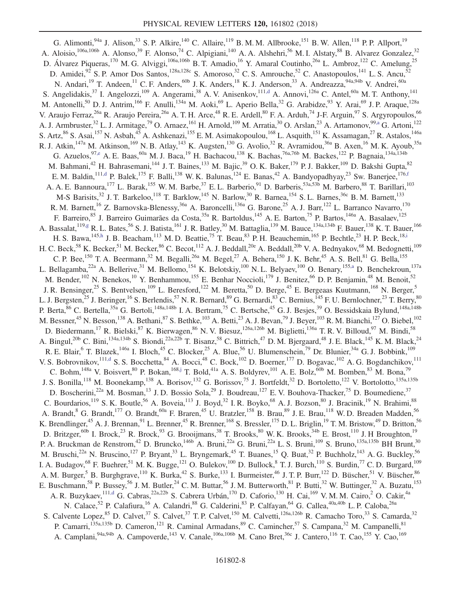<span id="page-8-5"></span><span id="page-8-4"></span><span id="page-8-3"></span><span id="page-8-2"></span><span id="page-8-1"></span><span id="page-8-0"></span>G. Alimonti, <sup>94a</sup> J. Alison, <sup>33</sup> S. P. Alkire, <sup>140</sup> C. Allaire, <sup>119</sup> B. M. M. Allbrooke, <sup>151</sup> B. W. Allen, <sup>118</sup> P. P. Allport, <sup>19</sup> A. Aloisio,<sup>106a,106b</sup> A. Alonso,<sup>39</sup> F. Alonso,<sup>74</sup> C. Alpigiani,<sup>140</sup> A. A. Alshehri,<sup>56</sup> M. I. Alstaty,<sup>88</sup> B. Alvarez Gonzalez,<sup>32</sup> D. Álvarez Piqueras,<sup>170</sup> M. G. Alviggi,<sup>106a,106b</sup> B. T. Amadio,<sup>16</sup> Y. Amaral Coutinho,<sup>26a</sup> L. Ambroz,<sup>122</sup> C. Amelung,<sup>25</sup> D. Amidei,<sup>92</sup> S. P. Amor Dos Santos,<sup>128a,128c</sup> S. Amoroso,<sup>32</sup> C. S. Amrouche,<sup>52</sup> C. Anastopoulos,<sup>141</sup> L. S. Ancu,<sup>52</sup> N. Andari,<sup>19</sup> T. Andeen,<sup>11</sup> C. F. Anders,<sup>60b</sup> J. K. Anders,<sup>18</sup> K. J. Anderson,<sup>33</sup> A. Andreazza,<sup>94a,94b</sup> V. Andrei,<sup>60a</sup> S. Angelidakis,<sup>37</sup> I. Angelozzi,<sup>109</sup> A. Angerami,<sup>38</sup> A. V. Anisenkov,<sup>11[1,d](#page-20-3)</sup> A. Annovi,<sup>126a</sup> C. Antel,<sup>60a</sup> M. T. Anthony,<sup>141</sup> M. Antonelli,<sup>50</sup> D. J. Antrim,<sup>166</sup> F. Anulli,<sup>134a</sup> M. Aoki,<sup>69</sup> L. Aperio Bella,<sup>32</sup> G. Arabidze,<sup>93</sup> Y. Arai,<sup>69</sup> J. P. Araque,<sup>128a</sup> V. Araujo Ferraz,<sup>26a</sup> R. Araujo Pereira,<sup>26a</sup> A. T. H. Arce,<sup>48</sup> R. E. Ardell,<sup>80</sup> F. A. Arduh,<sup>74</sup> J-F. Arguin,<sup>97</sup> S. Argyropoulos,<sup>66</sup> A. J. Armbruster,<sup>32</sup> L. J. Armitage,<sup>79</sup> O. Arnaez,<sup>161</sup> H. Arnold,<sup>109</sup> M. Arratia,<sup>30</sup> O. Arslan,<sup>23</sup> A. Artamonov,<sup>9[9,a](#page-20-0)</sup> G. Artoni,<sup>122</sup> S. Artz,<sup>86</sup> S. Asai,<sup>157</sup> N. Asbah,<sup>45</sup> A. Ashkenazi,<sup>155</sup> E. M. Asimakopoulou,<sup>168</sup> L. Asquith,<sup>151</sup> K. Assamagan,<sup>27</sup> R. Astalos,<sup>146a</sup> R. J. Atkin,<sup>147a</sup> M. Atkinson,<sup>169</sup> N. B. Atlay,<sup>143</sup> K. Augsten,<sup>130</sup> G. Avolio,<sup>32</sup> R. Avramidou,<sup>36a</sup> B. Axen,<sup>16</sup> M. K. Ayoub,<sup>35a</sup> G. Azuelos,  $97, e$  A. E. Baas,  $60a$  M. J. Baca,  $^{19}$  H. Bachacou,  $^{138}$  K. Bachas,  $^{76a,76b}$  M. Backes,  $^{122}$  P. Bagnaia,  $^{134a,134b}$ M. Bahmani,<sup>42</sup> H. Bahrasemani,<sup>144</sup> J. T. Baines,<sup>133</sup> M. Bajic,<sup>39</sup> O. K. Baker,<sup>179</sup> P. J. Bakker,<sup>109</sup> D. Bakshi Gupta,<sup>82</sup> E. M. Baldin,<sup>111[,d](#page-20-3)</sup> P. Balek,<sup>175</sup> F. Balli,<sup>138</sup> W. K. Balunas,<sup>124</sup> E. Banas,<sup>42</sup> A. Bandyopadhyay,<sup>23</sup> Sw. Banerjee,<sup>176[,f](#page-20-5)</sup> A. A. E. Bannoura,<sup>177</sup> L. Barak,<sup>155</sup> W. M. Barbe,<sup>37</sup> E. L. Barberio,<sup>91</sup> D. Barberis,<sup>53a,53b</sup> M. Barbero,<sup>88</sup> T. Barillari,<sup>103</sup> M-S Barisits,<sup>32</sup> J. T. Barkeloo,<sup>118</sup> T. Barklow,<sup>145</sup> N. Barlow,<sup>30</sup> R. Barnea,<sup>154</sup> S. L. Barnes,<sup>36c</sup> B. M. Barnett,<sup>133</sup> R. M. Barnett, <sup>16</sup> Z. Barnovska-Blenessy, <sup>36a</sup> A. Baroncelli, <sup>136a</sup> G. Barone, <sup>25</sup> A. J. Barr, <sup>122</sup> L. Barranco Navarro, <sup>170</sup> F. Barreiro, <sup>85</sup> J. Barreiro Guimarães da Costa, <sup>35a</sup> R. Bartoldus, <sup>145</sup> A. E. Barton, <sup>75</sup> P. Bartos, <sup>146a</sup> A. Basalaev, <sup>125</sup> A. Bassalat,  $^{119,g}$  $^{119,g}$  $^{119,g}$  R. L. Bates,  $^{56}$  S. J. Batista,  $^{161}$  J. R. Batley,  $^{30}$  M. Battaglia,  $^{139}$  M. Bauce,  $^{134a,134b}$  F. Bauer,  $^{138}$  K. T. Bauer,  $^{166}$ H. S. Bawa,<sup>145[,h](#page-20-7)</sup> J. B. Beacham,<sup>113</sup> M. D. Beattie,<sup>75</sup> T. Beau,<sup>83</sup> P. H. Beauchemin,<sup>165</sup> P. Bechtle,<sup>23</sup> H. P. Beck,<sup>18[,i](#page-20-8)</sup> H. C. Beck,<sup>58</sup> K. Becker,<sup>51</sup> M. Becker,<sup>86</sup> C. Becot,<sup>112</sup> A. J. Beddall,<sup>20e</sup> A. Beddall,<sup>20b</sup> V. A. Bednyakov,<sup>68</sup> M. Bedognetti,<sup>109</sup> C. P. Bee, <sup>150</sup> T. A. Beermann,<sup>32</sup> M. Begalli,<sup>26a</sup> M. Begel,<sup>27</sup> A. Behera,<sup>150</sup> J. K. Behr,<sup>45</sup> A. S. Bell,<sup>81</sup> G. Bella,<sup>155</sup> L. Bellagamba,<sup>22a</sup> A. Bellerive,<sup>31</sup> M. Bellomo,<sup>154</sup> K. Belotskiy,<sup>100</sup> N.L. Belyaev,<sup>100</sup> O. Benary,<sup>15[5,a](#page-20-0)</sup> D. Benchekroun,<sup>137a</sup> M. Bender, <sup>102</sup> N. Benekos, <sup>10</sup> Y. Benhammou, <sup>155</sup> E. Benhar Noccioli, <sup>179</sup> J. Benitez, <sup>66</sup> D. P. Benjamin, <sup>48</sup> M. Benoit, <sup>52</sup> J. R. Bensinger,<sup>25</sup> S. Bentvelsen,<sup>109</sup> L. Beresford,<sup>122</sup> M. Beretta,<sup>50</sup> D. Berge,<sup>45</sup> E. Bergeaas Kuutmann,<sup>168</sup> N. Berger,<sup>5</sup> L. J. Bergsten,<sup>25</sup> J. Beringer,<sup>16</sup> S. Berlendis,<sup>57</sup> N. R. Bernard,<sup>89</sup> G. Bernardi,<sup>83</sup> C. Bernius,<sup>145</sup> F. U. Bernlochner,<sup>23</sup> T. Berry,<sup>80</sup> P. Berta, <sup>86</sup> C. Bertella, <sup>35a</sup> G. Bertoli, <sup>148a, 148b</sup> I. A. Bertram, <sup>75</sup> C. Bertsche, <sup>45</sup> G. J. Besjes, <sup>39</sup> O. Bessidskaia Bylund, <sup>148a, 148b</sup> M. Bessner,<sup>45</sup> N. Besson,<sup>138</sup> A. Bethani,<sup>87</sup> S. Bethke,<sup>103</sup> A. Betti,<sup>23</sup> A. J. Bevan,<sup>79</sup> J. Beyer,<sup>103</sup> R. M. Bianchi,<sup>127</sup> O. Biebel,<sup>102</sup> D. Biedermann,<sup>17</sup> R. Bielski,<sup>87</sup> K. Bierwagen,<sup>86</sup> N. V. Biesuz,<sup>126a,126b</sup> M. Biglietti,<sup>136a</sup> T. R. V. Billoud,<sup>97</sup> M. Bindi,<sup>58</sup> A. Bingul,<sup>20b</sup> C. Bini,<sup>134a,134b</sup> S. Biondi,<sup>22a,22b</sup> T. Bisanz,<sup>58</sup> C. Bittrich,<sup>47</sup> D.M. Bjergaard,<sup>48</sup> J. E. Black,<sup>145</sup> K.M. Black,<sup>24</sup> R. E. Blair, <sup>6</sup> T. Blazek,<sup>146a</sup> I. Bloch,<sup>45</sup> C. Blocker,<sup>25</sup> A. Blue,<sup>56</sup> U. Blumenschein,<sup>79</sup> Dr. Blunier,<sup>34a</sup> G. J. Bobbink,<sup>109</sup> V. S. Bobrovnikov, $^{111,d}$  $^{111,d}$  $^{111,d}$  S. S. Bocchetta,  $^{84}$  A. Bocci,  $^{48}$  C. Bock,  $^{102}$  D. Boerner,  $^{177}$  D. Bogavac,  $^{102}$  A. G. Bogdanchikov,  $^{111}$ C. Bohm,  $^{148a}$  V. Boisvert,  $^{80}$  P. Bokan,  $^{168,j}$  $^{168,j}$  $^{168,j}$  T. Bold,  $^{41a}$  A. S. Boldyrev,  $^{101}$  A. E. Bolz,  $^{60b}$  M. Bomben,  $^{83}$  M. Bona,  $^{79}$ J. S. Bonilla,<sup>118</sup> M. Boonekamp,<sup>138</sup> A. Borisov,<sup>132</sup> G. Borissov,<sup>75</sup> J. Bortfeldt,<sup>32</sup> D. Bortoletto,<sup>122</sup> V. Bortolotto,<sup>135a,135b</sup> D. Boscherini,<sup>22a</sup> M. Bosman,<sup>13</sup> J. D. Bossio Sola,<sup>29</sup> J. Boudreau,<sup>127</sup> E. V. Bouhova-Thacker,<sup>75</sup> D. Boumediene,<sup>37</sup> C. Bourdarios,  $^{119}$  S. K. Boutle,  $^{56}$  A. Boveia,  $^{113}$  J. Boyd,  $^{32}$  I. R. Boyko,  $^{68}$  A. J. Bozson,  $^{80}$  J. Bracinik,  $^{19}$  N. Brahimi,  $^{88}$ A. Brandt, <sup>8</sup> G. Brandt,<sup>177</sup> O. Brandt,<sup>60a</sup> F. Braren,<sup>45</sup> U. Bratzler,<sup>158</sup> B. Brau,<sup>89</sup> J. E. Brau,<sup>118</sup> W. D. Breaden Madden,<sup>56</sup> K. Brendlinger,<sup>45</sup> A. J. Brennan,<sup>91</sup> L. Brenner,<sup>45</sup> R. Brenner,<sup>168</sup> S. Bressler,<sup>175</sup> D. L. Briglin,<sup>19</sup> T. M. Bristow,<sup>49</sup> D. Britton,<sup>56</sup> D. Britzger,  $^{60b}$  I. Brock,  $^{23}$  R. Brock,  $^{93}$  G. Brooijmans,  $^{38}$  T. Brooks,  $^{80}$  W. K. Brooks,  $^{34b}$  E. Brost,  $^{110}$  J. H Broughton,  $^{19}$ P. A. Bruckman de Renstrom,<sup>42</sup> D. Bruncko,<sup>146b</sup> A. Bruni,<sup>22a</sup> G. Bruni,<sup>22a</sup> L. S. Bruni,<sup>109</sup> S. Bruno,<sup>135a,135b</sup> BH Brunt,<sup>30</sup> M. Bruschi,<sup>22a</sup> N. Bruscino,<sup>127</sup> P. Bryant,<sup>33</sup> L. Bryngemark,<sup>45</sup> T. Buanes,<sup>15</sup> Q. Buat,<sup>32</sup> P. Buchholz,<sup>143</sup> A. G. Buckley,<sup>56</sup> I. A. Budagov,  $^{68}$  F. Buehrer,  $^{51}$  M. K. Bugge,  $^{121}$  O. Bulekov,  $^{100}$  D. Bullock,  $^8$  T. J. Burch,  $^{110}$  S. Burdin,  $^{77}$  C. D. Burgard,  $^{109}$ A. M. Burger,<sup>5</sup> B. Burghgrave,<sup>110</sup> K. Burka,<sup>42</sup> S. Burke,<sup>133</sup> I. Burmeister,<sup>46</sup> J. T. P. Burr,<sup>122</sup> D. Büscher,<sup>51</sup> V. Büscher,<sup>86</sup> E. Buschmann,<sup>58</sup> P. Bussey,<sup>56</sup> J. M. Butler,<sup>24</sup> C. M. Buttar,<sup>56</sup> J. M. Butterworth,<sup>81</sup> P. Butti,<sup>32</sup> W. Buttinger,<sup>32</sup> A. Buzatu,<sup>153</sup> A. R. Buzykaev,<sup>11[1,d](#page-20-3)</sup> G. Cabras,<sup>22a,22b</sup> S. Cabrera Urbán,<sup>170</sup> D. Caforio,<sup>130</sup> H. Cai,<sup>169</sup> V. M. M. Cairo,<sup>2</sup> O. Cakir,<sup>4a</sup> N. Calace,<sup>52</sup> P. Calafiura,<sup>16</sup> A. Calandri,<sup>88</sup> G. Calderini,<sup>83</sup> P. Calfayan,<sup>64</sup> G. Callea,<sup>40a,40b</sup> L. P. Caloba,<sup>26a</sup> S. Calvente Lopez, <sup>85</sup> D. Calvet, <sup>37</sup> S. Calvet, <sup>37</sup> T. P. Calvet, <sup>150</sup> M. Calvetti, <sup>126a, 126b</sup> R. Camacho Toro, <sup>33</sup> S. Camarda, <sup>32</sup> P. Camarri,<sup>135a,135b</sup> D. Cameron,<sup>121</sup> R. Caminal Armadans,<sup>89</sup> C. Camincher,<sup>57</sup> S. Campana,<sup>32</sup> M. Campanelli,<sup>81</sup> A. Camplani,  $^{94a,94b}$  A. Campoverde,  $^{143}$  V. Canale,  $^{106a,106b}$  M. Cano Bret,  $^{36c}$  J. Cantero,  $^{116}$  T. Cao,  $^{155}$  Y. Cao,  $^{169}$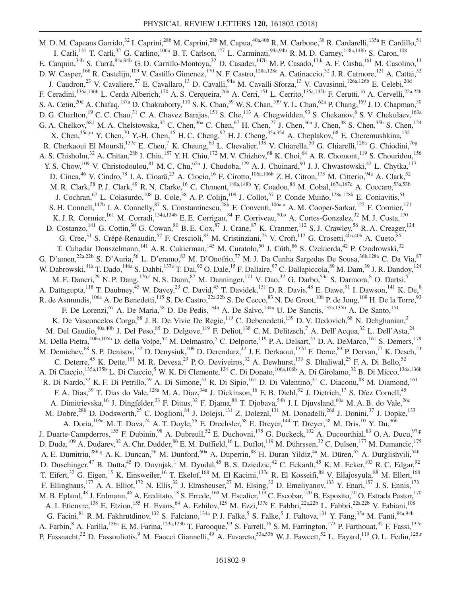<span id="page-9-7"></span><span id="page-9-6"></span><span id="page-9-5"></span><span id="page-9-4"></span><span id="page-9-3"></span><span id="page-9-2"></span><span id="page-9-1"></span><span id="page-9-0"></span>M. D. M. Capeans Garrido,<sup>32</sup> I. Caprini,<sup>28b</sup> M. Caprini,<sup>28b</sup> M. Capua,<sup>40a,40b</sup> R. M. Carbone,<sup>38</sup> R. Cardarelli,<sup>135a</sup> F. Cardillo,<sup>51</sup> I. Carli,<sup>131</sup> T. Carli,<sup>32</sup> G. Carlino,<sup>106a</sup> B. T. Carlson,<sup>127</sup> L. Carminati,<sup>94a,94b</sup> R. M. D. Carney,<sup>148a,148b</sup> S. Caron,<sup>108</sup> E. Carquin,<sup>34b</sup> S. Carrá,<sup>94a,94b</sup> G. D. Carrillo-Montoya,<sup>32</sup> D. Casadei,<sup>147b</sup> M. P. Casado,<sup>1[3,k](#page-20-10)</sup> A. F. Casha,<sup>161</sup> M. Casolino,<sup>13</sup> D. W. Casper, <sup>166</sup> R. Castelijn, <sup>109</sup> V. Castillo Gimenez, <sup>170</sup> N. F. Castro, <sup>128a, 128e</sup> A. Catinaccio,<sup>32</sup> J. R. Catmore, <sup>121</sup> A. Cattai, <sup>32</sup> J. Caudron,<sup>23</sup> V. Cavaliere,<sup>27</sup> E. Cavallaro,<sup>13</sup> D. Cavalli,<sup>94a</sup> M. Cavalli-Sforza,<sup>13</sup> V. Cavasinni,<sup>126a,126b</sup> E. Celebi,<sup>20d</sup> F. Ceradini, <sup>136a,136b</sup> L. Cerda Alberich, <sup>170</sup> A. S. Cerqueira, <sup>26b</sup> A. Cerri, <sup>151</sup> L. Cerrito, <sup>135a,135b</sup> F. Cerutti, <sup>16</sup> A. Cervelli, <sup>22a,22b</sup> S. A. Cetin,<sup>20d</sup> A. Chafaq,<sup>137a</sup> D. Chakraborty,<sup>110</sup> S. K. Chan,<sup>59</sup> W. S. Chan,<sup>109</sup> Y. L. Chan,<sup>62a</sup> P. Chang,<sup>169</sup> J. D. Chapman,<sup>30</sup> D. G. Charlton,<sup>19</sup> C. C. Chau,<sup>31</sup> C. A. Chavez Barajas,<sup>151</sup> S. Che,<sup>113</sup> A. Chegwidden,<sup>93</sup> S. Chekanov,<sup>6</sup> S. V. Chekulaev,<sup>163a</sup> G. A. Chelkov,  $^{68,1}$  M. A. Chelstowska,  $^{32}$  C. Chen,  $^{36a}$  C. Chen,  $^{67}$  H. Chen,  $^{27}$  J. Chen,  $^{36a}$  J. Chen,  $^{38}$  S. Chen,  $^{35b}$  S. Chen,  $^{124}$ X. Chen,<sup>35[c,m](#page-20-12)</sup> Y. Chen,<sup>70</sup> Y.-H. Chen,<sup>45</sup> H. C. Cheng,<sup>92</sup> H. J. Cheng,<sup>35a,35d</sup> A. Cheplakov,<sup>68</sup> E. Cheremushkina,<sup>132</sup> R. Cherkaoui El Moursli,<sup>137e</sup> E. Cheu,<sup>7</sup> K. Cheung,<sup>63</sup> L. Chevalier,<sup>138</sup> V. Chiarella,<sup>50</sup> G. Chiarelli,<sup>126a</sup> G. Chiodini,<sup>76a</sup> A. S. Chisholm,<sup>32</sup> A. Chitan,<sup>28b</sup> I. Chiu,<sup>157</sup> Y. H. Chiu,<sup>172</sup> M. V. Chizhov,<sup>68</sup> K. Choi,<sup>64</sup> A. R. Chomont,<sup>119</sup> S. Chouridou,<sup>156</sup> Y. S. Chow,  $^{109}$  V. Christodoulou,  $^{81}$  M. C. Chu,  $^{62a}$  J. Chudoba,  $^{129}$  A. J. Chuinard,  $^{90}$  J. J. Chwastowski,  $^{42}$  L. Chytka,  $^{117}$ D. Cinca, <sup>46</sup> V. Cindro, <sup>78</sup> I. A. Cioară, <sup>23</sup> A. Ciocio, <sup>16</sup> F. Cirotto, <sup>106a, 106b</sup> Z. H. Citron, <sup>175</sup> M. Citterio, <sup>94a</sup> A. Clark, <sup>52</sup> M. R. Clark,<sup>38</sup> P. J. Clark,<sup>49</sup> R. N. Clarke,<sup>16</sup> C. Clement,<sup>148a,148b</sup> Y. Coadou,<sup>88</sup> M. Cobal,<sup>167a,167c</sup> A. Coccaro,<sup>53a,53b</sup> J. Cochran, <sup>67</sup> L. Colasurdo, <sup>108</sup> B. Cole, <sup>38</sup> A. P. Colijn, <sup>109</sup> J. Collot, <sup>57</sup> P. Conde Muiño, <sup>128a, 128b</sup> E. Coniavitis, <sup>51</sup> S. H. Connell,<sup>147b</sup> I. A. Connelly,<sup>87</sup> S. Constantinescu,<sup>28b</sup> F. Conventi,<sup>106a[,n](#page-20-13)</sup> A. M. Cooper-Sarkar,<sup>122</sup> F. Cormier,<sup>171</sup> K. J. R. Cormier,<sup>161</sup> M. Corradi,<sup>134a,134b</sup> E. E. Corrigan,<sup>84</sup> F. Corriveau,<sup>90[,o](#page-20-14)</sup> A. Cortes-Gonzalez,<sup>32</sup> M. J. Costa,<sup>170</sup> D. Costanzo,<sup>141</sup> G. Cottin,<sup>30</sup> G. Cowan,<sup>80</sup> B. E. Cox,<sup>87</sup> J. Crane,<sup>87</sup> K. Cranmer,<sup>112</sup> S. J. Crawley,<sup>56</sup> R. A. Creager,<sup>124</sup> G. Cree,<sup>31</sup> S. Crépé-Renaudin,<sup>57</sup> F. Crescioli,<sup>83</sup> M. Cristinziani,<sup>23</sup> V. Croft,<sup>112</sup> G. Crosetti,<sup>40a,40b</sup> A. Cueto,<sup>85</sup> T. Cuhadar Donszelmann,<sup>141</sup> A. R. Cukierman,<sup>145</sup> M. Curatolo,<sup>50</sup> J. Cúth,<sup>86</sup> S. Czekierda,<sup>42</sup> P. Czodrowski,<sup>32</sup> G. D'amen,<sup>22a,22b</sup> S. D'Auria,<sup>56</sup> L. D'eramo,<sup>83</sup> M. D'Onofrio,<sup>77</sup> M. J. Da Cunha Sargedas De Sousa,<sup>36b,128a</sup> C. Da Via,<sup>87</sup> W. Dabrowski,<sup>41a</sup> T. Dado,<sup>146a</sup> S. Dahbi,<sup>137e</sup> T. Dai,<sup>92</sup> O. Dale,<sup>15</sup> F. Dallaire,<sup>97</sup> C. Dallapiccola,<sup>89</sup> M. Dam,<sup>39</sup> J. R. Dandoy,<sup>124</sup> M. F. Daneri,<sup>29</sup> N. P. Dang,<sup>17[6,f](#page-20-5)</sup> N. S. Dann,<sup>87</sup> M. Danninger,<sup>171</sup> V. Dao,<sup>32</sup> G. Darbo,<sup>53a</sup> S. Darmora,<sup>8</sup> O. Dartsi,<sup>5</sup> A. Dattagupta,<sup>118</sup> T. Daubney,<sup>45</sup> W. Davey,<sup>23</sup> C. David,<sup>45</sup> T. Davidek,<sup>131</sup> D. R. Davis,<sup>48</sup> E. Dawe,<sup>91</sup> I. Dawson,<sup>141</sup> K. De,<sup>8</sup> R. de Asmundis,  $^{106a}$  A. De Benedetti,  $^{115}$  S. De Castro,  $^{22a,22b}$  S. De Cecco,  $^{83}$  N. De Groot,  $^{108}$  P. de Jong,  $^{109}$  H. De la Torre,  $^{93}$ F. De Lorenzi,<sup>67</sup> A. De Maria,<sup>58</sup> D. De Pedis,<sup>134a</sup> A. De Salvo,<sup>134a</sup> U. De Sanctis,<sup>135a,135b</sup> A. De Santo,<sup>151</sup> K. De Vasconcelos Corga, <sup>88</sup> J. B. De Vivie De Regie, <sup>119</sup> C. Debenedetti, <sup>139</sup> D. V. Dedovich, <sup>68</sup> N. Dehghanian, <sup>3</sup> M. Del Gaudio,<sup>40a,40b</sup> J. Del Peso,<sup>85</sup> D. Delgove,<sup>119</sup> F. Deliot,<sup>138</sup> C. M. Delitzsch,<sup>7</sup> A. Dell'Acqua,<sup>32</sup> L. Dell'Asta,<sup>24</sup> M. Della Pietra, $\frac{106a,106b}{S}$  D. della Volpe,<sup>52</sup> M. Delmastro,<sup>5</sup> C. Delporte,<sup>119</sup> P. A. Delsart,<sup>57</sup> D. A. DeMarco,<sup>161</sup> S. Demers,<sup>179</sup> M. Demichev,<sup>68</sup> S. P. Denisov,<sup>132</sup> D. Denysiuk,<sup>109</sup> D. Derendarz,<sup>42</sup> J. E. Derkaoui,<sup>137d</sup> F. Derue,<sup>83</sup> P. Dervan,<sup>77</sup> K. Desch,<sup>23</sup> C. Deterre,<sup>45</sup> K. Dette,<sup>161</sup> M. R. Devesa,<sup>29</sup> P. O. Deviveiros,<sup>32</sup> A. Dewhurst,<sup>133</sup> S. Dhaliwal,<sup>25</sup> F. A. Di Bello,<sup>52</sup> A. Di Ciaccio,<sup>135a,135b</sup> L. Di Ciaccio,<sup>5</sup> W. K. Di Clemente,<sup>124</sup> C. Di Donato,<sup>106a,106b</sup> A. Di Girolamo,<sup>32</sup> B. Di Micco,<sup>136a,136b</sup> R. Di Nardo,<sup>32</sup> K. F. Di Petrillo,<sup>59</sup> A. Di Simone,<sup>51</sup> R. Di Sipio,<sup>161</sup> D. Di Valentino,<sup>31</sup> C. Diaconu,<sup>88</sup> M. Diamond,<sup>161</sup> F. A. Dias,<sup>39</sup> T. Dias do Vale,<sup>128a</sup> M. A. Diaz,<sup>34a</sup> J. Dickinson,<sup>16</sup> E. B. Diehl,<sup>92</sup> J. Dietrich,<sup>17</sup> S. Díez Cornell,<sup>45</sup> A. Dimitrievska,<sup>16</sup> J. Dingfelder,<sup>23</sup> F. Dittus,<sup>32</sup> F. Djama,<sup>88</sup> T. Djobava,<sup>54b</sup> J. I. Djuvsland,<sup>60a</sup> M. A. B. do Vale,<sup>26c</sup> M. Dobre,<sup>28b</sup> D. Dodsworth,<sup>25</sup> C. Doglioni,<sup>84</sup> J. Dolejsi,<sup>131</sup> Z. Dolezal,<sup>131</sup> M. Donadelli,<sup>26d</sup> J. Donini,<sup>37</sup> J. Dopke,<sup>133</sup> A. Doria,  $^{106a}$  M. T. Dova,  $^{74}$  A. T. Doyle,  $^{56}$  E. Drechsler,  $^{58}$  E. Dreyer,  $^{144}$  T. Dreyer,  $^{58}$  M. Dris,  $^{10}$  Y. Du,  $^{36b}$ J. Duarte-Campderros,<sup>155</sup> F. Dubinin,<sup>98</sup> A. Dubreuil,<sup>52</sup> E. Duchovni,<sup>175</sup> G. Duckeck,<sup>102</sup> A. Ducourthial,<sup>83</sup> O. A. Ducu,<sup>97[,p](#page-20-15)</sup> D. Duda,<sup>109</sup> A. Dudarev,<sup>32</sup> A. Chr. Dudder,<sup>86</sup> E. M. Duffield,<sup>16</sup> L. Duflot,<sup>119</sup> M. Dührssen,<sup>32</sup> C. Dulsen,<sup>177</sup> M. Dumancic,<sup>175</sup> A. E. Dumitriu,<sup>28b[,q](#page-20-16)</sup> A. K. Duncan,<sup>56</sup> M. Dunford,<sup>60a</sup> A. Duperrin,<sup>88</sup> H. Duran Yildiz,<sup>4a</sup> M. Düren,<sup>55</sup> A. Durglishvili,<sup>54b</sup> D. Duschinger,<sup>47</sup> B. Dutta,<sup>45</sup> D. Duvnjak,<sup>1</sup> M. Dyndal,<sup>45</sup> B. S. Dziedzic,<sup>42</sup> C. Eckardt,<sup>45</sup> K. M. Ecker,<sup>103</sup> R. C. Edgar,<sup>92</sup> T. Eifert,<sup>32</sup> G. Eigen,<sup>15</sup> K. Einsweiler,<sup>16</sup> T. Ekelof,<sup>168</sup> M. El Kacimi,<sup>137c</sup> R. El Kosseifi,<sup>88</sup> V. Ellajosyula,<sup>88</sup> M. Ellert,<sup>168</sup> F. Ellinghaus,<sup>177</sup> A. A. Elliot,<sup>172</sup> N. Ellis,<sup>32</sup> J. Elmsheuser,<sup>27</sup> M. Elsing,<sup>32</sup> D. Emeliyanov,<sup>133</sup> Y. Enari,<sup>157</sup> J. S. Ennis,<sup>173</sup> M. B. Epland,<sup>48</sup> J. Erdmann,<sup>46</sup> A. Ereditato,<sup>18</sup> S. Errede,<sup>169</sup> M. Escalier,<sup>119</sup> C. Escobar,<sup>170</sup> B. Esposito,<sup>50</sup> O. Estrada Pastor,<sup>170</sup> A. I. Etienvre,<sup>138</sup> E. Etzion,<sup>155</sup> H. Evans,<sup>64</sup> A. Ezhilov,<sup>125</sup> M. Ezzi,<sup>137e</sup> F. Fabbri,<sup>22a,22b</sup> L. Fabbri,<sup>22a,22b</sup> V. Fabiani,<sup>108</sup> G. Facini, <sup>81</sup> R. M. Fakhrutdinov, <sup>132</sup> S. Falciano, <sup>134a</sup> P. J. Falke, <sup>5</sup> S. Falke, <sup>5</sup> J. Faltova, <sup>131</sup> Y. Fang, <sup>35a</sup> M. Fanti, <sup>94a, 94b</sup> A. Farbin, <sup>8</sup> A. Farilla, <sup>136a</sup> E. M. Farina, <sup>123a,123b</sup> T. Farooque, <sup>93</sup> S. Farrell, <sup>16</sup> S. M. Farrington, <sup>173</sup> P. Farthouat, <sup>32</sup> F. Fassi, <sup>137e</sup> P. Fassnacht,<sup>32</sup> D. Fassouliotis,<sup>9</sup> M. Faucci Giannelli,<sup>49</sup> A. Favareto,<sup>53a,53b</sup> W. J. Fawcett,<sup>52</sup> L. Fayard,<sup>119</sup> O. L. Fedin,<sup>125[,r](#page-20-17)</sup>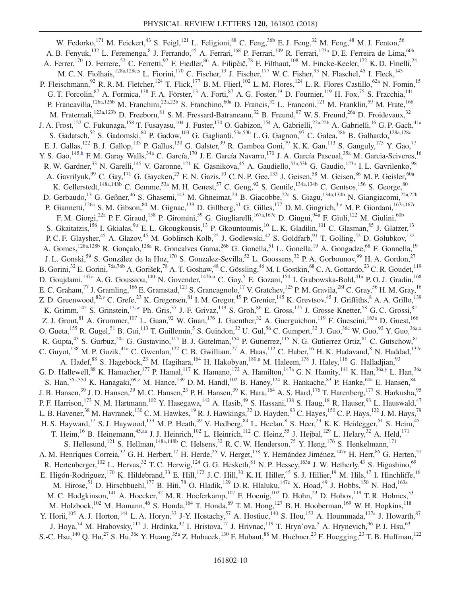<span id="page-10-8"></span><span id="page-10-7"></span><span id="page-10-6"></span><span id="page-10-5"></span><span id="page-10-4"></span><span id="page-10-3"></span><span id="page-10-2"></span><span id="page-10-1"></span><span id="page-10-0"></span>W. Fedorko,<sup>171</sup> M. Feickert,<sup>43</sup> S. Feigl,<sup>121</sup> L. Feligioni,<sup>88</sup> C. Feng,<sup>36b</sup> E. J. Feng,<sup>32</sup> M. Feng,<sup>48</sup> M. J. Fenton,<sup>56</sup> A. B. Fenyuk,<sup>132</sup> L. Feremenga,<sup>8</sup> J. Ferrando,<sup>45</sup> A. Ferrari,<sup>168</sup> P. Ferrari,<sup>109</sup> R. Ferrari,<sup>123a</sup> D. E. Ferreira de Lima,<sup>60b</sup> A. Ferrer,<sup>170</sup> D. Ferrere,<sup>52</sup> C. Ferretti,<sup>92</sup> F. Fiedler,<sup>86</sup> A. Filipčič,<sup>78</sup> F. Filthaut,<sup>108</sup> M. Fincke-Keeler,<sup>172</sup> K.D. Finelli,<sup>24</sup> M. C. N. Fiolhais,<sup>128a,128c[,s](#page-20-18)</sup> L. Fiorini,<sup>170</sup> C. Fischer,<sup>13</sup> J. Fischer,<sup>177</sup> W. C. Fisher,<sup>93</sup> N. Flaschel,<sup>45</sup> I. Fleck,<sup>143</sup> P. Fleischmann,<sup>92</sup> R. R. M. Fletcher,<sup>124</sup> T. Flick,<sup>177</sup> B. M. Flierl,<sup>102</sup> L. M. Flores,<sup>124</sup> L. R. Flores Castillo,<sup>62a</sup> N. Fomin,<sup>15</sup> G. T. Forcolin,  $87$  A. Formica,  $138$  F. A. Förster,  $13$  A. Forti,  $87$  A. G. Foster,  $19$  D. Fournier,  $119$  H. Fox,  $75$  S. Fracchia,  $141$ P. Francavilla, <sup>126a,126b</sup> M. Franchini, <sup>22a,22b</sup> S. Franchino, <sup>60a</sup> D. Francis, <sup>32</sup> L. Franconi, <sup>121</sup> M. Franklin, <sup>59</sup> M. Frate, <sup>166</sup> M. Fraternali,<sup>123a,123b</sup> D. Freeborn,<sup>81</sup> S. M. Fressard-Batraneanu,<sup>32</sup> B. Freund,<sup>97</sup> W. S. Freund,<sup>26a</sup> D. Froidevaux,<sup>32</sup> J. A. Frost,<sup>122</sup> C. Fukunaga,<sup>158</sup> T. Fusayasu,<sup>104</sup> J. Fuster,<sup>170</sup> O. Gabizon,<sup>154</sup> A. Gabrielli,<sup>22a,22b</sup> A. Gabrielli,<sup>16</sup> G. P. Gach,<sup>41a</sup> S. Gadatsch,<sup>52</sup> S. Gadomski,<sup>80</sup> P. Gadow,<sup>103</sup> G. Gagliardi,<sup>53a,53b</sup> L. G. Gagnon,<sup>97</sup> C. Galea,<sup>28b</sup> B. Galhardo,<sup>128a,128c</sup> E. J. Gallas,<sup>122</sup> B. J. Gallop,<sup>133</sup> P. Gallus,<sup>130</sup> G. Galster,<sup>39</sup> R. Gamboa Goni,<sup>79</sup> K. K. Gan,<sup>113</sup> S. Ganguly,<sup>175</sup> Y. Gao,<sup>77</sup> Y. S. Gao, <sup>145[,h](#page-20-7)</sup> F. M. Garay Walls,<sup>34a</sup> C. García,<sup>170</sup> J. E. García Navarro,<sup>170</sup> J. A. García Pascual,<sup>35a</sup> M. Garcia-Sciveres,<sup>16</sup> R. W. Gardner,<sup>33</sup> N. Garelli,<sup>145</sup> V. Garonne,<sup>121</sup> K. Gasnikova,<sup>45</sup> A. Gaudiello,<sup>53a,53b</sup> G. Gaudio,<sup>123a</sup> I. L. Gavrilenko,<sup>98</sup> A. Gavrilyuk,  $99$  C. Gay,  $^{171}$  G. Gaycken,  $^{23}$  E. N. Gazis,  $^{10}$  C. N. P. Gee,  $^{133}$  J. Geisen,  $^{58}$  M. Geisen,  $^{86}$  M. P. Geisler,  $^{60a}$ K. Gellerstedt,  $^{148a,148b}$  C. Gemme,  $^{53a}$  M. H. Genest,  $^{57}$  C. Geng,  $^{92}$  S. Gentile,  $^{134a,134b}$  C. Gentsos,  $^{156}$  S. George,  $^{80}$ D. Gerbaudo,<sup>13</sup> G. Geßner,<sup>46</sup> S. Ghasemi,<sup>143</sup> M. Ghneimat,<sup>23</sup> B. Giacobbe,<sup>22a</sup> S. Giagu,<sup>134a,134b</sup> N. Giangiacomi,<sup>22a,22b</sup> P. Giannetti,<sup>126a</sup> S. M. Gibson,<sup>80</sup> M. Gignac,<sup>139</sup> D. Gillberg,<sup>31</sup> G. Gilles,<sup>177</sup> D. M. Gingrich,<sup>3[,e](#page-20-4)</sup> M. P. Giordani,<sup>167a,167c</sup> F. M. Giorgi,<sup>22a</sup> P. F. Giraud,<sup>138</sup> P. Giromini,<sup>59</sup> G. Giugliarelli,<sup>167a,167c</sup> D. Giugni,<sup>94a</sup> F. Giuli,<sup>122</sup> M. Giulini,<sup>60b</sup> S. Gkaitatzis,<sup>156</sup> I. Gkialas,<sup>[9,t](#page-20-19)</sup> E. L. Gkougkousis,<sup>13</sup> P. Gkountoumis,<sup>10</sup> L. K. Gladilin,<sup>101</sup> C. Glasman,<sup>85</sup> J. Glatzer,<sup>13</sup> P. C. F. Glaysher,<sup>45</sup> A. Glazov,<sup>45</sup> M. Goblirsch-Kolb,<sup>25</sup> J. Godlewski,<sup>42</sup> S. Goldfarb,<sup>91</sup> T. Golling,<sup>52</sup> D. Golubkov,<sup>132</sup> A. Gomes,<sup>128a,128b</sup> R. Gonçalo,<sup>128a</sup> R. Goncalves Gama,<sup>26b</sup> G. Gonella,<sup>51</sup> L. Gonella,<sup>19</sup> A. Gongadze,<sup>68</sup> F. Gonnella,<sup>19</sup> J. L. Gonski,<sup>59</sup> S. González de la Hoz,<sup>170</sup> S. Gonzalez-Sevilla,<sup>52</sup> L. Goossens,<sup>32</sup> P. A. Gorbounov,<sup>99</sup> H. A. Gordon,<sup>27</sup> B. Gorini,<sup>32</sup> E. Gorini,<sup>76a,76b</sup> A. Gorišek,<sup>78</sup> A. T. Goshaw,<sup>48</sup> C. Gössling,<sup>46</sup> M. I. Gostkin,<sup>68</sup> C. A. Gottardo,<sup>23</sup> C. R. Goudet,<sup>119</sup> D. Goujdami,<sup>137c</sup> A. G. Goussiou,<sup>140</sup> N. Govender,<sup>147b[,u](#page-20-20)</sup> C. Goy,<sup>5</sup> E. Gozani,<sup>154</sup> I. Grabowska-Bold,<sup>41a</sup> P.O.J. Gradin,<sup>168</sup> E. C. Graham,<sup>77</sup> J. Gramling,<sup>166</sup> E. Gramstad,<sup>121</sup> S. Grancagnolo,<sup>17</sup> V. Gratchev,<sup>125</sup> P. M. Gravila,<sup>28f</sup> C. Gray,<sup>56</sup> H. M. Gray,<sup>16</sup> Z. D. Greenwood,  $82, v$  C. Grefe,  $23$  K. Gregersen,  $81$  I. M. Gregor,  $45$  P. Grenier,  $145$  K. Grevtsov,  $45$  J. Griffiths,  $8$  A. A. Grillo,  $139$ K. Grimm,<sup>145</sup> S. Grinstein,<sup>1[3,w](#page-20-22)</sup> Ph. Gris,<sup>37</sup> J.-F. Grivaz,<sup>119</sup> S. Groh,<sup>86</sup> E. Gross,<sup>175</sup> J. Grosse-Knetter,<sup>58</sup> G. C. Grossi,<sup>82</sup> Z. J. Grout, <sup>81</sup> A. Grummer, <sup>107</sup> L. Guan, <sup>92</sup> W. Guan, <sup>176</sup> J. Guenther, <sup>32</sup> A. Guerguichon, <sup>119</sup> F. Guescini, <sup>163a</sup> D. Guest, <sup>166</sup> O. Gueta,  $^{155}$  R. Gugel,  $^{51}$  B. Gui,  $^{113}$  T. Guillemin,  $^5$  S. Guindon,  $^{32}$  U. Gul,  $^{56}$  C. Gumpert,  $^{32}$  J. Guo,  $^{36}$  W. Guo,  $^{92}$  Y. Guo,  $^{36a,x}$  $^{36a,x}$  $^{36a,x}$ R. Gupta,  $^{43}$  S. Gurbuz,  $^{20a}$  G. Gustavino,  $^{115}$  B. J. Gutelman,  $^{154}$  P. Gutierrez,  $^{115}$  N. G. Gutierrez Ortiz,  $^{81}$  C. Gutschow,  $^{81}$ C. Guyot,<sup>138</sup> M. P. Guzik,<sup>41a</sup> C. Gwenlan,<sup>122</sup> C. B. Gwilliam,<sup>77</sup> A. Haas,<sup>112</sup> C. Haber,<sup>16</sup> H. K. Hadavand,<sup>8</sup> N. Haddad,<sup>137e</sup> A. Hadef,<sup>88</sup> S. Hageböck,<sup>23</sup> M. Hagihara,<sup>164</sup> H. Hakobyan,<sup>180[,a](#page-20-0)</sup> M. Haleem,<sup>178</sup> J. Haley,<sup>116</sup> G. Halladjian,<sup>93</sup> G. D. Hallewell,<sup>88</sup> K. Hamacher,<sup>177</sup> P. Hamal,<sup>117</sup> K. Hamano,<sup>172</sup> A. Hamilton,<sup>147a</sup> G. N. Hamity,<sup>141</sup> K. Han,<sup>36[a,y](#page-20-24)</sup> L. Han,<sup>36a</sup> S. Han,<sup>35a,35d</sup> K. Hanagaki,<sup>6[9,z](#page-20-25)</sup> M. Hance,<sup>139</sup> D. M. Handl,<sup>102</sup> B. Haney,<sup>124</sup> R. Hankache,<sup>83</sup> P. Hanke,<sup>60a</sup> E. Hansen,<sup>84</sup> J. B. Hansen,<sup>39</sup> J. D. Hansen,<sup>39</sup> M. C. Hansen,<sup>23</sup> P. H. Hansen,<sup>39</sup> K. Hara,<sup>164</sup> A. S. Hard,<sup>176</sup> T. Harenberg,<sup>177</sup> S. Harkusha,<sup>95</sup> P. F. Harrison,<sup>173</sup> N. M. Hartmann,<sup>102</sup> Y. Hasegawa,<sup>142</sup> A. Hasib,<sup>49</sup> S. Hassani,<sup>138</sup> S. Haug,<sup>18</sup> R. Hauser,<sup>93</sup> L. Hauswald,<sup>47</sup> L. B. Havener,<sup>38</sup> M. Havranek,<sup>130</sup> C. M. Hawkes,<sup>19</sup> R. J. Hawkings,<sup>32</sup> D. Hayden,<sup>93</sup> C. Hayes,<sup>150</sup> C. P. Hays,<sup>122</sup> J. M. Hays,<sup>79</sup> H. S. Hayward,<sup>77</sup> S. J. Haywood,<sup>133</sup> M. P. Heath,<sup>49</sup> V. Hedberg,<sup>84</sup> L. Heelan,<sup>8</sup> S. Heer,<sup>23</sup> K. K. Heidegger,<sup>51</sup> S. Heim,<sup>45</sup> T. Heim,<sup>16</sup> B. Heinemann,<sup>4[5,aa](#page-20-26)</sup> J. J. Heinrich,<sup>102</sup> L. Heinrich,<sup>112</sup> C. Heinz,<sup>55</sup> J. Hejbal,<sup>129</sup> L. Helary,<sup>32</sup> A. Held,<sup>171</sup> S. Hellesund,<sup>121</sup> S. Hellman,<sup>148a,148b</sup> C. Helsens,<sup>32</sup> R. C. W. Henderson,<sup>75</sup> Y. Heng,<sup>176</sup> S. Henkelmann,<sup>171</sup> A. M. Henriques Correia,<sup>32</sup> G. H. Herbert,<sup>17</sup> H. Herde,<sup>25</sup> V. Herget,<sup>178</sup> Y. Hernández Jiménez,<sup>147c</sup> H. Herr,<sup>86</sup> G. Herten,<sup>51</sup> R. Hertenberger,<sup>102</sup> L. Hervas,<sup>32</sup> T. C. Herwig,<sup>124</sup> G. G. Hesketh,<sup>81</sup> N. P. Hessey,<sup>163a</sup> J. W. Hetherly,<sup>43</sup> S. Higashino,<sup>69</sup> E. Higón-Rodriguez,<sup>170</sup> K. Hildebrand,<sup>33</sup> E. Hill,<sup>172</sup> J. C. Hill,<sup>30</sup> K. H. Hiller,<sup>45</sup> S. J. Hillier,<sup>19</sup> M. Hils,<sup>47</sup> I. Hinchliffe,<sup>16</sup> M. Hirose,<sup>51</sup> D. Hirschbuehl,<sup>177</sup> B. Hiti,<sup>78</sup> O. Hladik,<sup>129</sup> D. R. Hlaluku,<sup>147c</sup> X. Hoad,<sup>49</sup> J. Hobbs,<sup>150</sup> N. Hod,<sup>163a</sup> M. C. Hodgkinson,<sup>141</sup> A. Hoecker,<sup>32</sup> M. R. Hoeferkamp,<sup>107</sup> F. Hoenig,<sup>102</sup> D. Hohn,<sup>23</sup> D. Hohov,<sup>119</sup> T. R. Holmes,<sup>33</sup> M. Holzbock,<sup>102</sup> M. Homann,<sup>46</sup> S. Honda,<sup>164</sup> T. Honda,<sup>69</sup> T. M. Hong,<sup>127</sup> B. H. Hooberman,<sup>169</sup> W. H. Hopkins,<sup>118</sup> Y. Horii,<sup>105</sup> A. J. Horton,<sup>144</sup> L. A. Horyn,<sup>33</sup> J-Y. Hostachy,<sup>57</sup> A. Hostiuc,<sup>140</sup> S. Hou,<sup>153</sup> A. Hoummada,<sup>137a</sup> J. Howarth,<sup>87</sup> J. Hoya,<sup>74</sup> M. Hrabovsky,<sup>117</sup> J. Hrdinka,<sup>32</sup> I. Hristova,<sup>17</sup> J. Hrivnac,<sup>119</sup> T. Hryn'ova,<sup>5</sup> A. Hrynevich,<sup>96</sup> P. J. Hsu,<sup>63</sup> S.-C. Hsu,<sup>140</sup> Q. Hu,<sup>27</sup> S. Hu,<sup>36c</sup> Y. Huang,<sup>35a</sup> Z. Hubacek,<sup>130</sup> F. Hubaut,<sup>88</sup> M. Huebner,<sup>23</sup> F. Huegging,<sup>23</sup> T. B. Huffman,<sup>122</sup>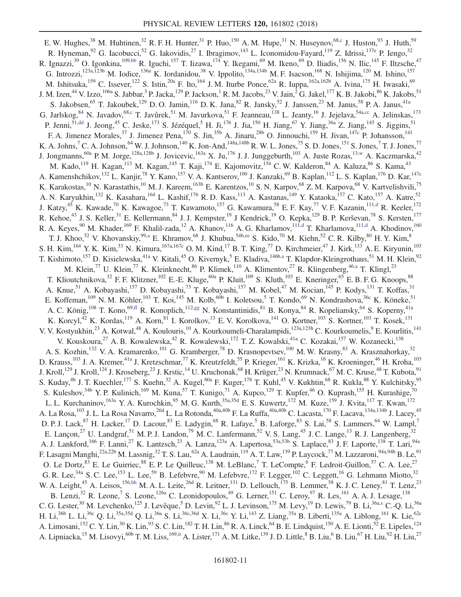<span id="page-11-6"></span><span id="page-11-5"></span><span id="page-11-4"></span><span id="page-11-3"></span><span id="page-11-2"></span><span id="page-11-1"></span><span id="page-11-0"></span>E. W. Hughes,  $^{38}$  M. Huhtinen,  $^{32}$  R. F. H. Hunter,  $^{31}$  P. Huo,  $^{150}$  A. M. Hupe,  $^{31}$  N. Huseynov,  $^{68,c}$  $^{68,c}$  $^{68,c}$  J. Huston,  $^{93}$  J. Huth,  $^{59}$ R. Hyneman,  $92$  G. Iacobucci,  $52$  G. Iakovidis,  $27$  I. Ibragimov,  $143$  L. Iconomidou-Fayard,  $119$  Z. Idrissi,  $137$ e P. Iengo,  $32$ R. Ignazzi,<sup>39</sup> O. Igonkina,<sup>10[9,bb](#page-20-27)</sup> R. Iguchi,<sup>157</sup> T. Iizawa,<sup>174</sup> Y. Ikegami,<sup>69</sup> M. Ikeno,<sup>69</sup> D. Iliadis,<sup>156</sup> N. Ilic,<sup>145</sup> F. Iltzsche,<sup>47</sup> G. Introzzi,  $^{123a,123b}$  M. Iodice,  $^{136a}$  K. Iordanidou,  $^{38}$  V. Ippolito,  $^{134a,134b}$  M. F. Isacson,  $^{168}$  N. Ishijima,  $^{120}$  M. Ishino,  $^{157}$ M. Ishitsuka,<sup>159</sup> C. Issever,<sup>122</sup> S. Istin,<sup>20a</sup> F. Ito,<sup>164</sup> J. M. Iturbe Ponce,<sup>62a</sup> R. Iuppa,<sup>162a,162b</sup> A. Ivina,<sup>175</sup> H. Iwasaki,<sup>69</sup> J. M. Izen,<sup>44</sup> V. Izzo,<sup>106a</sup> S. Jabbar,<sup>3</sup> P. Jacka,<sup>129</sup> P. Jackson,<sup>1</sup> R. M. Jacobs,<sup>23</sup> V. Jain,<sup>2</sup> G. Jakel,<sup>177</sup> K. B. Jakobi,<sup>86</sup> K. Jakobs,<sup>51</sup> S. Jakobsen,<sup>65</sup> T. Jakoubek,<sup>129</sup> D. O. Jamin,<sup>116</sup> D. K. Jana,<sup>82</sup> R. Jansky,<sup>52</sup> J. Janssen,<sup>23</sup> M. Janus,<sup>58</sup> P. A. Janus,<sup>41a</sup> G. Jarlskog,  $84$  N. Javadov,  $68$ , C. Javůrek, <sup>51</sup> M. Javurkova, <sup>51</sup> F. Jeanneau,  $138$  L. Jeanty,  $16$  J. Jejelava,  $54a$ , C. A. Jelinskas,  $173$ P. Jenni,<sup>5[1,dd](#page-20-29)</sup> J. Jeong,<sup>45</sup> C. Jeske,<sup>173</sup> S. Jézéquel,<sup>5</sup> H. Ji,<sup>176</sup> J. Jia,<sup>150</sup> H. Jiang,<sup>67</sup> Y. Jiang,<sup>36a</sup> Z. Jiang,<sup>145</sup> S. Jiggins,<sup>51</sup> F. A. Jimenez Morales,<sup>37</sup> J. Jimenez Pena,<sup>170</sup> S. Jin,<sup>35b</sup> A. Jinaru,<sup>28b</sup> O. Jinnouchi,<sup>159</sup> H. Jivan,<sup>147c</sup> P. Johansson,<sup>141</sup> K. A. Johns,<sup>7</sup> C. A. Johnson,<sup>64</sup> W. J. Johnson,<sup>140</sup> K. Jon-And,<sup>148a,148b</sup> R. W. L. Jones,<sup>75</sup> S. D. Jones,<sup>151</sup> S. Jones,<sup>7</sup> T. J. Jones,<sup>77</sup> J. Jongmanns,<sup>60a</sup> P. M. Jorge,<sup>128a,128b</sup> J. Jovicevic,<sup>163a</sup> X. Ju,<sup>176</sup> J. J. Junggeburth,<sup>103</sup> A. Juste Rozas,<sup>1[3,w](#page-20-22)</sup> A. Kaczmarska,<sup>42</sup> M. Kado,<sup>119</sup> H. Kagan,<sup>113</sup> M. Kagan,<sup>145</sup> T. Kaji,<sup>174</sup> E. Kajomovitz,<sup>154</sup> C. W. Kalderon,<sup>84</sup> A. Kaluza,<sup>86</sup> S. Kama,<sup>43</sup> A. Kamenshchikov, <sup>132</sup> L. Kanjir, <sup>78</sup> Y. Kano, <sup>157</sup> V. A. Kantserov, <sup>100</sup> J. Kanzaki, <sup>69</sup> B. Kaplan, <sup>112</sup> L. S. Kaplan, <sup>176</sup> D. Kar, <sup>147c</sup> K. Karakostas,<sup>10</sup> N. Karastathis,<sup>10</sup> M. J. Kareem,<sup>163b</sup> E. Karentzos,<sup>10</sup> S. N. Karpov,<sup>68</sup> Z. M. Karpova,<sup>68</sup> V. Kartvelishvili,<sup>75</sup> A. N. Karyukhin,<sup>132</sup> K. Kasahara,<sup>164</sup> L. Kashif,<sup>176</sup> R. D. Kass,<sup>113</sup> A. Kastanas,<sup>149</sup> Y. Kataoka,<sup>157</sup> C. Kato,<sup>157</sup> A. Katre,<sup>52</sup> J. Katzy,<sup>45</sup> K. Kawade,<sup>70</sup> K. Kawagoe,<sup>73</sup> T. Kawamoto,<sup>157</sup> G. Kawamura,<sup>58</sup> E. F. Kay,<sup>77</sup> V. F. Kazanin,<sup>11[1,d](#page-20-3)</sup> R. Keeler,<sup>172</sup> R. Kehoe,<sup>43</sup> J. S. Keller,<sup>31</sup> E. Kellermann,<sup>84</sup> J. J. Kempster,<sup>19</sup> J Kendrick,<sup>19</sup> O. Kepka,<sup>129</sup> B. P. Kerševan,<sup>78</sup> S. Kersten,<sup>177</sup> R. A. Keyes,<sup>90</sup> M. Khader,<sup>169</sup> F. Khalil-zada,<sup>12</sup> A. Khanov,<sup>116</sup> A. G. Kharlamov,<sup>111[,d](#page-20-3)</sup> T. Kharlamova,<sup>11[1,d](#page-20-3)</sup> A. Khodinov,<sup>160</sup> T. J. Khoo,<sup>52</sup> V. Khovanskiy,<sup>9[9,a](#page-20-0)</sup> E. Khramov,<sup>68</sup> J. Khubua,<sup>54b[,ee](#page-20-30)</sup> S. Kido,<sup>70</sup> M. Kiehn,<sup>52</sup> C. R. Kilby,<sup>80</sup> H. Y. Kim,<sup>8</sup> S. H. Kim,  $^{164}$  Y. K. Kim,  $^{33}$  N. Kimura,  $^{167}$ a,  $^{167}$ c O. M. Kind,  $^{17}$  B. T. King,  $^{77}$  D. Kirchmeier,  $^{47}$  J. Kirk,  $^{133}$  A. E. Kiryunin,  $^{103}$ T. Kishimoto,<sup>157</sup> D. Kisielewska,<sup>41a</sup> V. Kitali,<sup>45</sup> O. Kivernyk,<sup>5</sup> E. Kladiva,<sup>146b[,a](#page-20-0)</sup> T. Klapdor-Kleingrothaus,<sup>51</sup> M. H. Klein,<sup>92</sup> M. Klein,<sup>77</sup> U. Klein,<sup>77</sup> K. Kleinknecht,<sup>86</sup> P. Klimek,<sup>110</sup> A. Klimentov,<sup>27</sup> R. Klingenberg,<sup>4[6,a](#page-20-0)</sup> T. Klingl,<sup>23</sup> T. Klioutchnikova,<sup>32</sup> F. F. Klitzner,<sup>102</sup> E.-E. Kluge,<sup>60a</sup> P. Kluit,<sup>109</sup> S. Kluth,<sup>103</sup> E. Kneringer,<sup>65</sup> E. B. F. G. Knoops,<sup>88</sup> A. Knue,<sup>51</sup> A. Kobayashi,<sup>157</sup> D. Kobayashi,<sup>73</sup> T. Kobayashi,<sup>157</sup> M. Kobel,<sup>47</sup> M. Kocian,<sup>145</sup> P. Kodys,<sup>131</sup> T. Koffas,<sup>31</sup> E. Koffeman,<sup>109</sup> N. M. Köhler,<sup>103</sup> T. Koi,<sup>145</sup> M. Kolb,<sup>60b</sup> I. Koletsou,<sup>5</sup> T. Kondo,<sup>69</sup> N. Kondrashova,<sup>36c</sup> K. Köneke,<sup>51</sup> A. C. König,<sup>108</sup> T. Kono,<sup>6[9,ff](#page-20-31)</sup> R. Konoplich,<sup>11[2,gg](#page-20-32)</sup> N. Konstantinidis,<sup>81</sup> B. Konya,<sup>84</sup> R. Kopeliansky,<sup>64</sup> S. Koperny,<sup>41a</sup> K. Korcyl,<sup>42</sup> K. Kordas,<sup>119</sup> A. Korn,<sup>81</sup> I. Korolkov,<sup>13</sup> E. V. Korolkova,<sup>141</sup> O. Kortner,<sup>103</sup> S. Kortner,<sup>103</sup> T. Kosek,<sup>131</sup> V. V. Kostyukhin,<sup>23</sup> A. Kotwal,<sup>48</sup> A. Koulouris,<sup>10</sup> A. Kourkoumeli-Charalampidi,<sup>123a,123b</sup> C. Kourkoumelis,<sup>9</sup> E. Kourlitis,<sup>141</sup> V. Kouskoura,<sup>27</sup> A. B. Kowalewska,<sup>42</sup> R. Kowalewski,<sup>172</sup> T. Z. Kowalski,<sup>41a</sup> C. Kozakai,<sup>157</sup> W. Kozanecki,<sup>138</sup> A. S. Kozhin,<sup>132</sup> V. A. Kramarenko,<sup>101</sup> G. Kramberger,<sup>78</sup> D. Krasnopevtsev,<sup>100</sup> M. W. Krasny,<sup>83</sup> A. Krasznahorkay,<sup>32</sup> D. Krauss,<sup>103</sup> J. A. Kremer,<sup>41a</sup> J. Kretzschmar,<sup>77</sup> K. Kreutzfeldt,<sup>55</sup> P. Krieger,<sup>161</sup> K. Krizka,<sup>16</sup> K. Kroeninger,<sup>46</sup> H. Kroha,<sup>103</sup> J. Kroll,<sup>129</sup> J. Kroll,<sup>124</sup> J. Kroseberg,<sup>23</sup> J. Krstic,<sup>14</sup> U. Kruchonak,<sup>68</sup> H. Krüger,<sup>23</sup> N. Krumnack,<sup>67</sup> M. C. Kruse,<sup>48</sup> T. Kubota,<sup>91</sup> S. Kuday,<sup>4b</sup> J. T. Kuechler,<sup>177</sup> S. Kuehn,<sup>32</sup> A. Kugel,<sup>60a</sup> F. Kuger,<sup>178</sup> T. Kuhl,<sup>45</sup> V. Kukhtin,<sup>68</sup> R. Kukla,<sup>88</sup> Y. Kulchitsky,<sup>95</sup> S. Kuleshov,<sup>34b</sup> Y. P. Kulinich,<sup>169</sup> M. Kuna,<sup>57</sup> T. Kunigo,<sup>71</sup> A. Kupco,<sup>129</sup> T. Kupfer,<sup>46</sup> O. Kuprash,<sup>155</sup> H. Kurashige,<sup>70</sup> L. L. Kurchaninov, <sup>163a</sup> Y. A. Kurochkin, <sup>95</sup> M. G. Kurth, <sup>35a, 35d</sup> E. S. Kuwertz, <sup>172</sup> M. Kuze, <sup>159</sup> J. Kvita, <sup>117</sup> T. Kwan, <sup>172</sup> A. La Rosa, $^{103}$  J. L. La Rosa Navarro, $^{26d}$  L. La Rotonda, $^{40a,40b}$  F. La Ruffa, $^{40a,40b}$  C. Lacasta, $^{170}$  F. Lacava, $^{134a,134b}$  J. Lacey, $^{45}$ D. P. J. Lack,<sup>87</sup> H. Lacker,<sup>17</sup> D. Lacour,<sup>83</sup> E. Ladygin,<sup>68</sup> R. Lafaye,<sup>5</sup> B. Laforge,<sup>83</sup> S. Lai,<sup>58</sup> S. Lammers,<sup>64</sup> W. Lampl,<sup>7</sup> E. Lançon,<sup>27</sup> U. Landgraf,<sup>51</sup> M. P. J. Landon,<sup>79</sup> M. C. Lanfermann,<sup>52</sup> V. S. Lang,<sup>45</sup> J. C. Lange,<sup>13</sup> R. J. Langenberg,<sup>32</sup> A. J. Lankford,<sup>166</sup> F. Lanni,<sup>27</sup> K. Lantzsch,<sup>23</sup> A. Lanza,<sup>123a</sup> A. Lapertosa,<sup>53a,53b</sup> S. Laplace,<sup>83</sup> J. F. Laporte,<sup>138</sup> T. Lari,<sup>94a</sup> F. Lasagni Manghi,<sup>22a,22b</sup> M. Lassnig,<sup>32</sup> T. S. Lau,<sup>62a</sup> A. Laudrain,<sup>119</sup> A. T. Law,<sup>139</sup> P. Laycock,<sup>77</sup> M. Lazzaroni,<sup>94a,94b</sup> B. Le,<sup>91</sup> O. Le Dortz,  $83$  E. Le Guirriec,  $88$  E. P. Le Quilleuc,  $138$  M. LeBlanc, T. LeCompte, <sup>6</sup> F. Ledroit-Guillon,  $57$  C. A. Lee,  $27$ G. R. Lee,<sup>34a</sup> S. C. Lee,<sup>153</sup> L. Lee,<sup>59</sup> B. Lefebvre,<sup>90</sup> M. Lefebvre,<sup>172</sup> F. Legger,<sup>102</sup> C. Leggett,<sup>16</sup> G. Lehmann Miotto,<sup>32</sup> W. A. Leight,<sup>45</sup> A. Leisos,<sup>156[,hh](#page-20-33)</sup> M. A. L. Leite,<sup>26d</sup> R. Leitner,<sup>131</sup> D. Lellouch,<sup>175</sup> B. Lemmer,<sup>58</sup> K. J. C. Leney,<sup>81</sup> T. Lenz,<sup>23</sup> B. Lenzi,<sup>32</sup> R. Leone,<sup>7</sup> S. Leone,<sup>126a</sup> C. Leonidopoulos,<sup>49</sup> G. Lerner,<sup>151</sup> C. Leroy,<sup>97</sup> R. Les,<sup>161</sup> A. A. J. Lesage,<sup>138</sup> C. G. Lester,<sup>30</sup> M. Levchenko,<sup>125</sup> J. Levêque,<sup>5</sup> D. Levin,<sup>92</sup> L. J. Levinson,<sup>175</sup> M. Levy,<sup>19</sup> D. Lewis,<sup>79</sup> B. Li,<sup>36a[,x](#page-20-23)</sup> C.-Q. Li,<sup>36a</sup> H. Li,<sup>36b</sup> L. Li,<sup>36c</sup> Q. Li,<sup>35a,35d</sup> Q. Li,<sup>36a</sup> S. Li,<sup>36c,36d</sup> X. Li,<sup>36c</sup> Y. Li,<sup>143</sup> Z. Liang,<sup>35a</sup> B. Liberti,<sup>135a</sup> A. Liblong,<sup>161</sup> K. Lie,<sup>62c</sup> A. Limosani,<sup>152</sup> C. Y. Lin,<sup>30</sup> K. Lin,<sup>93</sup> S. C. Lin,<sup>182</sup> T. H. Lin,<sup>86</sup> R. A. Linck,<sup>64</sup> B. E. Lindquist,<sup>150</sup> A. E. Lionti,<sup>52</sup> E. Lipeles,<sup>124</sup> A. Lipniacka, <sup>15</sup> M. Lisovyi, <sup>60b</sup> T. M. Liss,  $^{169,ii}$  $^{169,ii}$  $^{169,ii}$  A. Lister,  $^{171}$  A. M. Litke,  $^{139}$  J. D. Little,  $^{8}$  B. Liu,  $^{6}$  B. Liu,  $^{67}$  H. Liu,  $^{22}$  H. Liu,  $^{27}$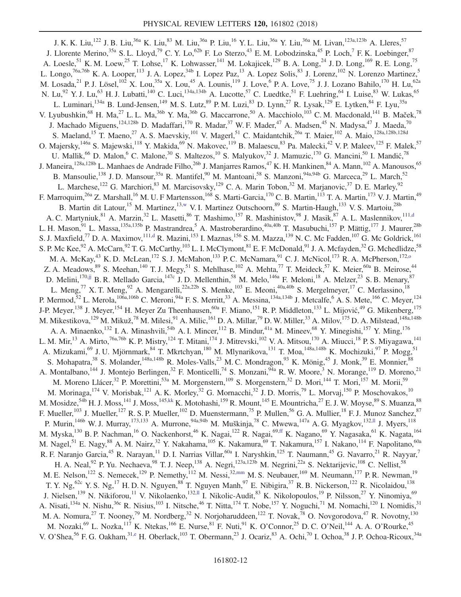<span id="page-12-3"></span><span id="page-12-2"></span><span id="page-12-1"></span><span id="page-12-0"></span>J. K. K. Liu,<sup>122</sup> J. B. Liu,<sup>36a</sup> K. Liu,<sup>83</sup> M. Liu,<sup>36a</sup> P. Liu,<sup>16</sup> Y. L. Liu,<sup>36a</sup> Y. Liu,<sup>36a</sup> M. Livan,<sup>123a,123b</sup> A. Lleres,<sup>57</sup> J. Llorente Merino,<sup>35a</sup> S. L. Lloyd,<sup>79</sup> C. Y. Lo,<sup>62b</sup> F. Lo Sterzo,<sup>43</sup> E. M. Lobodzinska,<sup>45</sup> P. Loch,<sup>7</sup> F. K. Loebinger,<sup>87</sup> A. Loesle,<sup>51</sup> K. M. Loew,<sup>25</sup> T. Lohse,<sup>17</sup> K. Lohwasser,<sup>141</sup> M. Lokajicek,<sup>129</sup> B. A. Long,<sup>24</sup> J. D. Long,<sup>169</sup> R. E. Long,<sup>75</sup> L. Longo,<sup>76a,76b</sup> K. A. Looper,<sup>113</sup> J. A. Lopez,<sup>34b</sup> I. Lopez Paz,<sup>13</sup> A. Lopez Solis,<sup>83</sup> J. Lorenz,<sup>102</sup> N. Lorenzo Martinez,<sup>5</sup> M. Losada,  $^{21}$  P. J. Lösel,  $^{102}$  X. Lou,  $^{35a}$  X. Lou,  $^{45}$  A. Lounis,  $^{119}$  J. Love,  $^{6}$  P. A. Love,  $^{75}$  J. J. Lozano Bahilo,  $^{170}$  H. Lu,  $^{62a}$ N. Lu,<sup>92</sup> Y. J. Lu,<sup>63</sup> H. J. Lubatti,<sup>140</sup> C. Luci,<sup>134a,134b</sup> A. Lucotte,<sup>57</sup> C. Luedtke,<sup>51</sup> F. Luehring,<sup>64</sup> I. Luise,<sup>83</sup> W. Lukas,<sup>65</sup> L. Luminari,<sup>134a</sup> B. Lund-Jensen,<sup>149</sup> M. S. Lutz,<sup>89</sup> P. M. Luzi,<sup>83</sup> D. Lynn,<sup>27</sup> R. Lysak,<sup>129</sup> E. Lytken,<sup>84</sup> F. Lyu,<sup>35a</sup> V. Lyubushkin,<sup>68</sup> H. Ma,<sup>27</sup> L. L. Ma,<sup>36b</sup> Y. Ma,<sup>36b</sup> G. Maccarrone,<sup>50</sup> A. Macchiolo,<sup>103</sup> C. M. Macdonald,<sup>141</sup> B. Maček,<sup>78</sup> J. Machado Miguens, $^{124,128b}$  D. Madaffari, $^{170}$  R. Madar, $^{37}$  W. F. Mader, $^{47}$  A. Madsen, $^{45}$  N. Madysa, $^{47}$  J. Maeda, $^{70}$ S. Maeland,<sup>15</sup> T. Maeno,<sup>27</sup> A. S. Maevskiy,<sup>101</sup> V. Magerl,<sup>51</sup> C. Maidantchik,<sup>26a</sup> T. Maier,<sup>102</sup> A. Maio,<sup>128a,128b,128d</sup> O. Majersky,<sup>146a</sup> S. Majewski,<sup>118</sup> Y. Makida,<sup>69</sup> N. Makovec,<sup>119</sup> B. Malaescu,<sup>83</sup> Pa. Malecki,<sup>42</sup> V. P. Maleev,<sup>125</sup> F. Malek,<sup>57</sup> U. Mallik, <sup>66</sup> D. Malon, <sup>6</sup> C. Malone, <sup>30</sup> S. Maltezos, <sup>10</sup> S. Malyukov, <sup>32</sup> J. Mamuzic, <sup>170</sup> G. Mancini, <sup>50</sup> I. Mandić, <sup>78</sup> J. Maneira,<sup>128a,128b</sup> L. Manhaes de Andrade Filho,<sup>26b</sup> J. Manjarres Ramos,<sup>47</sup> K. H. Mankinen,<sup>84</sup> A. Mann,<sup>102</sup> A. Manousos,<sup>65</sup> B. Mansoulie,<sup>138</sup> J. D. Mansour,<sup>35a</sup> R. Mantifel,<sup>90</sup> M. Mantoani,<sup>58</sup> S. Manzoni,<sup>94a,94b</sup> G. Marceca,<sup>29</sup> L. March,<sup>52</sup> L. Marchese,<sup>122</sup> G. Marchiori,<sup>83</sup> M. Marcisovsky,<sup>129</sup> C. A. Marin Tobon,<sup>32</sup> M. Marjanovic,<sup>37</sup> D. E. Marley,<sup>92</sup> F. Marroquim,<sup>26a</sup> Z. Marshall,<sup>16</sup> M. U. F Martensson,<sup>168</sup> S. Marti-Garcia,<sup>170</sup> C. B. Martin,<sup>113</sup> T. A. Martin,<sup>173</sup> V. J. Martin,<sup>49</sup> B. Martin dit Latour,<sup>15</sup> M. Martinez,<sup>1[3,w](#page-20-22)</sup> V. I. Martinez Outschoorn,<sup>89</sup> S. Martin-Haugh,<sup>133</sup> V. S. Martoiu,<sup>28b</sup> A. C. Martyniuk, <sup>81</sup> A. Marzin, <sup>32</sup> L. Masetti, <sup>86</sup> T. Mashimo, <sup>157</sup> R. Mashinistov, <sup>98</sup> J. Masik, <sup>87</sup> A. L. Maslennikov, <sup>11[1,d](#page-20-3)</sup> L. H. Mason,<sup>91</sup> L. Massa,<sup>135a,135b</sup> P. Mastrandrea,<sup>5</sup> A. Mastroberardino,<sup>40a,40b</sup> T. Masubuchi,<sup>157</sup> P. Mättig,<sup>177</sup> J. Maurer,<sup>28b</sup> S. J. Maxfield,<sup>77</sup> D. A. Maximov,<sup>11[1,d](#page-20-3)</sup> R. Mazini,<sup>153</sup> I. Maznas,<sup>156</sup> S. M. Mazza,<sup>139</sup> N. C. Mc Fadden,<sup>107</sup> G. Mc Goldrick,<sup>161</sup> S. P. Mc Kee,  $92$  A. McCarn,  $92$  T. G. McCarthy,  $103$  L. I. McClymont,  $81$  E. F. McDonald,  $91$  J. A. Mcfayden,  $32$  G. Mchedlidze,  $58$ M. A. McKay,<sup>43</sup> K. D. McLean,<sup>172</sup> S. J. McMahon,<sup>133</sup> P. C. McNamara,<sup>91</sup> C. J. McNicol,<sup>173</sup> R. A. McPherson,<sup>172,0</sup> Z. A. Meadows,  $89$  S. Meehan,  $140$  T. J. Megy,  $51$  S. Mehlhase,  $102$  A. Mehta,  $77$  T. Meideck,  $57$  K. Meier,  $60a$  B. Meirose,  $44$ D. Melini,<sup>170[,jj](#page-20-35)</sup> B. R. Mellado Garcia,<sup>147c</sup> J. D. Mellenthin,<sup>58</sup> M. Melo,<sup>146a</sup> F. Meloni,<sup>18</sup> A. Melzer,<sup>23</sup> S. B. Menary,<sup>87</sup> L. Meng,<sup>77</sup> X. T. Meng,<sup>92</sup> A. Mengarelli,<sup>22a,22b</sup> S. Menke,<sup>103</sup> E. Meoni,<sup>40a,40b</sup> S. Mergelmeyer,<sup>17</sup> C. Merlassino,<sup>18</sup> P. Mermod,  $52$  L. Merola,  $^{106a,106b}$  C. Meroni,  $^{94a}$  F. S. Merritt,  $^{33}$  A. Messina,  $^{134a,134b}$  J. Metcalfe,  $^6$  A. S. Mete,  $^{166}$  C. Meyer,  $^{124}$ J-P. Meyer,<sup>138</sup> J. Meyer,<sup>154</sup> H. Meyer Zu Theenhausen,<sup>60a</sup> F. Miano,<sup>151</sup> R. P. Middleton,<sup>133</sup> L. Mijović,<sup>49</sup> G. Mikenberg,<sup>175</sup> M. Mikestikova,  $^{129}$  M. Mikuž, $^{78}$  M. Milesi, $^{91}$  A. Milic,  $^{161}$  D. A. Millar, $^{79}$  D. W. Miller,  $^{33}$  A. Milov,  $^{175}$  D. A. Milstead,  $^{148\mathrm{a},148\mathrm{b}}$ A. A. Minaenko,<sup>132</sup> I. A. Minashvili,<sup>54b</sup> A. I. Mincer,<sup>112</sup> B. Mindur,<sup>41a</sup> M. Mineev,<sup>68</sup> Y. Minegishi,<sup>157</sup> Y. Ming,<sup>176</sup> L. M. Mir,<sup>13</sup> A. Mirto,<sup>76a,76b</sup> K. P. Mistry,<sup>124</sup> T. Mitani,<sup>174</sup> J. Mitrevski,<sup>102</sup> V. A. Mitsou,<sup>170</sup> A. Miucci,<sup>18</sup> P. S. Miyagawa,<sup>141</sup> A. Mizukami,<sup>69</sup> J. U. Mjörnmark,<sup>84</sup> T. Mkrtchyan,<sup>180</sup> M. Mlynarikova,<sup>131</sup> T. Moa,<sup>148a,148b</sup> K. Mochizuki,<sup>97</sup> P. Mogg,<sup>51</sup> S. Mohapatra,<sup>38</sup> S. Molander,<sup>148a,148b</sup> R. Moles-Valls,<sup>23</sup> M. C. Mondragon,<sup>93</sup> K. Mönig,<sup>45</sup> J. Monk,<sup>39</sup> E. Monnier,<sup>88</sup> A. Montalbano,<sup>144</sup> J. Montejo Berlingen,<sup>32</sup> F. Monticelli,<sup>74</sup> S. Monzani,<sup>94a</sup> R. W. Moore,<sup>3</sup> N. Morange,<sup>119</sup> D. Moreno,<sup>21</sup> M. Moreno Llácer,<sup>32</sup> P. Morettini,<sup>53a</sup> M. Morgenstern,<sup>109</sup> S. Morgenstern,<sup>32</sup> D. Mori,<sup>144</sup> T. Mori,<sup>157</sup> M. Morii,<sup>59</sup> M. Morinaga, <sup>174</sup> V. Morisbak, <sup>121</sup> A. K. Morley, <sup>32</sup> G. Mornacchi, <sup>32</sup> J. D. Morris, <sup>79</sup> L. Morvaj, <sup>150</sup> P. Moschovakos, <sup>10</sup> M. Mosidze,<sup>54b</sup> H. J. Moss,<sup>141</sup> J. Moss,<sup>145[,kk](#page-20-36)</sup> K. Motohashi,<sup>159</sup> R. Mount,<sup>145</sup> E. Mountricha,<sup>27</sup> E. J. W. Moyse,<sup>89</sup> S. Muanza,<sup>88</sup> F. Mueller,<sup>103</sup> J. Mueller,<sup>127</sup> R. S. P. Mueller,<sup>102</sup> D. Muenstermann,<sup>75</sup> P. Mullen,<sup>56</sup> G. A. Mullier,<sup>18</sup> F. J. Munoz Sanchez,<sup>87</sup> P. Murin,<sup>146b</sup> W. J. Murray,<sup>173,133</sup> A. Murrone,<sup>94a,94b</sup> M. Muškinja,<sup>78</sup> C. Mwewa,<sup>147a</sup> A. G. Myagkov,<sup>13[2,ll](#page-20-37)</sup> J. Myers,<sup>118</sup> M. Myska,<sup>130</sup> B. P. Nachman,<sup>16</sup> O. Nackenhorst,<sup>46</sup> K. Nagai,<sup>122</sup> R. Nagai,<sup>6[9,ff](#page-20-31)</sup> K. Nagano,<sup>69</sup> Y. Nagasaka,<sup>61</sup> K. Nagata,<sup>164</sup> M. Nagel,<sup>51</sup> E. Nagy,<sup>88</sup> A. M. Nairz,<sup>32</sup> Y. Nakahama,<sup>105</sup> K. Nakamura,<sup>69</sup> T. Nakamura,<sup>157</sup> I. Nakano,<sup>114</sup> F. Napolitano,<sup>60a</sup> R. F. Naranjo Garcia,<sup>45</sup> R. Narayan,<sup>11</sup> D. I. Narrias Villar,<sup>60a</sup> I. Naryshkin,<sup>125</sup> T. Naumann,<sup>45</sup> G. Navarro,<sup>21</sup> R. Nayyar,<sup>7</sup> H. A. Neal,<sup>92</sup> P. Yu. Nechaeva,<sup>98</sup> T. J. Neep,<sup>138</sup> A. Negri,<sup>123a,123b</sup> M. Negrini,<sup>22a</sup> S. Nektarijevic,<sup>108</sup> C. Nellist,<sup>58</sup> M. E. Nelson,<sup>122</sup> S. Nemecek,<sup>129</sup> P. Nemethy,<sup>112</sup> M. Nessi,<sup>3[2,mm](#page-20-38)</sup> M. S. Neubauer,<sup>169</sup> M. Neumann,<sup>177</sup> P. R. Newman,<sup>19</sup> T. Y. Ng,<sup>62c</sup> Y. S. Ng,<sup>17</sup> H. D. N. Nguyen,<sup>88</sup> T. Nguyen Manh,<sup>97</sup> E. Nibigira,<sup>37</sup> R. B. Nickerson,<sup>122</sup> R. Nicolaidou,<sup>138</sup> J. Nielsen,<sup>139</sup> N. Nikiforou,<sup>11</sup> V. Nikolaenko,<sup>13[2,ll](#page-20-37)</sup> I. Nikolic-Audit,<sup>83</sup> K. Nikolopoulos,<sup>19</sup> P. Nilsson,<sup>27</sup> Y. Ninomiya,<sup>69</sup> A. Nisati,<sup>134a</sup> N. Nishu,<sup>36c</sup> R. Nisius,<sup>103</sup> I. Nitsche,<sup>46</sup> T. Nitta,<sup>174</sup> T. Nobe,<sup>157</sup> Y. Noguchi,<sup>71</sup> M. Nomachi,<sup>120</sup> I. Nomidis,<sup>31</sup> M. A. Nomura,<sup>27</sup> T. Nooney,<sup>79</sup> M. Nordberg,<sup>32</sup> N. Norjoharuddeen,<sup>122</sup> T. Novak,<sup>78</sup> O. Novgorodova,<sup>47</sup> R. Novotny,<sup>130</sup> M. Nozaki,<sup>69</sup> L. Nozka,<sup>117</sup> K. Ntekas,<sup>166</sup> E. Nurse,<sup>81</sup> F. Nuti,<sup>91</sup> K. O'Connor,<sup>25</sup> D. C. O'Neil,<sup>144</sup> A. A. O'Rourke,<sup>45</sup> V. O'Shea,<sup>56</sup> F. G. Oakham,<sup>3[1,e](#page-20-4)</sup> H. Oberlack,<sup>103</sup> T. Obermann,<sup>23</sup> J. Ocariz,<sup>83</sup> A. Ochi,<sup>70</sup> I. Ochoa,<sup>38</sup> J. P. Ochoa-Ricoux,<sup>34a</sup>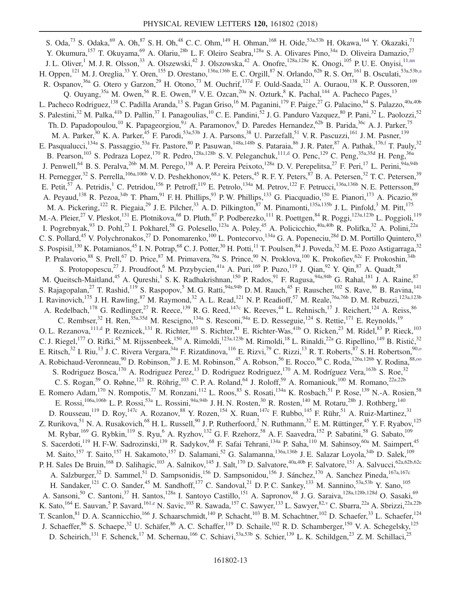<span id="page-13-1"></span><span id="page-13-0"></span>S. Oda,<sup>73</sup> S. Odaka,<sup>69</sup> A. Oh,<sup>87</sup> S. H. Oh,<sup>48</sup> C. C. Ohm,<sup>149</sup> H. Ohman,<sup>168</sup> H. Oide,<sup>53a,53b</sup> H. Okawa,<sup>164</sup> Y. Okazaki,<sup>71</sup> Y. Okumura,<sup>157</sup> T. Okuyama,<sup>69</sup> A. Olariu,<sup>28b</sup> L. F. Oleiro Seabra,<sup>128a</sup> S. A. Olivares Pino,<sup>34a</sup> D. Oliveira Damazio,<sup>27</sup> J. L. Oliver,<sup>1</sup> M. J. R. Olsson,<sup>33</sup> A. Olszewski,<sup>42</sup> J. Olszowska,<sup>42</sup> A. Onofre,<sup>128a,128e</sup> K. Onogi,<sup>105</sup> P. U. E. Onyisi,<sup>1[1,nn](#page-20-39)</sup> H. Oppen,<sup>121</sup> M. J. Oreglia,<sup>33</sup> Y. Oren,<sup>155</sup> D. Orestano,<sup>136a,136b</sup> E. C. Orgill,<sup>87</sup> N. Orlando,<sup>62b</sup> R. S. Orr,<sup>161</sup> B. Osculati,<sup>53a,53[b,a](#page-20-0)</sup> R. Ospanov,<sup>36a</sup> G. Otero y Garzon,<sup>29</sup> H. Otono,<sup>73</sup> M. Ouchrif,<sup>137d</sup> F. Ould-Saada,<sup>121</sup> A. Ouraou,<sup>138</sup> K. P. Oussoren,<sup>109</sup> Q. Ouyang,<sup>35a</sup> M. Owen,<sup>56</sup> R. E. Owen,<sup>19</sup> V. E. Ozcan,<sup>20a</sup> N. Ozturk,<sup>8</sup> K. Pachal,<sup>144</sup> A. Pacheco Pages,<sup>13</sup> L. Pacheco Rodriguez,<sup>138</sup> C. Padilla Aranda,<sup>13</sup> S. Pagan Griso,<sup>16</sup> M. Paganini,<sup>179</sup> F. Paige,<sup>27</sup> G. Palacino,<sup>64</sup> S. Palazzo,<sup>40a,40b</sup> S. Palestini,<sup>32</sup> M. Palka,<sup>41b</sup> D. Pallin,<sup>37</sup> I. Panagoulias,<sup>10</sup> C. E. Pandini,<sup>52</sup> J. G. Panduro Vazquez,<sup>80</sup> P. Pani,<sup>32</sup> L. Paolozzi,<sup>52</sup> Th. D. Papadopoulou,<sup>10</sup> K. Papageorgiou,<sup>[9,t](#page-20-19)</sup> A. Paramonov,<sup>6</sup> D. Paredes Hernandez,<sup>62b</sup> B. Parida,<sup>36c</sup> A. J. Parker,<sup>75</sup> M. A. Parker,<sup>30</sup> K. A. Parker,<sup>45</sup> F. Parodi,<sup>53a,53b</sup> J. A. Parsons,<sup>38</sup> U. Parzefall,<sup>51</sup> V. R. Pascuzzi,<sup>161</sup> J. M. Pasner,<sup>139</sup> E. Pasqualucci,<sup>134a</sup> S. Passaggio,<sup>53a</sup> Fr. Pastore,<sup>80</sup> P. Pasuwan,<sup>148a,148b</sup> S. Pataraia,<sup>86</sup> J. R. Pater,<sup>87</sup> A. Pathak,<sup>176[,f](#page-20-5)</sup> T. Pauly,<sup>32</sup> B. Pearson,<sup>103</sup> S. Pedraza Lopez,<sup>170</sup> R. Pedro,<sup>128a,128b</sup> S. V. Peleganchuk,<sup>11[1,d](#page-20-3)</sup> O. Penc,<sup>129</sup> C. Peng,<sup>35a,35d</sup> H. Peng,<sup>36a</sup> J. Penwell,<sup>64</sup> B. S. Peralva,<sup>26b</sup> M. M. Perego,<sup>138</sup> A. P. Pereira Peixoto,<sup>128a</sup> D. V. Perepelitsa,<sup>27</sup> F. Peri,<sup>17</sup> L. Perini,<sup>94a,94b</sup> H. Pernegger,<sup>32</sup> S. Perrella,<sup>106a,106b</sup> V.D. Peshekhonov,<sup>68[,a](#page-20-0)</sup> K. Peters,<sup>45</sup> R. F. Y. Peters,<sup>87</sup> B. A. Petersen,<sup>32</sup> T. C. Petersen,<sup>39</sup> E. Petit,<sup>57</sup> A. Petridis,<sup>1</sup> C. Petridou,<sup>156</sup> P. Petroff,<sup>119</sup> E. Petrolo,<sup>134a</sup> M. Petrov,<sup>122</sup> F. Petrucci,<sup>136a,136b</sup> N. E. Pettersson,<sup>89</sup> A. Peyaud,<sup>138</sup> R. Pezoa,<sup>34b</sup> T. Pham,<sup>91</sup> F. H. Phillips,<sup>93</sup> P. W. Phillips,<sup>133</sup> G. Piacquadio,<sup>150</sup> E. Pianori,<sup>173</sup> A. Picazio,<sup>89</sup> M. A. Pickering,<sup>122</sup> R. Piegaia,<sup>29</sup> J. E. Pilcher,<sup>33</sup> A. D. Pilkington,<sup>87</sup> M. Pinamonti,<sup>135a,135b</sup> J. L. Pinfold,<sup>3</sup> M. Pitt,<sup>175</sup> M.-A. Pleier,<sup>27</sup> V. Pleskot,<sup>131</sup> E. Plotnikova,<sup>68</sup> D. Pluth,<sup>67</sup> P. Podberezko,<sup>111</sup> R. Poettgen,<sup>84</sup> R. Poggi,<sup>123a,123b</sup> L. Poggioli,<sup>119</sup> I. Pogrebnyak,  $93$  D. Pohl,  $23$  I. Pokharel,  $58$  G. Polesello,  $123a$  A. Poley,  $45$  A. Policicchio,  $40a,40b$  R. Polifka,  $32$  A. Polini,  $22a$ C. S. Pollard,<sup>45</sup> V. Polychronakos,<sup>27</sup> D. Ponomarenko,<sup>100</sup> L. Pontecorvo,<sup>134a</sup> G. A. Popeneciu,<sup>28d</sup> D. M. Portillo Quintero,<sup>83</sup> S. Pospisil,<sup>130</sup> K. Potamianos,<sup>45</sup> I. N. Potrap,<sup>68</sup> C. J. Potter,<sup>30</sup> H. Potti,<sup>11</sup> T. Poulsen,<sup>84</sup> J. Poveda,<sup>32</sup> M. E. Pozo Astigarraga,<sup>32</sup> P. Pralavorio,<sup>88</sup> S. Prell,<sup>67</sup> D. Price,<sup>87</sup> M. Primavera,<sup>76a</sup> S. Prince,<sup>90</sup> N. Proklova,<sup>100</sup> K. Prokofiev,<sup>62c</sup> F. Prokoshin,<sup>34b</sup> S. Protopopescu,<sup>27</sup> J. Proudfoot,<sup>6</sup> M. Przybycien,<sup>41a</sup> A. Puri,<sup>169</sup> P. Puzo,<sup>119</sup> J. Qian,<sup>92</sup> Y. Qin,<sup>87</sup> A. Quadt,<sup>58</sup> M. Queitsch-Maitland,<sup>45</sup> A. Qureshi,<sup>1</sup> S. K. Radhakrishnan,<sup>150</sup> P. Rados,<sup>91</sup> F. Ragusa,<sup>94a,94b</sup> G. Rahal,<sup>181</sup> J. A. Raine,<sup>87</sup> S. Rajagopalan,<sup>27</sup> T. Rashid,<sup>119</sup> S. Raspopov,<sup>5</sup> M. G. Ratti,<sup>94a,94b</sup> D. M. Rauch,<sup>45</sup> F. Rauscher,<sup>102</sup> S. Rave,<sup>86</sup> B. Ravina,<sup>141</sup> I. Ravinovich,<sup>175</sup> J. H. Rawling,<sup>87</sup> M. Raymond,<sup>32</sup> A. L. Read,<sup>121</sup> N. P. Readioff,<sup>57</sup> M. Reale,<sup>76a,76b</sup> D. M. Rebuzzi,<sup>123a,123b</sup> A. Redelbach,  $^{178}$  G. Redlinger,  $^{27}$  R. Reece,  $^{139}$  R. G. Reed,  $^{147c}$  K. Reeves,  $^{44}$  L. Rehnisch,  $^{17}$  J. Reichert,  $^{124}$  A. Reiss,  $^{86}$ C. Rembser,<sup>32</sup> H. Ren,<sup>35a,35d</sup> M. Rescigno,<sup>134a</sup> S. Resconi,<sup>94a</sup> E. D. Resseguie,<sup>124</sup> S. Rettie,<sup>171</sup> E. Reynolds,<sup>19</sup> O. L. Rezanova,  $\frac{111, d}{11}$  P. Reznicek,  $\frac{131}{11}$  R. Richter,  $\frac{103}{11}$  S. Richter,  $\frac{81}{11}$  E. Richter-Was,  $\frac{41b}{11}$  O. Ricken,  $\frac{23}{11}$  M. Ridel,  $\frac{83}{11}$  P. Rieck,  $\frac{103}{11}$ C. J. Riegel,<sup>177</sup> O. Rifki,<sup>45</sup> M. Rijssenbeek,<sup>150</sup> A. Rimoldi,<sup>123a,123b</sup> M. Rimoldi,<sup>18</sup> L. Rinaldi,<sup>22a</sup> G. Ripellino,<sup>149</sup> B. Ristić,<sup>32</sup> E. Ritsch,<sup>32</sup> I. Riu,<sup>13</sup> J. C. Rivera Vergara,<sup>34a</sup> F. Rizatdinova,<sup>116</sup> E. Rizvi,<sup>79</sup> C. Rizzi,<sup>13</sup> R. T. Roberts,<sup>87</sup> S. H. Robertson,<sup>90,0</sup> A. Robichaud-Veronneau,<sup>90</sup> D. Robinson,<sup>30</sup> J. E. M. Robinson,<sup>45</sup> A. Robson,<sup>56</sup> E. Rocco,<sup>86</sup> C. Roda, <sup>126a, 126b</sup> Y. Rodina, 88,00 S. Rodriguez Bosca,<sup>170</sup> A. Rodriguez Perez,<sup>13</sup> D. Rodriguez Rodriguez,<sup>170</sup> A. M. Rodríguez Vera,<sup>163b</sup> S. Roe,<sup>32</sup> C. S. Rogan,<sup>59</sup> O. Røhne,<sup>121</sup> R. Röhrig,<sup>103</sup> C. P. A. Roland,<sup>64</sup> J. Roloff,<sup>59</sup> A. Romaniouk,<sup>100</sup> M. Romano,<sup>22a,22b</sup> E. Romero Adam,<sup>170</sup> N. Rompotis,<sup>77</sup> M. Ronzani,<sup>112</sup> L. Roos,<sup>83</sup> S. Rosati,<sup>134a</sup> K. Rosbach,<sup>51</sup> P. Rose,<sup>139</sup> N.-A. Rosien,<sup>58</sup> E. Rossi,<sup>106a,106b</sup> L. P. Rossi,<sup>53a</sup> L. Rossini,<sup>94a,94b</sup> J. H. N. Rosten,<sup>30</sup> R. Rosten,<sup>140</sup> M. Rotaru,<sup>28b</sup> J. Rothberg,<sup>140</sup> D. Rousseau,<sup>119</sup> D. Roy,<sup>147c</sup> A. Rozanov,<sup>88</sup> Y. Rozen,<sup>154</sup> X. Ruan,<sup>147c</sup> F. Rubbo,<sup>145</sup> F. Rühr,<sup>51</sup> A. Ruiz-Martinez,<sup>31</sup> Z. Rurikova,<sup>51</sup> N. A. Rusakovich,<sup>68</sup> H. L. Russell,<sup>90</sup> J. P. Rutherfoord,<sup>7</sup> N. Ruthmann,<sup>32</sup> E. M. Rüttinger,<sup>45</sup> Y. F. Ryabov,<sup>125</sup> M. Rybar,<sup>169</sup> G. Rybkin,<sup>119</sup> S. Ryu, <sup>6</sup> A. Ryzhov,<sup>132</sup> G. F. Rzehorz,<sup>58</sup> A. F. Saavedra,<sup>152</sup> P. Sabatini,<sup>58</sup> G. Sabato,<sup>109</sup> S. Sacerdoti,<sup>119</sup> H. F-W. Sadrozinski,<sup>139</sup> R. Sadykov,<sup>68</sup> F. Safai Tehrani,<sup>134a</sup> P. Saha,<sup>110</sup> M. Sahinsoy,<sup>60a</sup> M. Saimpert,<sup>45</sup> M. Saito,<sup>157</sup> T. Saito,<sup>157</sup> H. Sakamoto,<sup>157</sup> D. Salamani,<sup>52</sup> G. Salamanna,<sup>136a,136b</sup> J. E. Salazar Loyola,<sup>34b</sup> D. Salek,<sup>109</sup> P. H. Sales De Bruin, <sup>168</sup> D. Salihagic, <sup>103</sup> A. Salnikov, <sup>145</sup> J. Salt, <sup>170</sup> D. Salvatore, <sup>40a, 40b</sup> F. Salvatore, <sup>151</sup> A. Salvucci, <sup>62a, 62b, 62c</sup> A. Salzburger,<sup>32</sup> D. Sammel,<sup>51</sup> D. Sampsonidis,<sup>156</sup> D. Sampsonidou,<sup>156</sup> J. Sánchez,<sup>170</sup> A. Sanchez Pineda,<sup>167a,167c</sup> H. Sandaker,<sup>121</sup> C. O. Sander,<sup>45</sup> M. Sandhoff,<sup>177</sup> C. Sandoval,<sup>21</sup> D. P. C. Sankey,<sup>133</sup> M. Sannino,<sup>53a,53b</sup> Y. Sano,<sup>105</sup> A. Sansoni,<sup>50</sup> C. Santoni,<sup>37</sup> H. Santos,<sup>128a</sup> I. Santoyo Castillo,<sup>151</sup> A. Sapronov,<sup>68</sup> J. G. Saraiva,<sup>128a,128b,128d</sup> O. Sasaki,<sup>69</sup> K. Sato,<sup>164</sup> E. Sauvan,<sup>5</sup> P. Savard,<sup>16[1,e](#page-20-4)</sup> N. Savic,<sup>103</sup> R. Sawada,<sup>157</sup> C. Sawyer,<sup>133</sup> L. Sawyer,<sup>82[,v](#page-20-21)</sup> C. Sbarra,<sup>22a</sup> A. Sbrizzi,<sup>22a,22b</sup> T. Scanlon, <sup>81</sup> D. A. Scannicchio, <sup>166</sup> J. Schaarschmidt, <sup>140</sup> P. Schacht, <sup>103</sup> B. M. Schachtner, <sup>102</sup> D. Schaefer, <sup>33</sup> L. Schaefer, <sup>124</sup> J. Schaeffer,<sup>86</sup> S. Schaepe,<sup>32</sup> U. Schäfer,<sup>86</sup> A. C. Schaffer,<sup>119</sup> D. Schaile,<sup>102</sup> R. D. Schamberger,<sup>150</sup> V. A. Schegelsky,<sup>125</sup> D. Scheirich,<sup>131</sup> F. Schenck,<sup>17</sup> M. Schernau,<sup>166</sup> C. Schiavi,<sup>53a,53b</sup> S. Schier,<sup>139</sup> L. K. Schildgen,<sup>23</sup> Z. M. Schillaci,<sup>25</sup>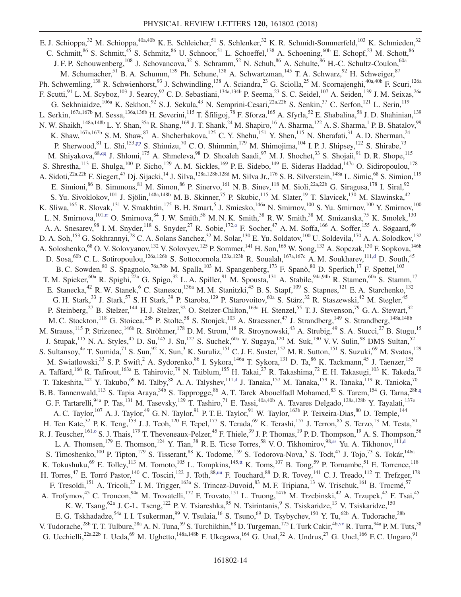<span id="page-14-6"></span><span id="page-14-5"></span><span id="page-14-4"></span><span id="page-14-3"></span><span id="page-14-2"></span><span id="page-14-1"></span><span id="page-14-0"></span>E. J. Schioppa,<sup>32</sup> M. Schioppa,<sup>40a,40b</sup> K. E. Schleicher,<sup>51</sup> S. Schlenker,<sup>32</sup> K. R. Schmidt-Sommerfeld,<sup>103</sup> K. Schmieden,<sup>32</sup> C. Schmitt,<sup>86</sup> S. Schmitt,<sup>45</sup> S. Schmitz,<sup>86</sup> U. Schnoor,<sup>51</sup> L. Schoeffel,<sup>138</sup> A. Schoening,<sup>60b</sup> E. Schopf,<sup>23</sup> M. Schott,<sup>86</sup> J. F. P. Schouwenberg,<sup>108</sup> J. Schovancova,<sup>32</sup> S. Schramm,<sup>52</sup> N. Schuh,<sup>86</sup> A. Schulte,<sup>86</sup> H.-C. Schultz-Coulon,<sup>60a</sup> M. Schumacher,<sup>51</sup> B. A. Schumm,<sup>139</sup> Ph. Schune,<sup>138</sup> A. Schwartzman,<sup>145</sup> T. A. Schwarz,<sup>92</sup> H. Schweiger,<sup>87</sup> Ph. Schwemling,<sup>138</sup> R. Schwienhorst,<sup>93</sup> J. Schwindling,<sup>138</sup> A. Sciandra,<sup>23</sup> G. Sciolla,<sup>25</sup> M. Scornajenghi,<sup>40a,40b</sup> F. Scuri,<sup>126a</sup> F. Scutti,<sup>91</sup> L. M. Scyboz,<sup>103</sup> J. Searcy,<sup>92</sup> C. D. Sebastiani,<sup>134a,134b</sup> P. Seema,<sup>23</sup> S. C. Seidel,<sup>107</sup> A. Seiden,<sup>139</sup> J. M. Seixas,<sup>26a</sup> G. Sekhniaidze,<sup>106a</sup> K. Sekhon,<sup>92</sup> S. J. Sekula,<sup>43</sup> N. Semprini-Cesari,<sup>22a,22b</sup> S. Senkin,<sup>37</sup> C. Serfon,<sup>121</sup> L. Serin,<sup>119</sup> L. Serkin, <sup>167a,167b</sup> M. Sessa, <sup>136a,136b</sup> H. Severini, <sup>115</sup> T. Šfiligoj, <sup>78</sup> F. Sforza, <sup>165</sup> A. Sfyrla, <sup>52</sup> E. Shabalina, <sup>58</sup> J. D. Shahinian, <sup>139</sup> N. W. Shaikh,<sup>148a,148b</sup> L. Y. Shan,<sup>35a</sup> R. Shang,<sup>169</sup> J. T. Shank,<sup>24</sup> M. Shapiro,<sup>16</sup> A. Sharma,<sup>122</sup> A. S. Sharma,<sup>1</sup> P. B. Shatalov,<sup>99</sup> K. Shaw,<sup>167a,167b</sup> S. M. Shaw, <sup>87</sup> A. Shcherbakova, <sup>125</sup> C. Y. Shehu, <sup>151</sup> Y. Shen, <sup>115</sup> N. Sherafati, <sup>31</sup> A. D. Sherman, <sup>24</sup> P. Sherwood,<sup>81</sup> L. Shi,<sup>15[3,pp](#page-20-41)</sup> S. Shimizu,<sup>70</sup> C.O. Shimmin,<sup>179</sup> M. Shimojima,<sup>104</sup> I.P.J. Shipsey,<sup>122</sup> S. Shirabe,<sup>73</sup> M. Shiyakova,<sup>68[,qq](#page-20-42)</sup> J. Shlomi,<sup>175</sup> A. Shmeleva,<sup>98</sup> D. Shoaleh Saadi,<sup>97</sup> M. J. Shochet,<sup>33</sup> S. Shojaii,<sup>91</sup> D. R. Shope,<sup>115</sup> S. Shrestha,  $^{113}$  E. Shulga,  $^{100}$  P. Sicho,  $^{129}$  A. M. Sickles,  $^{169}$  P. E. Sidebo,  $^{149}$  E. Sideras Haddad,  $^{147c}$  O. Sidiropoulou,  $^{178}$ A. Sidoti,<sup>22a,22b</sup> F. Siegert,<sup>47</sup> Dj. Sijacki,<sup>14</sup> J. Silva,<sup>128a,128b,128d</sup> M. Silva Jr.,<sup>176</sup> S. B. Silverstein,<sup>148a</sup> L. Simic,<sup>68</sup> S. Simion,<sup>119</sup> E. Simioni,  $86$  B. Simmons,  $81$  M. Simon,  $86$  P. Sinervo,  $161$  N. B. Sinev,  $118$  M. Sioli,  $22a,22b$  G. Siragusa,  $178$  I. Siral,  $92$ S. Yu. Sivoklokov,<sup>101</sup> J. Sjölin,<sup>148a,148b</sup> M. B. Skinner,<sup>75</sup> P. Skubic,<sup>115</sup> M. Slater,<sup>19</sup> T. Slavicek,<sup>130</sup> M. Slawinska,<sup>42</sup> K. Sliwa, <sup>165</sup> R. Slovak, <sup>131</sup> V. Smakhtin, <sup>175</sup> B. H. Smart, <sup>5</sup> J. Smiesko, <sup>146a</sup> N. Smirnov, <sup>100</sup> S. Yu. Smirnov, <sup>100</sup> Y. Smirnov, <sup>100</sup> L. N. Smirnova,  $^{101,rr}$  $^{101,rr}$  $^{101,rr}$  O. Smirnova,  $^{84}$  J. W. Smith,  $^{58}$  M. N. K. Smith,  $^{38}$  R. W. Smith,  $^{38}$  M. Smizanska,  $^{75}$  K. Smolek,  $^{130}$ A. A. Snesarev,<sup>98</sup> I. M. Snyder,<sup>118</sup> S. Snyder,<sup>27</sup> R. Sobie,<sup>172[,o](#page-20-14)</sup> F. Socher,<sup>47</sup> A. M. Soffa,<sup>166</sup> A. Soffer,<sup>155</sup> A. Søgaard,<sup>49</sup> D. A. Soh,<sup>153</sup> G. Sokhrannyi,<sup>78</sup> C. A. Solans Sanchez,<sup>32</sup> M. Solar,<sup>130</sup> E. Yu. Soldatov,<sup>100</sup> U. Soldevila,<sup>170</sup> A. A. Solodkov,<sup>132</sup> A. Soloshenko,<sup>68</sup> O. V. Solovyanov,<sup>132</sup> V. Solovyev,<sup>125</sup> P. Sommer,<sup>141</sup> H. Son,<sup>165</sup> W. Song,<sup>133</sup> A. Sopczak,<sup>130</sup> F. Sopkova,<sup>146b</sup> D. Sosa,<sup>60b</sup> C. L. Sotiropoulou,<sup>126a,126b</sup> S. Sottocornola,<sup>123a,123b</sup> R. Soualah,<sup>167a,167c</sup> A. M. Soukharev,<sup>11[1,d](#page-20-3)</sup> D. South,<sup>45</sup> B. C. Sowden, <sup>80</sup> S. Spagnolo, <sup>76a, 76b</sup> M. Spalla, <sup>103</sup> M. Spangenberg, <sup>173</sup> F. Spanò, <sup>80</sup> D. Sperlich, <sup>17</sup> F. Spettel, <sup>103</sup> T. M. Spieker,  $^{60a}$  R. Spighi,  $^{22a}$  G. Spigo,  $^{32}$  L. A. Spiller,  $^{91}$  M. Spousta,  $^{131}$  A. Stabile,  $^{94a,94b}$  R. Stamen,  $^{60a}$  S. Stamm,  $^{17}$ E. Stanecka,<sup>42</sup> R. W. Stanek,<sup>6</sup> C. Stanescu,<sup>136a</sup> M. M. Stanitzki,<sup>45</sup> B. S. Stapf,<sup>109</sup> S. Stapnes,<sup>121</sup> E. A. Starchenko,<sup>132</sup> G. H. Stark,<sup>33</sup> J. Stark,<sup>57</sup> S. H Stark,<sup>39</sup> P. Staroba,<sup>129</sup> P. Starovoitov,<sup>60a</sup> S. Stärz,<sup>32</sup> R. Staszewski,<sup>42</sup> M. Stegler,<sup>45</sup> P. Steinberg,<sup>27</sup> B. Stelzer,<sup>144</sup> H. J. Stelzer,<sup>32</sup> O. Stelzer-Chilton,<sup>163a</sup> H. Stenzel,<sup>55</sup> T. J. Stevenson,<sup>79</sup> G. A. Stewart,<sup>32</sup> M. C. Stockton,<sup>118</sup> G. Stoicea,<sup>28b</sup> P. Stolte,<sup>58</sup> S. Stonjek,<sup>103</sup> A. Straessner,<sup>47</sup> J. Strandberg,<sup>149</sup> S. Strandberg,<sup>148a,148b</sup> M. Strauss, <sup>115</sup> P. Strizenec, <sup>146b</sup> R. Ströhmer, <sup>178</sup> D. M. Strom, <sup>118</sup> R. Stroynowski, <sup>43</sup> A. Strubig, <sup>49</sup> S. A. Stucci, <sup>27</sup> B. Stugu, <sup>15</sup> J. Stupak,<sup>115</sup> N. A. Styles,<sup>45</sup> D. Su,<sup>145</sup> J. Su,<sup>127</sup> S. Suchek,<sup>60a</sup> Y. Sugaya,<sup>120</sup> M. Suk,<sup>130</sup> V. V. Sulin,<sup>98</sup> DMS Sultan,<sup>52</sup> S. Sultansoy,<sup>4c</sup> T. Sumida,<sup>71</sup> S. Sun,<sup>92</sup> X. Sun,<sup>3</sup> K. Suruliz,<sup>151</sup> C. J. E. Suster,<sup>152</sup> M. R. Sutton,<sup>151</sup> S. Suzuki,<sup>69</sup> M. Svatos,<sup>129</sup> M. Swiatlowski,<sup>33</sup> S. P. Swift,<sup>2</sup> A. Sydorenko,<sup>86</sup> I. Sykora,<sup>146a</sup> T. Sykora,<sup>131</sup> D. Ta,<sup>86</sup> K. Tackmann,<sup>45</sup> J. Taenzer,<sup>155</sup> A. Taffard,<sup>166</sup> R. Tafirout,<sup>163a</sup> E. Tahirovic,<sup>79</sup> N. Taiblum,<sup>155</sup> H. Takai,<sup>27</sup> R. Takashima,<sup>72</sup> E. H. Takasugi,<sup>103</sup> K. Takeda,<sup>70</sup> T. Takeshita,<sup>142</sup> Y. Takubo,<sup>69</sup> M. Talby,<sup>88</sup> A. A. Talyshev,<sup>11[1,d](#page-20-3)</sup> J. Tanaka,<sup>157</sup> M. Tanaka,<sup>159</sup> R. Tanaka,<sup>119</sup> R. Tanioka,<sup>70</sup> B. B. Tannenwald,<sup>113</sup> S. Tapia Araya,<sup>34b</sup> S. Tapprogge,<sup>86</sup> A. T. Tarek Abouelfadl Mohamed,<sup>83</sup> S. Tarem,<sup>154</sup> G. Tarna,<sup>28b[,q](#page-20-16)</sup> G. F. Tartarelli,<sup>94a</sup> P. Tas,<sup>131</sup> M. Tasevsky,<sup>129</sup> T. Tashiro,<sup>71</sup> E. Tassi,<sup>40a,40b</sup> A. Tavares Delgado,<sup>128a,128b</sup> Y. Tayalati,<sup>137e</sup> A. C. Taylor,<sup>107</sup> A. J. Taylor,<sup>49</sup> G. N. Taylor,<sup>91</sup> P. T. E. Taylor,<sup>91</sup> W. Taylor,<sup>163b</sup> P. Teixeira-Dias,<sup>80</sup> D. Temple,<sup>144</sup> H. Ten Kate,<sup>32</sup> P. K. Teng,<sup>153</sup> J. J. Teoh,<sup>120</sup> F. Tepel,<sup>177</sup> S. Terada,<sup>69</sup> K. Terashi,<sup>157</sup> J. Terron,<sup>85</sup> S. Terzo,<sup>13</sup> M. Testa,<sup>50</sup> R. J. Teuscher,  $^{161,0}$  S. J. Thais,  $^{179}$  T. Theveneaux-Pelzer,  $^{45}$  F. Thiele,  $^{39}$  J. P. Thomas,  $^{19}$  P. D. Thompson,  $^{19}$  A. S. Thompson,  $^{56}$ L. A. Thomsen,<sup>179</sup> E. Thomson,<sup>124</sup> Y. Tian,<sup>38</sup> R. E. Ticse Torres,<sup>58</sup> V. O. Tikhomirov,<sup>98[,ss](#page-20-44)</sup> Yu. A. Tikhonov,<sup>111[,d](#page-20-3)</sup> S. Timoshenko,<sup>100</sup> P. Tipton,<sup>179</sup> S. Tisserant,<sup>88</sup> K. Todome,<sup>159</sup> S. Todorova-Nova,<sup>5</sup> S. Todt,<sup>47</sup> J. Tojo,<sup>73</sup> S. Tokár,<sup>146a</sup> K. Tokushuku,<sup>69</sup> E. Tolley,<sup>113</sup> M. Tomoto,<sup>105</sup> L. Tompkins,<sup>145[,tt](#page-20-45)</sup> K. Toms,<sup>107</sup> B. Tong,<sup>59</sup> P. Tornambe,<sup>51</sup> E. Torrence,<sup>118</sup> H. Torres,<sup>47</sup> E. Torró Pastor,<sup>140</sup> C. Tosciri,<sup>122</sup> J. Toth,<sup>88[,uu](#page-20-46)</sup> F. Touchard,<sup>88</sup> D. R. Tovey,<sup>141</sup> C. J. Treado,<sup>112</sup> T. Trefzger,<sup>178</sup> F. Tresoldi, <sup>151</sup> A. Tricoli, <sup>27</sup> I.M. Trigger, <sup>163a</sup> S. Trincaz-Duvoid, <sup>83</sup> M.F. Tripiana, <sup>13</sup> W. Trischuk, <sup>161</sup> B. Trocmé, <sup>57</sup> A. Trofymov,<sup>45</sup> C. Troncon,<sup>94a</sup> M. Trovatelli,<sup>172</sup> F. Trovato,<sup>151</sup> L. Truong,<sup>147b</sup> M. Trzebinski,<sup>42</sup> A. Trzupek,<sup>42</sup> F. Tsai,<sup>45</sup> K. W. Tsang,<sup>62a</sup> J. C-L. Tseng,<sup>122</sup> P. V. Tsiareshka,<sup>95</sup> N. Tsirintanis,<sup>9</sup> S. Tsiskaridze,<sup>13</sup> V. Tsiskaridze,<sup>150</sup> E. G. Tskhadadze,<sup>54a</sup> I. I. Tsukerman,<sup>99</sup> V. Tsulaia,<sup>16</sup> S. Tsuno,<sup>69</sup> D. Tsybychev,<sup>150</sup> Y. Tu,<sup>62b</sup> A. Tudorache,<sup>28b</sup> V. Tudorache,<sup>28b</sup> T. T. Tulbure,<sup>28a</sup> A. N. Tuna,<sup>59</sup> S. Turchikhin,<sup>68</sup> D. Turgeman,<sup>175</sup> I. Turk Cakir,<sup>4[b,vv](#page-20-47)</sup> R. Turra,<sup>94a</sup> P. M. Tuts,<sup>38</sup> G. Ucchielli,<sup>22a,22b</sup> I. Ueda,<sup>69</sup> M. Ughetto,<sup>148a,148b</sup> F. Ukegawa,<sup>164</sup> G. Unal,<sup>32</sup> A. Undrus,<sup>27</sup> G. Unel,<sup>166</sup> F. C. Ungaro,<sup>91</sup>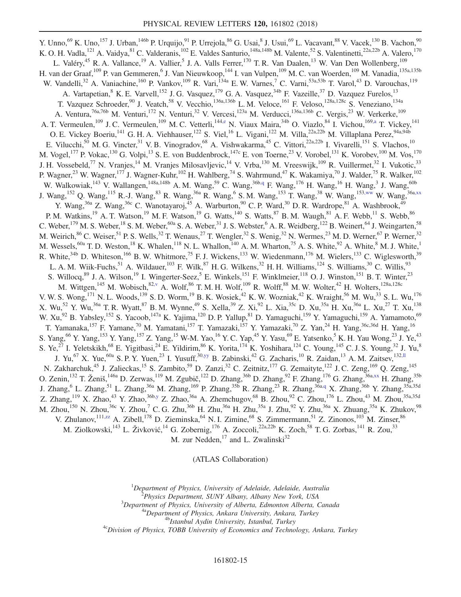<span id="page-15-0"></span>Y. Unno,<sup>69</sup> K. Uno,<sup>157</sup> J. Urban,<sup>146b</sup> P. Urquijo,<sup>91</sup> P. Urrejola,<sup>86</sup> G. Usai,<sup>8</sup> J. Usui,<sup>69</sup> L. Vacavant,<sup>88</sup> V. Vacek,<sup>130</sup> B. Vachon,<sup>90</sup> K. O. H. Vadla, <sup>121</sup> A. Vaidya, <sup>81</sup> C. Valderanis, <sup>102</sup> E. Valdes Santurio, <sup>148a, 148b</sup> M. Valente, <sup>52</sup> S. Valentinetti, <sup>22a, 22b</sup> A. Valero, <sup>170</sup> L. Valéry,<sup>45</sup> R. A. Vallance,<sup>19</sup> A. Vallier,<sup>5</sup> J. A. Valls Ferrer,<sup>170</sup> T. R. Van Daalen,<sup>13</sup> W. Van Den Wollenberg,<sup>109</sup> H. van der Graaf,<sup>109</sup> P. van Gemmeren,<sup>6</sup> J. Van Nieuwkoop,<sup>144</sup> I. van Vulpen,<sup>109</sup> M. C. van Woerden,<sup>109</sup> M. Vanadia,<sup>135a,135b</sup> W. Vandelli,<sup>32</sup> A. Vaniachine,<sup>160</sup> P. Vankov,<sup>109</sup> R. Vari,<sup>134a</sup> E. W. Varnes,<sup>7</sup> C. Varni,<sup>53a,53b</sup> T. Varol,<sup>43</sup> D. Varouchas,<sup>119</sup> A. Vartapetian, <sup>8</sup> K. E. Varvell,<sup>152</sup> J. G. Vasquez,<sup>179</sup> G. A. Vasquez,<sup>34b</sup> F. Vazeille,<sup>37</sup> D. Vazquez Furelos,<sup>13</sup> T. Vazquez Schroeder,<sup>90</sup> J. Veatch,<sup>58</sup> V. Vecchio,<sup>136a,136b</sup> L. M. Veloce,<sup>161</sup> F. Veloso,<sup>128a,128c</sup> S. Veneziano,<sup>134a</sup> A. Ventura,<sup>76a,76b</sup> M. Venturi,<sup>172</sup> N. Venturi,<sup>32</sup> V. Vercesi,<sup>123a</sup> M. Verducci,<sup>136a,136b</sup> C. Vergis,<sup>23</sup> W. Verkerke,<sup>109</sup> A. T. Vermeulen,<sup>109</sup> J. C. Vermeulen,<sup>109</sup> M. C. Vetterli,<sup>14[4,e](#page-20-4)</sup> N. Viaux Maira,<sup>34b</sup> O. Viazlo,<sup>84</sup> I. Vichou,<sup>16[9,a](#page-20-0)</sup> T. Vickey,<sup>141</sup> O. E. Vickey Boeriu,<sup>141</sup> G. H. A. Viehhauser,<sup>122</sup> S. Viel,<sup>16</sup> L. Vigani,<sup>122</sup> M. Villa,<sup>22a,22b</sup> M. Villaplana Perez,<sup>94a,94b</sup> E. Vilucchi,<sup>50</sup> M. G. Vincter,<sup>31</sup> V. B. Vinogradov,<sup>68</sup> A. Vishwakarma,<sup>45</sup> C. Vittori,<sup>22a,22b</sup> I. Vivarelli,<sup>151</sup> S. Vlachos,<sup>10</sup> M. Vogel,<sup>177</sup> P. Vokac,<sup>130</sup> G. Volpi,<sup>13</sup> S. E. von Buddenbrock,<sup>147c</sup> E. von Toerne,<sup>23</sup> V. Vorobel,<sup>131</sup> K. Vorobev,<sup>100</sup> M. Vos,<sup>170</sup> J. H. Vossebeld,<sup>77</sup> N. Vranjes,<sup>14</sup> M. Vranjes Milosavljevic,<sup>14</sup> V. Vrba,<sup>130</sup> M. Vreeswijk,<sup>109</sup> R. Vuillermet,<sup>32</sup> I. Vukotic,<sup>33</sup> P. Wagner,<sup>23</sup> W. Wagner,<sup>177</sup> J. Wagner-Kuhr,<sup>102</sup> H. Wahlberg,<sup>74</sup> S. Wahrmund,<sup>47</sup> K. Wakamiya,<sup>70</sup> J. Walder,<sup>75</sup> R. Walker,<sup>102</sup> W. Walkowiak,<sup>143</sup> V. Wallangen,<sup>148a,148b</sup> A. M. Wang,<sup>59</sup> C. Wang,<sup>36b[,q](#page-20-16)</sup> F. Wang,<sup>176</sup> H. Wang,<sup>16</sup> H. Wang,<sup>3</sup> J. Wang,<sup>60b</sup> J. Wang,<sup>152</sup> Q. Wang,<sup>115</sup> R.-J. Wang,<sup>83</sup> R. Wang,<sup>36a</sup> R. Wang,<sup>6</sup> S. M. Wang,<sup>153</sup> T. Wang,<sup>38</sup> W. Wang,<sup>15[3,ww](#page-20-48)</sup> W. Wang,<sup>36[a,xx](#page-20-49)</sup> Y. Wang,<sup>36a</sup> Z. Wang,<sup>36c</sup> C. Wanotayaroj,<sup>45</sup> A. Warburton,<sup>90</sup> C. P. Ward,<sup>30</sup> D. R. Wardrope,<sup>81</sup> A. Washbrook,<sup>49</sup> P. M. Watkins,<sup>19</sup> A. T. Watson,<sup>19</sup> M. F. Watson,<sup>19</sup> G. Watts,<sup>140</sup> S. Watts,<sup>87</sup> B. M. Waugh,<sup>81</sup> A. F. Webb,<sup>11</sup> S. Webb,<sup>86</sup> C. Weber,  $^{179}$  M. S. Weber,  $^{18}$  S. M. Weber,  $^{60a}$  S. A. Weber,  $^{31}$  J. S. Webster,  $^6$  A. R. Weidberg,  $^{122}$  B. Weinert,  $^{64}$  J. Weingarten,  $^{58}$ M. Weirich,  $86$  C. Weiser,  $51$  P. S. Wells,  $32$  T. Wenaus,  $27$  T. Wengler,  $32$  S. Wenig,  $32$  N. Wermes,  $23$  M. D. Werner,  $67$  P. Werner,  $32$ M. Wessels,  $^{60a}$  T. D. Weston,  $^{18}$  K. Whalen,  $^{118}$  N. L. Whallon,  $^{140}$  A. M. Wharton,  $^{75}$  A. S. White,  $^{92}$  A. White,  $^8$  M. J. White,  $^1$ R. White,  $34b$  D. Whiteson,  $166$  B. W. Whitmore,  $75$  F. J. Wickens,  $133$  W. Wiedenmann,  $176$  M. Wielers,  $133$  C. Wiglesworth,  $39$ L. A. M. Wiik-Fuchs, <sup>51</sup> A. Wildauer, <sup>103</sup> F. Wilk, <sup>87</sup> H. G. Wilkens, <sup>32</sup> H. H. Williams, <sup>124</sup> S. Williams, <sup>30</sup> C. Willis, <sup>93</sup> S. Willocq,<sup>89</sup> J. A. Wilson,<sup>19</sup> I. Wingerter-Seez,<sup>5</sup> E. Winkels,<sup>151</sup> F. Winklmeier,<sup>118</sup> O. J. Winston,<sup>151</sup> B. T. Winter,<sup>23</sup> M. Wittgen,<sup>145</sup> M. Wobisch,<sup>8[2,v](#page-20-21)</sup> A. Wolf,<sup>86</sup> T. M. H. Wolf,<sup>109</sup> R. Wolff,<sup>88</sup> M. W. Wolter,<sup>42</sup> H. Wolters,<sup>128a,128c</sup> V. W. S. Wong,<sup>171</sup> N. L. Woods,<sup>139</sup> S. D. Worm,<sup>19</sup> B. K. Wosiek,<sup>42</sup> K. W. Wozniak,<sup>42</sup> K. Wraight,<sup>56</sup> M. Wu,<sup>33</sup> S. L. Wu,<sup>176</sup> X. Wu,<sup>52</sup> Y. Wu,<sup>36a</sup> T. R. Wyatt,<sup>87</sup> B. M. Wynne,<sup>49</sup> S. Xella,<sup>39</sup> Z. Xi,<sup>92</sup> L. Xia,<sup>35c</sup> D. Xu,<sup>35a</sup> H. Xu,<sup>36a</sup> L. Xu,<sup>27</sup> T. Xu,<sup>138</sup> W. Xu,<sup>92</sup> B. Yabsley,<sup>152</sup> S. Yacoob,<sup>147a</sup> K. Yajima,<sup>120</sup> D. P. Yallup,<sup>81</sup> D. Yamaguchi,<sup>159</sup> Y. Yamaguchi,<sup>159</sup> A. Yamamoto,<sup>69</sup> T. Yamanaka,<sup>157</sup> F. Yamane,<sup>70</sup> M. Yamatani,<sup>157</sup> T. Yamazaki,<sup>157</sup> Y. Yamazaki,<sup>70</sup> Z. Yan,<sup>24</sup> H. Yang,<sup>36c,36d</sup> H. Yang,<sup>16</sup> S. Yang,<sup>66</sup> Y. Yang,<sup>153</sup> Y. Yang,<sup>157</sup> Z. Yang,<sup>15</sup> W-M. Yao,<sup>16</sup> Y. C. Yap,<sup>45</sup> Y. Yasu,<sup>69</sup> E. Yatsenko,<sup>5</sup> K. H. Yau Wong,<sup>23</sup> J. Ye,<sup>43</sup> S. Ye,<sup>27</sup> I. Yeletskikh,<sup>68</sup> E. Yigitbasi,<sup>24</sup> E. Yildirim,<sup>86</sup> K. Yorita,<sup>174</sup> K. Yoshihara,<sup>124</sup> C. Young,<sup>145</sup> C. J. S. Young,<sup>32</sup> J. Yu,<sup>8</sup> J. Yu,<sup>67</sup> X. Yue,<sup>60a</sup> S. P. Y. Yuen,<sup>23</sup> I. Yusuff,<sup>3[0,yy](#page-20-50)</sup> B. Zabinski,<sup>42</sup> G. Zacharis,<sup>10</sup> R. Zaidan,<sup>13</sup> A. M. Zaitsev,<sup>132[,ll](#page-20-37)</sup> N. Zakharchuk,<sup>45</sup> J. Zalieckas,<sup>15</sup> S. Zambito,<sup>59</sup> D. Zanzi,<sup>32</sup> C. Zeitnitz,<sup>177</sup> G. Zemaityte,<sup>122</sup> J. C. Zeng,<sup>169</sup> Q. Zeng,<sup>145</sup> O. Zenin, <sup>132</sup> T. Ženiš, <sup>146a</sup> D. Zerwas, <sup>119</sup> M. Zgubič, <sup>122</sup> D. Zhang, <sup>36b</sup> D. Zhang, <sup>92</sup> F. Zhang, <sup>176</sup> G. Zhang, <sup>36[a,xx](#page-20-49)</sup> H. Zhang, <sup>35b</sup> J. Zhang,<sup>6</sup> L. Zhang,<sup>51</sup> L. Zhang,<sup>36a</sup> M. Zhang,<sup>169</sup> P. Zhang,<sup>35b</sup> R. Zhang,<sup>23</sup> R. Zhang,<sup>36[a,q](#page-20-16)</sup> X. Zhang,<sup>36b</sup> Y. Zhang,<sup>35a,35d</sup> Z. Zhang,  $^{119}$  X. Zhao,  $^{43}$  Y. Zhao,  $^{36b,y}$  $^{36b,y}$  $^{36b,y}$  Z. Zhao,  $^{36a}$  A. Zhemchugov,  $^{68}$  B. Zhou,  $^{92}$  C. Zhou,  $^{176}$  L. Zhou,  $^{43}$  M. Zhou,  $^{35a,35d}$ M. Zhou,<sup>150</sup> N. Zhou,<sup>36c</sup> Y. Zhou,<sup>7</sup> C. G. Zhu,<sup>36b</sup> H. Zhu,<sup>36a</sup> H. Zhu,<sup>35a</sup> J. Zhu,<sup>92</sup> Y. Zhu,<sup>36a</sup> X. Zhuang,<sup>35a</sup> K. Zhukov,<sup>98</sup> V. Zhulanov,<sup>11[1,zz](#page-20-51)</sup> A. Zibell,<sup>178</sup> D. Zieminska,<sup>64</sup> N. I. Zimine,<sup>68</sup> S. Zimmermann,<sup>51</sup> Z. Zinonos,<sup>103</sup> M. Zinser,<sup>86</sup> M. Ziolkowski,  $^{143}$  L. Živković,  $^{14}$  G. Zobernig,  $^{176}$  A. Zoccoli,  $^{22a,22b}$  K. Zoch,  $^{58}$  T. G. Zorbas,  $^{141}$  R. Zou,  $^{33}$ M. zur Nedden, $^{17}$  and L. Zwalinski $^{32}$ 

(ATLAS Collaboration)

<span id="page-15-2"></span><span id="page-15-1"></span><sup>1</sup>Department of Physics, University of Adelaide, Adelaide, Australia<br><sup>2</sup>Physics Department, SUNY Albany, Albany New York, USA

<span id="page-15-3"></span><sup>2</sup>Physics Department, SUNY Albany, Albany New York, USA<br><sup>3</sup>Department of Physics, University of Alberta, Edmonton Alberta, Canada

<sup>4a</sup>Department of Physics, Ankara University, Ankara, Turkey<br><sup>4b</sup>Istanbul Aydin University, Istanbul, Turkey<br><sup>4c</sup>Division of Physics, TOBB University of Economics and Technology, Ankara, Turkey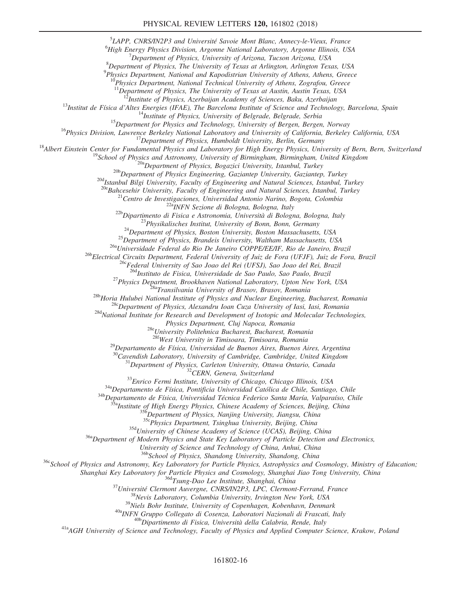<sup>5</sup>LAPP, CNRS/IN2P3 and Université Savoie Mont Blanc, Annecy-le-Vieux, France 6High Energy Physics Division, Argenta Mational Laboratory, Argenta Illinois, US

 ${}^{6}$ High Energy Physics Division, Argonne National Laboratory, Argonne Illinois, USA

 $^7$ Department of Physics, University of Arizona, Tucson Arizona, USA

 ${}^{8}$ Department of Physics, The University of Texas at Arlington, Arlington Texas, USA

 $^{9}$ Physics Department, National and Kapodistrian University of Athens, Athens, Greece

 $10$ Physics Department, National Technical University of Athens, Zografou, Greece

<sup>11</sup>Department of Physics, The University of Texas at Austin, Austin Texas, USA<br><sup>12</sup>Institute of Physics, Azerbaijan Academy of Sciences, Baku, Azerbaijan

<sup>12</sup>Institute of Physics, Azerbaijan Academy of Sciences, Baku, Azerbaijan<br><sup>12</sup>Institut de Física d'Altes Energies (IFAE), The Barcelona Institute of Science and Technology, Barcelona, Spain<br><sup>14</sup>Institute of Physics, Univ

<sup>200</sup>Istanbul Bilgi University, Faculty of Engineering and Natural Sciences, Istanbul, Turkey<br><sup>200</sup>Bahcesehir University, Faculty of Engineering and Natural Sciences, Istanbul, Turkey<br><sup>21</sup>Centro de Investigaciones, Univer

<sup>27</sup> Physics Department, Brookhaven National Laboratory, Upton New York, USA<br><sup>28b</sup>Horia Hulubei National Institute of Physics and Nuclear Engineering, Bucharest, Romania<br><sup>28b</sup>Horia Hulubei National Institute of Physics an

<sup>28e</sup>University Politehnica Bucharest, Bucharest, Romania<br><sup>28f</sup>West University in Timisoara, Timisoara, Romania

<sup>29</sup>Departamento de Física, Universidad de Buenos Aires, Buenos Aires, Argentina<br><sup>30</sup>Cavendish Laboratory, University of Cambridge, Cambridge, United Kingdom

<sup>31</sup>Department of Physics, Carleton University, Ottawa Ontario, Canada<br><sup>32</sup>CERN, Geneva, Switzerland<br><sup>33</sup>Enrico Fermi Institute, University of Chicago, Chicago Illinois, USA<br><sup>34a</sup>Departamento de Física, Pontificia Univers

 $35d$ University of Chinese Academy of Science (UCAS), Beijing, China  $36a$ Department of Modern Physics and State Key Laboratory of Particle Detection and Electronics,

University of Science and Technology of China, Anhui, China<br><sup>36b</sup>School of Physics, Shandong University, Shandong, China

<sup>36c</sup>School of Physics and Astronomy, Key Laboratory for Particle Physics, Astrophysics and Cosmology, Ministry of Education;<br>Shanghai Key Laboratory for Particle Physics and Cosmology, Shanghai Jiao Tong University, China

<sup>36</sup>1 Tsung-Dao Lee Institute, Shanghai, China<br><sup>37</sup> Université Clermont Auvergne, CNRS/IN2P3, LPC, Clermont-Ferrand, France<br><sup>38</sup> Nevis Laboratory, Columbia University, Irvington New York, USA<br><sup>39</sup> Niels Bohr Institute, Uni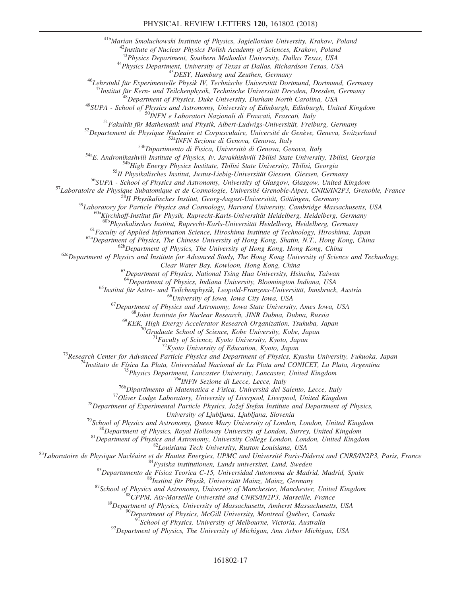<sup>41b</sup>Marian Smoluchowski Institute of Physics, Jagiellonian University, Krakow, Poland<br><sup>42</sup>Institute of Nuclear Physics Polish Academy of Sciences, Krakow, Poland<br><sup>43</sup>Physics Department, Southern Methodist University, Dal

<sup>44</sup>Physics Department, University of Texas at Dallas, Richardson Texas, USA<br><sup>45</sup>DESY, Hamburg and Zeuthen, Germany<br><sup>46</sup>Lehrstuhl für Experimentelle Physik IV, Technische Universität Dortmund, Dortmund, Germany<br><sup>47</sup>Instit

<sup>47</sup>Institut für Kern- und Teilchenphysik, Technische Universität Dresden, Dresden, Germany<br><sup>48</sup>Institut für Kern- und Teilchenphysik, Technische University, Durham North Carolina, USA<br><sup>49</sup>SUPA - School of Physics and Ast

<sup>58</sup>Laboratory for Particle Physics and Cosmology, Harvard University, Cambridge Massachusetts, USA<br><sup>59</sup>Laboratory for Particle Physics and Cosmology, Harvard University, Cambridge Massachusetts, USA<br><sup>60a</sup>Kirchhoff-Instit

<sup>61</sup> Faculty of Applied Information Science, Hiroshima Institute of Technology, Hiroshima, Japan<br><sup>62a</sup> Department of Physics, The Chinese University of Hong Kong, Shatin, N.T., Hong Kong, China<br><sup>62b</sup> Department of Physics

Clear Water Bay, Kowloon, Hong Kong, China<br><sup>63</sup>Department of Physics, National Tsing Hua University, Hsinchu, Taiwan<br><sup>64</sup>Department of Physics, Indiana University, Bloomington Indiana, USA

<sup>65</sup>Institut für Astro- und Teilchenphysik, Leopold-Franzens-Universität, Innsbruck, Austria<br><sup>66</sup>University of Iowa, Iowa City Iowa, USA<br><sup>67</sup>Department of Physics and Astronomy, Iowa State University, Ames Iowa, USA<br><sup>68</sup>J

<sup>69</sup>KEK, High Energy Accelerator Research Organization, Tsukuba, Japan <sup>70</sup>Graduate School of Science, Kobe University, Kobe, Japan <sup>71</sup>Faculty of Science, Kyoto University, Kyoto, Japan *72*Kyoto University of Education,

<sup>73</sup>Research Center for Advanced Particle Physics and Department of Physics, Kyushu University, Fukuoka, Japan<br><sup>74</sup>Instituto de Física La Plata, Universidad Nacional de La Plata and CONICET, La Plata, Argentina<br><sup>75</sup>Physic

University of Ljubljana, Ljubljana, Slovenia<br>
<sup>79</sup>School of Physics and Astronomy, Queen Mary University of London, London, United Kingdom<br>
<sup>80</sup>Department of Physics, Royal Holloway University of London, Surrey, United Kin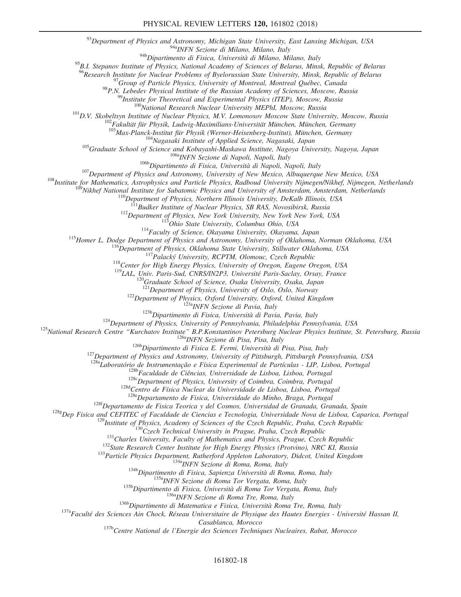$^{93}$ Department of Physics and Astronomy, Michigan State University, East Lansing Michigan, USA  $^{94a}$ <sub>MFN</sub> Sezione di Milano, Milano, Italy

94b Dipartimento di Fisica, Università di Milano, Milano, Italy

<sup>95</sup>B.I. Stepanov Institute of Physics, National Academy of Sciences of Belarus, Minsk, Republic of Belarus<br><sup>96</sup>Research Institute for Nuclear Problems of Byelorussian State University, Minsk, Republic of Belarus

<sup>97</sup>Group of Particle Physics, University of Montreal, Montreal Québec, Canada<br><sup>98</sup>P.N. Lebedev Physical Institute of the Russian Academy of Sciences, Moscow, Russia<br><sup>99</sup>Institute for Theoretical and Experimental Physics

105 Graduate School of Science and Kohougashi Maskawa Institute of Applied Science, Nagasaki, Japan<br>
105 Graduate School of Science and Kohougashi-Maskawa Institute, Nagoya, Japan<br>
1066 Dipartimento di Fisica, Università d

<sup>122</sup>Department of Physics, Oxford University, Oxford, United Kingdom<br><sup>122</sup>Department of Physics, Oxford University, Oxford, United Kingdom<br><sup>123</sup>Department of Physics, University of Pennsylvania, Philadelphia Pennsylvania

<sup>128a</sup>Laboratório de Instrumentação e Física Experimental de Partículas - LIP, Lisboa, Portugal<br><sup>128b</sup>Faculdade de Ciências, Universidade de Lisboa, Lisboa, Portugal<br><sup>128c</sup>Department of Physics, University of Coimbra, Coi

<sup>128f</sup>Departamento de Fisica Teorica y del Cosmos, Universidad de Granada, Granada, Spain<br><sup>128g</sup>Dep Fisica and CEFITEC of Faculdade de Ciencias e Tecnologia, Universidade Nova de Lisboa, Caparica, Portugal <sup>128g</sup>Dep Fisica and CEFITEC of Faculdade de Ciencias e Tecnologia, Universidade Nova de Lisboa, Caparica, Portugal<br><sup>129</sup>Institute of Physics, Academy of Sciences of the Czech Republic, Praha, Czech Republic<br><sup>130</sup>Institut

 $\label{eq:csabb} Casablanca, Morocco $$ 137bCentre National de l'Energie des Sciences Techniques Nucleaires, Rabat, Morocco$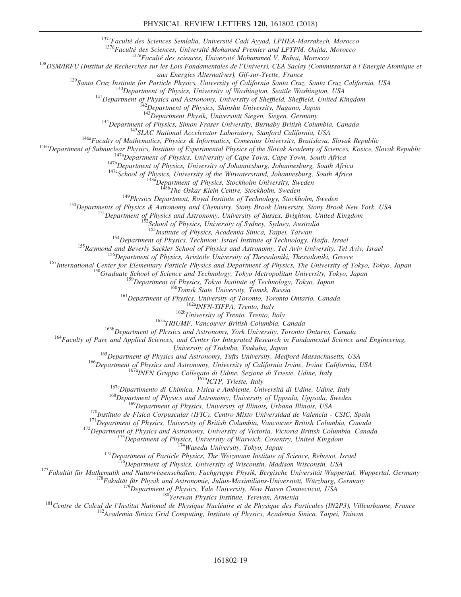<sup>137</sup>e Faculté des Sciences Semlalia, Université Cadi Ayyad, LPHEA-Marrakech, Morocco<br><sup>137d</sup> Faculté des Sciences, Université Mohamed Premier and LPTPM, Oujda, Morocco<br><sup>137d</sup> Faculté des sciences, Université Mohammed V, R

<sup>139</sup>Santa Cruz Institute for Particle Physics, University of California Santa Cruz, Santa Cruz California, USA<br><sup>140</sup>Department of Physics, University of Washington, Seattle Washington, USA<br><sup>141</sup>Department of Physics and

<sup>144</sup>Department of Physics, Simon Fraser University, Burnaby British Columbia, Canada<br><sup>145</sup>SLAC National Accelerator Laboratory, Stanford California, USA<br><sup>146a</sup>Faculty of Mathematics, Physics & Informatics, Comenius Unive

<sup>149</sup>Physics Department, Royal Institute of Technology, Stockholm, Sweden<br><sup>150</sup>Departments of Physics & Astronomy and Chemistry, Stony Brook University, Stony Brook New York, USA<br><sup>151</sup>Department of Physics and Astronomy,

<sup>154</sup>Department of Physics, Technion: Israel Institute of Technology, Haifa, Israel<br><sup>155</sup>Raymond and Beverly Sackler School of Physics and Astronomy, Tel Aviv University, Tel Aviv, Israel<br><sup>156</sup>Department of Physics, Aristo

<sup>159</sup>Department of Physics, Tokyo Institute of Technology, Tokyo, Japan<br><sup>160</sup>Tomsk State University, Tomsk, Russia<br><sup>161</sup>Department of Physics, University of Toronto, Toronto Ontario, Canada<br><sup>162b</sup>University of Trento, Ita

University of Tsukuba, Japan<br>
<sup>165</sup>Department of Physics and Astronomy, Tufts University, Medford Massachusetts, USA<br>
<sup>166</sup>Department of Physics and Astronomy, University of California Irvine, Irvine California, USA<br>
<sup>167</sup>

<sup>170</sup>Instituto de Fisica Corpuscular (IFIC), Centro Mixto Universidad de Valencia - CSIC, Spain<br><sup>171</sup>Department of Physics, University of Illinois, Urbana Illinois, USA<br><sup>171</sup>Department of Physics, University of British Co